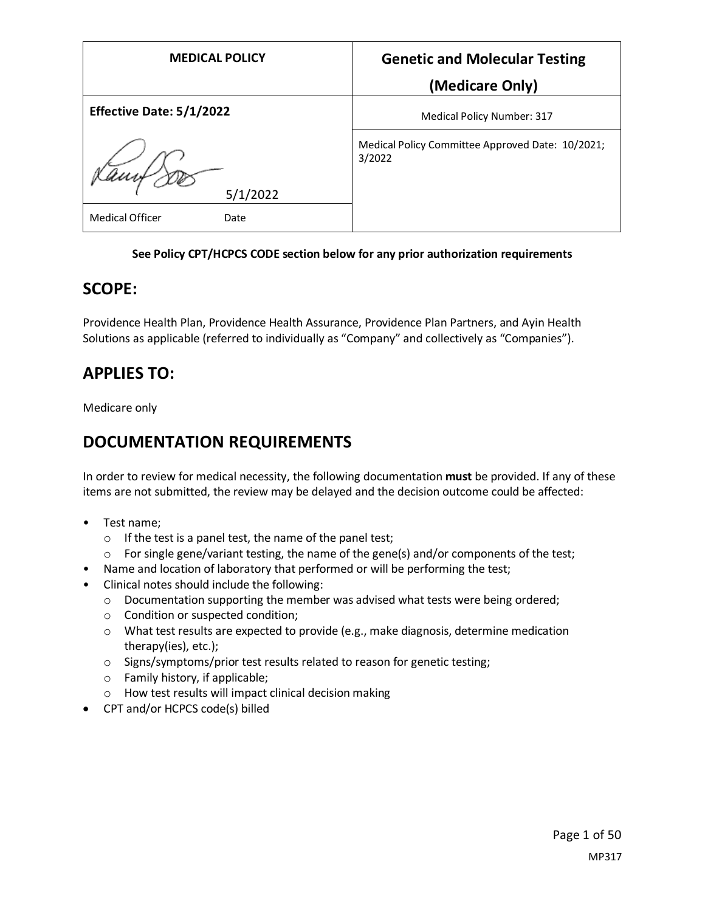| <b>MEDICAL POLICY</b>           | <b>Genetic and Molecular Testing</b>                       |
|---------------------------------|------------------------------------------------------------|
|                                 | (Medicare Only)                                            |
| <b>Effective Date: 5/1/2022</b> | <b>Medical Policy Number: 317</b>                          |
| 5/1/2022                        | Medical Policy Committee Approved Date: 10/2021;<br>3/2022 |
| <b>Medical Officer</b><br>Date  |                                                            |

#### **See Policy CPT/HCPCS CODE section below for any prior authorization requirements**

### **SCOPE:**

Providence Health Plan, Providence Health Assurance, Providence Plan Partners, and Ayin Health Solutions as applicable (referred to individually as "Company" and collectively as "Companies").

### **APPLIES TO:**

Medicare only

### **DOCUMENTATION REQUIREMENTS**

In order to review for medical necessity, the following documentation **must** be provided. If any of these items are not submitted, the review may be delayed and the decision outcome could be affected:

- Test name;
	- o If the test is a panel test, the name of the panel test;
	- $\circ$  For single gene/variant testing, the name of the gene(s) and/or components of the test;
- Name and location of laboratory that performed or will be performing the test;
- Clinical notes should include the following:
	- $\circ$  Documentation supporting the member was advised what tests were being ordered;
	- o Condition or suspected condition;
	- $\circ$  What test results are expected to provide (e.g., make diagnosis, determine medication therapy(ies), etc.);
	- o Signs/symptoms/prior test results related to reason for genetic testing;
	- o Family history, if applicable;
	- o How test results will impact clinical decision making
- CPT and/or HCPCS code(s) billed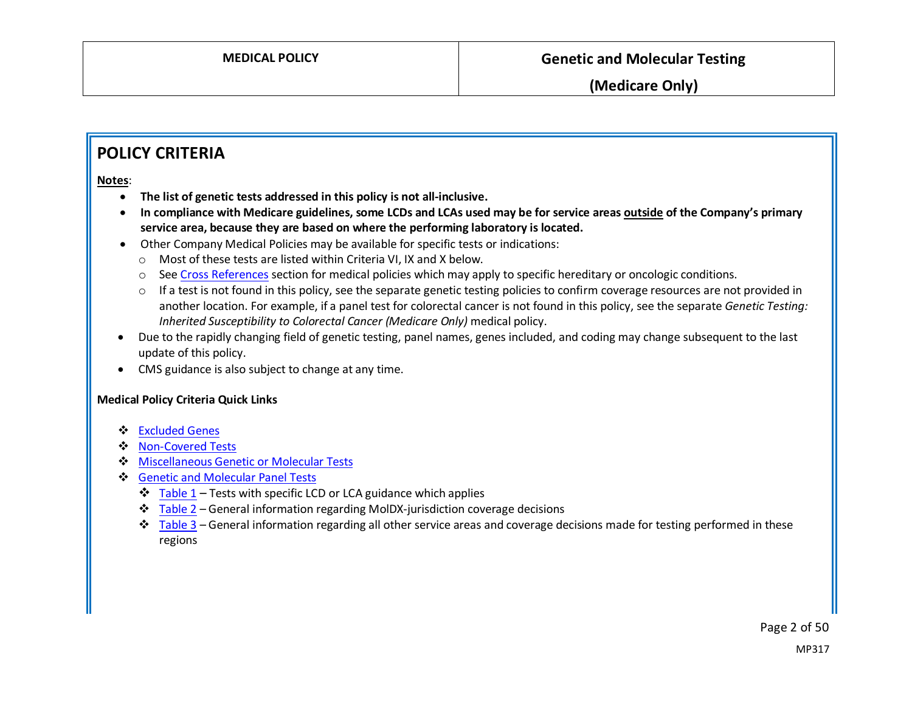### **POLICY CRITERIA**

**Notes**:

- **The list of genetic tests addressed in this policy is not all-inclusive.**
- **In compliance with Medicare guidelines, some LCDs and LCAs used may be for service areas outside of the Company's primary service area, because they are based on where the performing laboratory is located.**
- Other Company Medical Policies may be available for specific tests or indications:
	- o Most of these tests are listed within Criteria VI, IX and X below.
	- o Se[e Cross References](#page-48-0) section for medical policies which may apply to specific hereditary or oncologic conditions.
	- o If a test is not found in this policy, see the separate genetic testing policies to confirm coverage resources are not provided in another location. For example, if a panel test for colorectal cancer is not found in this policy, see the separate *Genetic Testing: Inherited Susceptibility to Colorectal Cancer (Medicare Only)* medical policy.
- Due to the rapidly changing field of genetic testing, panel names, genes included, and coding may change subsequent to the last update of this policy.
- CMS guidance is also subject to change at any time.

#### **Medical Policy Criteria Quick Links**

- [Excluded Genes](#page-2-0)
- ❖ [Non-Covered Tests](#page-3-0)
- [Miscellaneous Genetic or Molecular Tests](#page-5-0)
- [Genetic and Molecular Panel Tests](#page-6-0)
	- $\div$  [Table 1](#page-6-1) Tests with specific LCD or LCA guidance which applies
	- \* [Table 2](#page-16-0) General information regarding MoIDX-jurisdiction coverage decisions
	- $\div$  [Table 3](#page-17-0) General information regarding all other service areas and coverage decisions made for testing performed in these regions

Page 2 of 50 MP317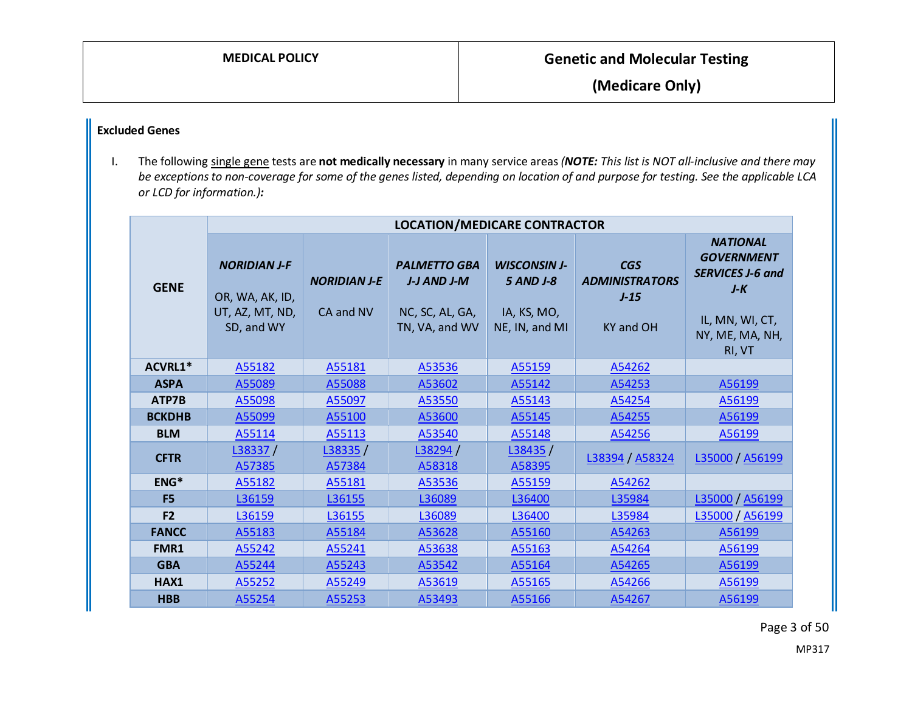### <span id="page-2-0"></span>**Excluded Genes**

I. The following single gene tests are **not medically necessary** in many service areas*(NOTE: This list is NOT all-inclusive and there may be exceptionsto non-coverage for some of the genes listed, depending on location of and purpose for testing. See the applicable LCA or LCD for information.):*

|                | <b>LOCATION/MEDICARE CONTRACTOR</b>                                     |                                  |                                                                         |                                                                   |                                                                   |                                                                                                                          |  |
|----------------|-------------------------------------------------------------------------|----------------------------------|-------------------------------------------------------------------------|-------------------------------------------------------------------|-------------------------------------------------------------------|--------------------------------------------------------------------------------------------------------------------------|--|
| <b>GENE</b>    | <b>NORIDIAN J-F</b><br>OR, WA, AK, ID,<br>UT, AZ, MT, ND,<br>SD, and WY | <b>NORIDIAN J-E</b><br>CA and NV | <b>PALMETTO GBA</b><br>J-J AND J-M<br>NC, SC, AL, GA,<br>TN, VA, and WV | <b>WISCONSIN J-</b><br>5 AND J-8<br>IA, KS, MO,<br>NE, IN, and MI | <b>CGS</b><br><b>ADMINISTRATORS</b><br>$J-15$<br><b>KY and OH</b> | <b>NATIONAL</b><br><b>GOVERNMENT</b><br><b>SERVICES J-6 and</b><br>$J-K$<br>IL, MN, WI, CT,<br>NY, ME, MA, NH,<br>RI, VT |  |
| ACVRL1*        | A55182                                                                  | A55181                           | A53536                                                                  | A55159                                                            | A54262                                                            |                                                                                                                          |  |
| <b>ASPA</b>    | A55089                                                                  | A55088                           | A53602                                                                  | A55142                                                            | A54253                                                            | A56199                                                                                                                   |  |
| ATP7B          | A55098                                                                  | A55097                           | A53550                                                                  | A55143                                                            | A54254                                                            | A56199                                                                                                                   |  |
| <b>BCKDHB</b>  | A55099                                                                  | A55100                           | A53600                                                                  | A55145                                                            | A54255                                                            | A56199                                                                                                                   |  |
| <b>BLM</b>     | A55114                                                                  | A55113                           | A53540                                                                  | A55148                                                            | A54256                                                            | A56199                                                                                                                   |  |
| <b>CFTR</b>    | L38337/<br>A57385                                                       | L38335/<br>A57384                | L38294 /<br>A58318                                                      | L38435/<br>A58395                                                 | L38394 / A58324                                                   | L35000 / A56199                                                                                                          |  |
| ENG*           | A55182                                                                  | A55181                           | A53536                                                                  | A55159                                                            | A54262                                                            |                                                                                                                          |  |
| F <sub>5</sub> | L36159                                                                  | L36155                           | L36089                                                                  | L36400                                                            | L35984                                                            | L35000 / A56199                                                                                                          |  |
| F <sub>2</sub> | L36159                                                                  | L36155                           | L36089                                                                  | L36400                                                            | L35984                                                            | L35000 / A56199                                                                                                          |  |
| <b>FANCC</b>   | A55183                                                                  | A55184                           | A53628                                                                  | A55160                                                            | A54263                                                            | A56199                                                                                                                   |  |
| FMR1           | A55242                                                                  | A55241                           | A53638                                                                  | A55163                                                            | A54264                                                            | A56199                                                                                                                   |  |
| <b>GBA</b>     | A55244                                                                  | A55243                           | A53542                                                                  | A55164                                                            | A54265                                                            | A56199                                                                                                                   |  |
| HAX1           | A55252                                                                  | A55249                           | A53619                                                                  | A55165                                                            | A54266                                                            | A56199                                                                                                                   |  |
| <b>HBB</b>     | A55254                                                                  | A55253                           | A53493                                                                  | A55166                                                            | A54267                                                            | A56199                                                                                                                   |  |

Page 3 of 50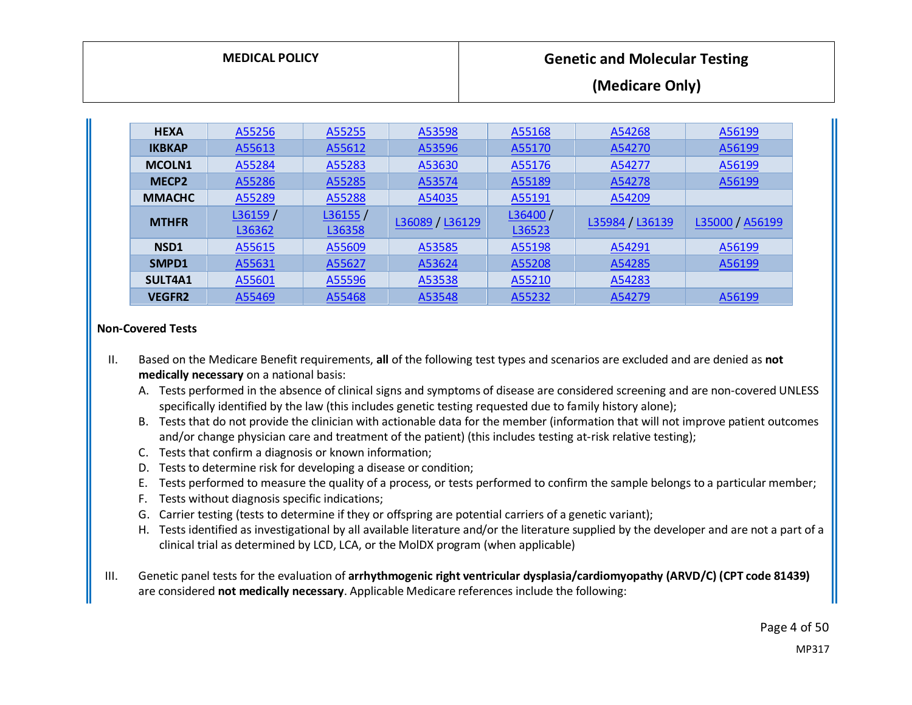| <b>MEDICAL POLICY</b> | <b>Genetic and Molecular Testing</b> |
|-----------------------|--------------------------------------|
|                       | (Medicare Only)                      |

| <b>HEXA</b>       | A55256  | A55255  | A53598          | A55168  | A54268          | A56199          |
|-------------------|---------|---------|-----------------|---------|-----------------|-----------------|
| <b>IKBKAP</b>     | A55613  | A55612  | A53596          | A55170  | A54270          | A56199          |
| <b>MCOLN1</b>     | A55284  | A55283  | A53630          | A55176  | A54277          | A56199          |
| MECP <sub>2</sub> | A55286  | A55285  | A53574          | A55189  | A54278          | A56199          |
| <b>MMACHC</b>     | A55289  | A55288  | A54035          | A55191  | A54209          |                 |
| <b>MTHFR</b>      | L36159/ | L36155/ |                 | L36400/ |                 |                 |
|                   | L36362  | L36358  | L36089 / L36129 | L36523  | L35984 / L36139 | L35000 / A56199 |
| NSD <sub>1</sub>  | A55615  | A55609  | A53585          | A55198  | A54291          | A56199          |
| SMPD1             | A55631  | A55627  | A53624          | A55208  | A54285          | A56199          |
| SULT4A1           | A55601  | A55596  | A53538          | A55210  | A54283          |                 |
| <b>VEGFR2</b>     | A55469  | A55468  | A53548          | A55232  | A54279          | A56199          |

#### <span id="page-3-0"></span>**Non-Covered Tests**

- II. Based on the Medicare Benefit requirements, **all** of the following test types and scenarios are excluded and are denied as **not medically necessary** on a national basis:
	- A. Tests performed in the absence of clinical signs and symptoms of disease are considered screening and are non-covered UNLESS specifically identified by the law (this includes genetic testing requested due to family history alone);
	- B. Tests that do not provide the clinician with actionable data for the member (information that will not improve patient outcomes and/or change physician care and treatment of the patient) (this includes testing at-risk relative testing);
	- C. Tests that confirm a diagnosis or known information;
	- D. Tests to determine risk for developing a disease or condition;
	- E. Tests performed to measure the quality of a process, or tests performed to confirm the sample belongs to a particular member;
	- F. Tests without diagnosis specific indications;
	- G. Carrier testing (tests to determine if they or offspring are potential carriers of a genetic variant);
	- H. Tests identified as investigational by all available literature and/or the literature supplied by the developer and are not a part of a clinical trial as determined by LCD, LCA, or the MolDX program (when applicable)
- III. Genetic panel tests for the evaluation of **arrhythmogenic right ventricular dysplasia/cardiomyopathy (ARVD/C) (CPT code 81439)** are considered **not medically necessary**. Applicable Medicare references include the following:

Page 4 of 50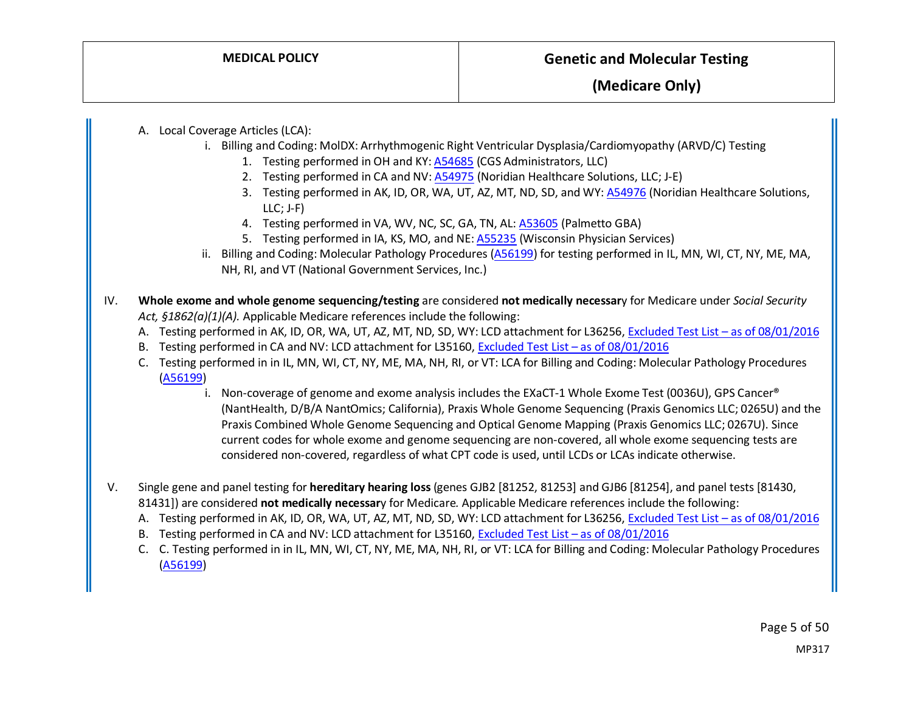A. Local Coverage Articles (LCA):

- i. Billing and Coding: MolDX: Arrhythmogenic Right Ventricular Dysplasia/Cardiomyopathy (ARVD/C) Testing
	- 1. Testing performed in OH and KY: [A54685](https://www.cms.gov/medicare-coverage-database/view/article.aspx?articleid=54685) (CGS Administrators, LLC)
	- 2. Testing performed in CA and NV[: A54975](https://www.cms.gov/medicare-coverage-database/view/article.aspx?articleid=54975) (Noridian Healthcare Solutions, LLC; J-E)
	- 3. Testing performed in AK, ID, OR, WA, UT, AZ, MT, ND, SD, and WY[: A54976](https://www.cms.gov/medicare-coverage-database/view/article.aspx?articleid=54976) (Noridian Healthcare Solutions, LLC; J-F)
	- 4. Testing performed in VA, WV, NC, SC, GA, TN, AL[: A53605](https://www.cms.gov/medicare-coverage-database/view/article.aspx?articleid=53605) (Palmetto GBA)
	- 5. Testing performed in IA, KS, MO, and NE: [A55235](https://www.cms.gov/medicare-coverage-database/view/article.aspx?articleid=55235) (Wisconsin Physician Services)
- ii. Billing and Coding: Molecular Pathology Procedures [\(A56199\)](https://www.cms.gov/medicare-coverage-database/view/article.aspx?articleid=56199) for testing performed in IL, MN, WI, CT, NY, ME, MA, NH, RI, and VT (National Government Services, Inc.)
- IV. **Whole exome and whole genome sequencing/testing** are considered **not medically necessar**y for Medicare under *Social Security Act, §1862(a)(1)(A).* Applicable Medicare references include the following:
	- A. Testing performed in AK, ID, OR, WA, UT, AZ, MT, ND, SD, WY: LCD attachment for L36256, Excluded Test List as of 08/01/2016
	- B. Testing performed in CA and NV: LCD attachment for L35160[, Excluded Test List –](https://downloads.cms.gov/medicare-coverage-database/lcd_attachments/35160_11/ExcludedTestListV14.pdf) as of 08/01/2016
	- C. Testing performed in in IL, MN, WI, CT, NY, ME, MA, NH, RI, or VT: LCA for Billing and Coding: Molecular Pathology Procedures [\(A56199\)](https://www.cms.gov/medicare-coverage-database/view/article.aspx?articleid=56199)
		- i. Non-coverage of genome and exome analysis includes the EXaCT-1 Whole Exome Test (0036U), GPS Cancer® (NantHealth, D/B/A NantOmics; California), Praxis Whole Genome Sequencing (Praxis Genomics LLC; 0265U) and the Praxis Combined Whole Genome Sequencing and Optical Genome Mapping (Praxis Genomics LLC; 0267U). Since current codes for whole exome and genome sequencing are non-covered, all whole exome sequencing tests are considered non-covered, regardless of what CPT code is used, until LCDs or LCAs indicate otherwise.
- V. Single gene and panel testing for **hereditary hearing loss** (genes GJB2 [81252, 81253] and GJB6 [81254], and panel tests [81430, 81431]) are considered **not medically necessar**y for Medicare*.* Applicable Medicare references include the following:
	- A. Testing performed in AK, ID, OR, WA, UT, AZ, MT, ND, SD, WY: LCD attachment for L36256, [Excluded Test List –](https://downloads.cms.gov/medicare-coverage-database/lcd_attachments/36256_6/ExcludedTestListV14.pdf) as of 08/01/2016
	- B. Testing performed in CA and NV: LCD attachment for L35160[, Excluded Test List –](https://downloads.cms.gov/medicare-coverage-database/lcd_attachments/35160_11/ExcludedTestListV14.pdf) as of 08/01/2016
	- C. C. Testing performed in in IL, MN, WI, CT, NY, ME, MA, NH, RI, or VT: LCA for Billing and Coding: Molecular Pathology Procedures [\(A56199\)](https://www.cms.gov/medicare-coverage-database/view/article.aspx?articleid=56199)

Page 5 of 50 MP317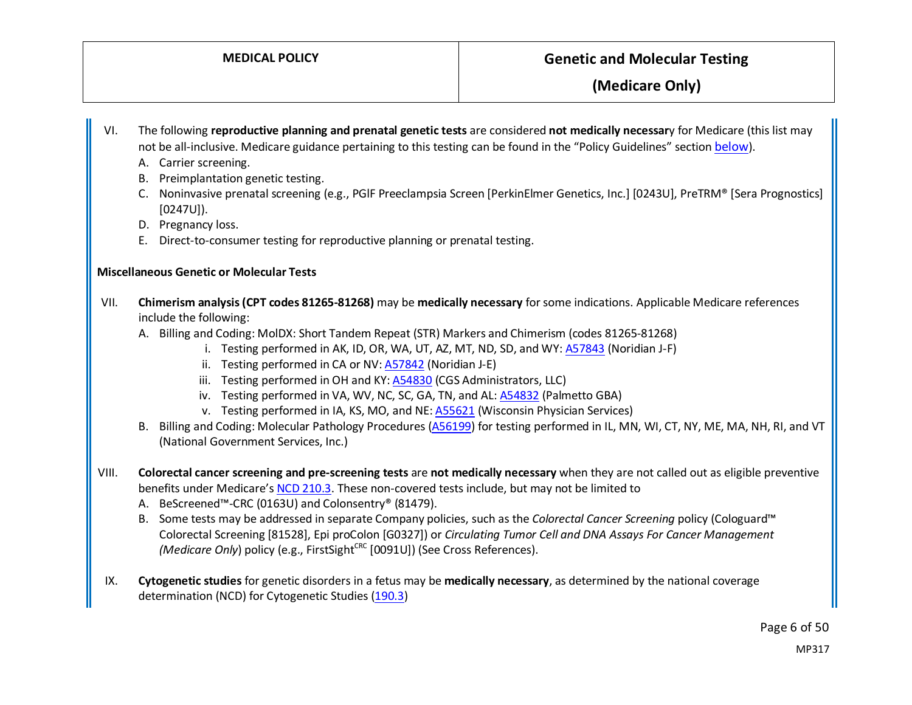VI. The following **reproductive planning and prenatal genetic tests** are considered **not medically necessar**y for Medicare (this list may not be all-inclusive. Medicare guidance pertaining to this testing can be found in the "Policy Guidelines" sectio[n below\)](#page-15-0).

- A. Carrier screening.
- B. Preimplantation genetic testing.
- C. Noninvasive prenatal screening (e.g., PGlF Preeclampsia Screen [PerkinElmer Genetics, Inc.] [0243U], PreTRM® [Sera Prognostics] [0247U]).
- D. Pregnancy loss.
- E. Direct-to-consumer testing for reproductive planning or prenatal testing.

#### <span id="page-5-0"></span>**Miscellaneous Genetic or Molecular Tests**

- VII. **Chimerism analysis (CPT codes 81265-81268)** may be **medically necessary** for some indications. Applicable Medicare references include the following:
	- A. Billing and Coding: MolDX: Short Tandem Repeat (STR) Markers and Chimerism (codes 81265-81268)
		- i. Testing performed in AK, ID, OR, WA, UT, AZ, MT, ND, SD, and WY[: A57843](https://www.cms.gov/medicare-coverage-database/view/article.aspx?articleid=57843) (Noridian J-F)
		- ii. Testing performed in CA or NV[: A57842](https://www.cms.gov/medicare-coverage-database/view/article.aspx?articleid=57842) (Noridian J-E)
		- iii. Testing performed in OH and KY: [A54830](https://www.cms.gov/medicare-coverage-database/view/article.aspx?articleid=54830) (CGS Administrators, LLC)
		- iv. Testing performed in VA, WV, NC, SC, GA, TN, and AL[: A54832](https://www.cms.gov/medicare-coverage-database/view/article.aspx?articleid=54832) (Palmetto GBA)
		- v. Testing performed in IA, KS, MO, and NE: [A55621](https://www.cms.gov/medicare-coverage-database/view/article.aspx?articleid=55621) (Wisconsin Physician Services)
	- B. Billing and Coding: Molecular Pathology Procedures [\(A56199\)](https://www.cms.gov/medicare-coverage-database/view/article.aspx?articleid=56199) for testing performed in IL, MN, WI, CT, NY, ME, MA, NH, RI, and VT (National Government Services, Inc.)
- VIII. **Colorectal cancer screening and pre-screening tests** are **not medically necessary** when they are not called out as eligible preventive benefits under Medicare'[s NCD 210.3.](https://www.cms.gov/medicare-coverage-database/view/ncd.aspx?NCDId=281) These non-covered tests include, but may not be limited to
	- A. BeScreened™-CRC (0163U) and Colonsentry® (81479).
	- B. Some tests may be addressed in separate Company policies, such as the *Colorectal Cancer Screening* policy (Cologuard™ Colorectal Screening [81528], Epi proColon [G0327]) or *Circulating Tumor Cell and DNA Assays For Cancer Management (Medicare Only)* policy (e.g., FirstSight<sup>CRC</sup> [0091U]) (See Cross References).
- IX. **Cytogenetic studies** for genetic disorders in a fetus may be **medically necessary**, as determined by the national coverage determination (NCD) for Cytogenetic Studies [\(190.3\)](https://www.cms.gov/medicare-coverage-database/details/ncd-details.aspx?NCDId=198)

Page 6 of 50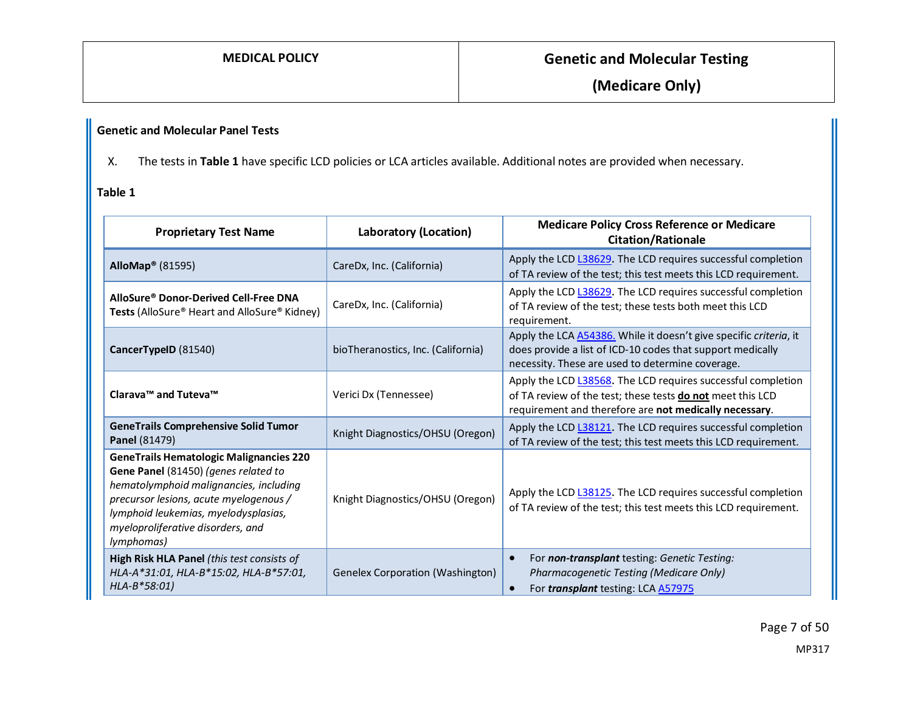### <span id="page-6-0"></span>**Genetic and Molecular Panel Tests**

X. The tests in **Table 1** have specific LCD policies or LCA articles available. Additional notes are provided when necessary.

#### <span id="page-6-1"></span>**Table 1**

| <b>Proprietary Test Name</b>                                                                                                                                                                                                                                          | <b>Laboratory (Location)</b>            | <b>Medicare Policy Cross Reference or Medicare</b><br><b>Citation/Rationale</b>                                                                                                             |
|-----------------------------------------------------------------------------------------------------------------------------------------------------------------------------------------------------------------------------------------------------------------------|-----------------------------------------|---------------------------------------------------------------------------------------------------------------------------------------------------------------------------------------------|
| AlloMap <sup>®</sup> (81595)                                                                                                                                                                                                                                          | CareDx, Inc. (California)               | Apply the LCD L38629. The LCD requires successful completion<br>of TA review of the test; this test meets this LCD requirement.                                                             |
| AlloSure® Donor-Derived Cell-Free DNA<br><b>Tests (AlloSure<sup>®</sup> Heart and AlloSure<sup>®</sup> Kidney)</b>                                                                                                                                                    | CareDx, Inc. (California)               | Apply the LCD L38629. The LCD requires successful completion<br>of TA review of the test; these tests both meet this LCD<br>requirement.                                                    |
| CancerTypeID (81540)                                                                                                                                                                                                                                                  | bioTheranostics, Inc. (California)      | Apply the LCA <b>A54386</b> . While it doesn't give specific criteria, it<br>does provide a list of ICD-10 codes that support medically<br>necessity. These are used to determine coverage. |
| Clarava™ and Tuteva™                                                                                                                                                                                                                                                  | Verici Dx (Tennessee)                   | Apply the LCD L38568. The LCD requires successful completion<br>of TA review of the test; these tests do not meet this LCD<br>requirement and therefore are not medically necessary.        |
| <b>GeneTrails Comprehensive Solid Tumor</b><br>Knight Diagnostics/OHSU (Oregon)<br>Panel (81479)                                                                                                                                                                      |                                         | Apply the LCD L38121. The LCD requires successful completion<br>of TA review of the test; this test meets this LCD requirement.                                                             |
| <b>GeneTrails Hematologic Malignancies 220</b><br>Gene Panel (81450) (genes related to<br>hematolymphoid malignancies, including<br>precursor lesions, acute myelogenous /<br>lymphoid leukemias, myelodysplasias,<br>myeloproliferative disorders, and<br>lymphomas) | Knight Diagnostics/OHSU (Oregon)        | Apply the LCD L38125. The LCD requires successful completion<br>of TA review of the test; this test meets this LCD requirement.                                                             |
| High Risk HLA Panel (this test consists of<br>HLA-A*31:01, HLA-B*15:02, HLA-B*57:01,<br>$HLA-B*58:01)$                                                                                                                                                                | <b>Genelex Corporation (Washington)</b> | For non-transplant testing: Genetic Testing:<br>Pharmacogenetic Testing (Medicare Only)<br>For <i>transplant</i> testing: LCA A57975                                                        |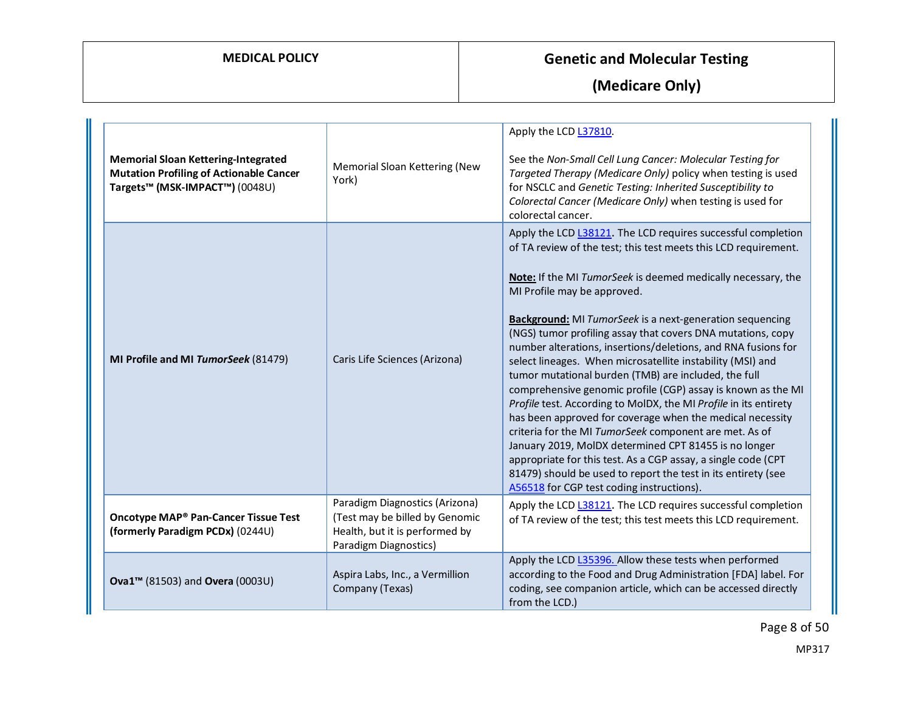**(Medicare Only)**

| <b>Memorial Sloan Kettering-Integrated</b><br><b>Mutation Profiling of Actionable Cancer</b><br>Targets™ (MSK-IMPACT™) (0048U) | Memorial Sloan Kettering (New<br>York)                                                                                      | Apply the LCD L37810.<br>See the Non-Small Cell Lung Cancer: Molecular Testing for<br>Targeted Therapy (Medicare Only) policy when testing is used<br>for NSCLC and Genetic Testing: Inherited Susceptibility to<br>Colorectal Cancer (Medicare Only) when testing is used for<br>colorectal cancer.                                                                                                                                                                                                                                                                                                                                                                                                                                                                                                                                                                                                                                                                                                                                                       |
|--------------------------------------------------------------------------------------------------------------------------------|-----------------------------------------------------------------------------------------------------------------------------|------------------------------------------------------------------------------------------------------------------------------------------------------------------------------------------------------------------------------------------------------------------------------------------------------------------------------------------------------------------------------------------------------------------------------------------------------------------------------------------------------------------------------------------------------------------------------------------------------------------------------------------------------------------------------------------------------------------------------------------------------------------------------------------------------------------------------------------------------------------------------------------------------------------------------------------------------------------------------------------------------------------------------------------------------------|
| MI Profile and MI TumorSeek (81479)                                                                                            | Caris Life Sciences (Arizona)                                                                                               | Apply the LCD L38121. The LCD requires successful completion<br>of TA review of the test; this test meets this LCD requirement.<br>Note: If the MI TumorSeek is deemed medically necessary, the<br>MI Profile may be approved.<br><b>Background:</b> MI TumorSeek is a next-generation sequencing<br>(NGS) tumor profiling assay that covers DNA mutations, copy<br>number alterations, insertions/deletions, and RNA fusions for<br>select lineages. When microsatellite instability (MSI) and<br>tumor mutational burden (TMB) are included, the full<br>comprehensive genomic profile (CGP) assay is known as the MI<br>Profile test. According to MoIDX, the MI Profile in its entirety<br>has been approved for coverage when the medical necessity<br>criteria for the MI TumorSeek component are met. As of<br>January 2019, MoIDX determined CPT 81455 is no longer<br>appropriate for this test. As a CGP assay, a single code (CPT<br>81479) should be used to report the test in its entirety (see<br>A56518 for CGP test coding instructions). |
| Oncotype MAP® Pan-Cancer Tissue Test<br>(formerly Paradigm PCDx) (0244U)                                                       | Paradigm Diagnostics (Arizona)<br>(Test may be billed by Genomic<br>Health, but it is performed by<br>Paradigm Diagnostics) | Apply the LCD L38121. The LCD requires successful completion<br>of TA review of the test; this test meets this LCD requirement.                                                                                                                                                                                                                                                                                                                                                                                                                                                                                                                                                                                                                                                                                                                                                                                                                                                                                                                            |
| Ova1 <sup>™</sup> (81503) and Overa (0003U)                                                                                    | Aspira Labs, Inc., a Vermillion<br>Company (Texas)                                                                          | Apply the LCD L35396. Allow these tests when performed<br>according to the Food and Drug Administration [FDA] label. For<br>coding, see companion article, which can be accessed directly<br>from the LCD.)                                                                                                                                                                                                                                                                                                                                                                                                                                                                                                                                                                                                                                                                                                                                                                                                                                                |

Page 8 of 50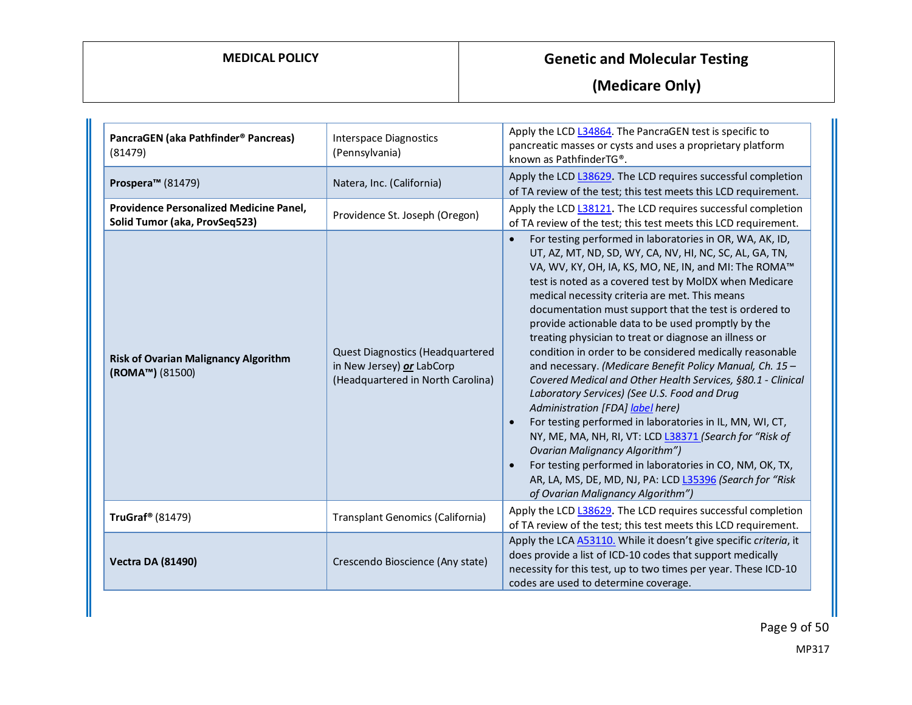| PancraGEN (aka Pathfinder <sup>®</sup> Pancreas)<br>(81479)              | <b>Interspace Diagnostics</b><br>(Pennsylvania)                                                    | Apply the LCD L34864. The PancraGEN test is specific to<br>pancreatic masses or cysts and uses a proprietary platform<br>known as PathfinderTG®.                                                                                                                                                                                                                                                                                                                                                                                                                                                                                                                                                                                                                                                                                                                                                                                                                                                                                                                                |
|--------------------------------------------------------------------------|----------------------------------------------------------------------------------------------------|---------------------------------------------------------------------------------------------------------------------------------------------------------------------------------------------------------------------------------------------------------------------------------------------------------------------------------------------------------------------------------------------------------------------------------------------------------------------------------------------------------------------------------------------------------------------------------------------------------------------------------------------------------------------------------------------------------------------------------------------------------------------------------------------------------------------------------------------------------------------------------------------------------------------------------------------------------------------------------------------------------------------------------------------------------------------------------|
| Prospera <sup>™</sup> (81479)                                            | Natera, Inc. (California)                                                                          | Apply the LCD L38629. The LCD requires successful completion<br>of TA review of the test; this test meets this LCD requirement.                                                                                                                                                                                                                                                                                                                                                                                                                                                                                                                                                                                                                                                                                                                                                                                                                                                                                                                                                 |
| Providence Personalized Medicine Panel,<br>Solid Tumor (aka, ProvSeq523) | Providence St. Joseph (Oregon)                                                                     | Apply the LCD L38121. The LCD requires successful completion<br>of TA review of the test; this test meets this LCD requirement.                                                                                                                                                                                                                                                                                                                                                                                                                                                                                                                                                                                                                                                                                                                                                                                                                                                                                                                                                 |
| <b>Risk of Ovarian Malignancy Algorithm</b><br>(ROMA™) (81500)           | Quest Diagnostics (Headquartered<br>in New Jersey) or LabCorp<br>(Headquartered in North Carolina) | For testing performed in laboratories in OR, WA, AK, ID,<br>$\bullet$<br>UT, AZ, MT, ND, SD, WY, CA, NV, HI, NC, SC, AL, GA, TN,<br>VA, WV, KY, OH, IA, KS, MO, NE, IN, and MI: The ROMA™<br>test is noted as a covered test by MoIDX when Medicare<br>medical necessity criteria are met. This means<br>documentation must support that the test is ordered to<br>provide actionable data to be used promptly by the<br>treating physician to treat or diagnose an illness or<br>condition in order to be considered medically reasonable<br>and necessary. (Medicare Benefit Policy Manual, Ch. 15 -<br>Covered Medical and Other Health Services, §80.1 - Clinical<br>Laboratory Services) (See U.S. Food and Drug<br>Administration [FDA] label here)<br>For testing performed in laboratories in IL, MN, WI, CT,<br>NY, ME, MA, NH, RI, VT: LCD L38371 (Search for "Risk of<br>Ovarian Malignancy Algorithm")<br>For testing performed in laboratories in CO, NM, OK, TX,<br>AR, LA, MS, DE, MD, NJ, PA: LCD L35396 (Search for "Risk<br>of Ovarian Malignancy Algorithm") |
| TruGraf <sup>®</sup> (81479)                                             | Transplant Genomics (California)                                                                   | Apply the LCD L38629. The LCD requires successful completion<br>of TA review of the test; this test meets this LCD requirement.                                                                                                                                                                                                                                                                                                                                                                                                                                                                                                                                                                                                                                                                                                                                                                                                                                                                                                                                                 |
| <b>Vectra DA (81490)</b>                                                 | Crescendo Bioscience (Any state)                                                                   | Apply the LCA A53110. While it doesn't give specific criteria, it<br>does provide a list of ICD-10 codes that support medically<br>necessity for this test, up to two times per year. These ICD-10<br>codes are used to determine coverage.                                                                                                                                                                                                                                                                                                                                                                                                                                                                                                                                                                                                                                                                                                                                                                                                                                     |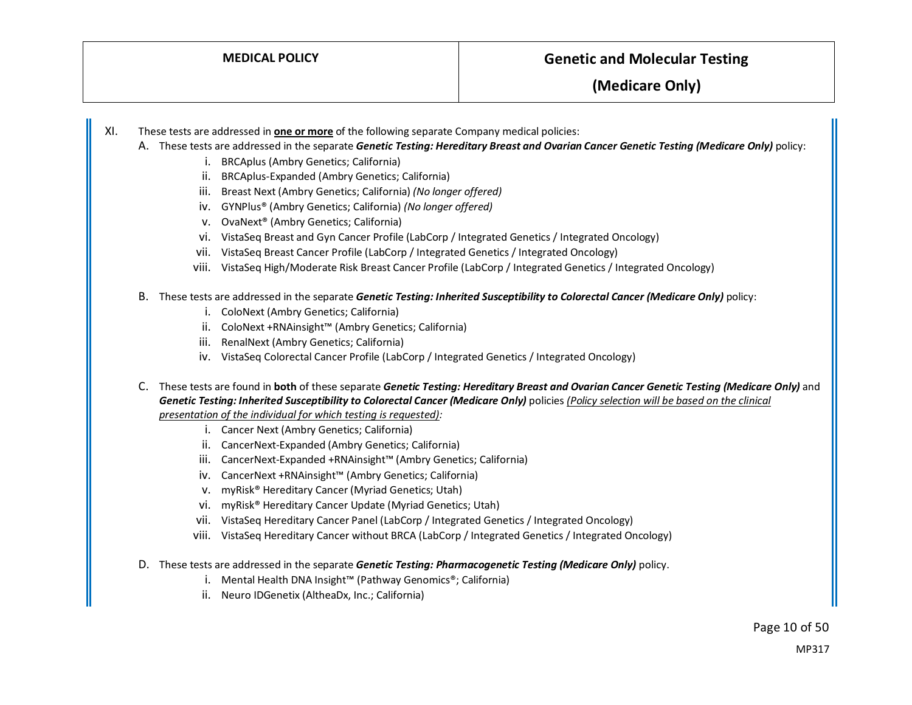- XI. These tests are addressed in **one or more** of the following separate Company medical policies:
	- A. These tests are addressed in the separate *Genetic Testing: Hereditary Breast and Ovarian Cancer Genetic Testing (Medicare Only)* policy:
		- i. BRCAplus (Ambry Genetics; California)
		- ii. BRCAplus-Expanded (Ambry Genetics; California)
		- iii. Breast Next (Ambry Genetics; California) *(No longer offered)*
		- iv. GYNPlus® (Ambry Genetics; California) *(No longer offered)*
		- v. OvaNext® (Ambry Genetics; California)
		- vi. VistaSeq Breast and Gyn Cancer Profile (LabCorp / Integrated Genetics / Integrated Oncology)
		- vii. VistaSeq Breast Cancer Profile (LabCorp / Integrated Genetics / Integrated Oncology)
		- viii. VistaSeq High/Moderate Risk Breast Cancer Profile (LabCorp / Integrated Genetics / Integrated Oncology)
	- B. These tests are addressed in the separate *Genetic Testing: Inherited Susceptibility to Colorectal Cancer (Medicare Only)* policy:
		- i. ColoNext (Ambry Genetics; California)
		- ii. ColoNext +RNAinsight™ (Ambry Genetics; California)
		- iii. RenalNext (Ambry Genetics; California)
		- iv. VistaSeq Colorectal Cancer Profile (LabCorp / Integrated Genetics / Integrated Oncology)
	- C. These tests are found in **both** of these separate *Genetic Testing: Hereditary Breast and Ovarian Cancer Genetic Testing (Medicare Only)* and *Genetic Testing: Inherited Susceptibility to Colorectal Cancer (Medicare Only)* policies *(Policy selection will be based on the clinical presentation of the individual for which testing is requested):*
		- i. Cancer Next (Ambry Genetics; California)
		- ii. CancerNext-Expanded (Ambry Genetics; California)
		- iii. CancerNext-Expanded +RNAinsight™ (Ambry Genetics; California)
		- iv. CancerNext +RNAinsight™ (Ambry Genetics; California)
		- v. myRisk® Hereditary Cancer (Myriad Genetics; Utah)
		- vi. myRisk® Hereditary Cancer Update (Myriad Genetics; Utah)
		- vii. VistaSeq Hereditary Cancer Panel (LabCorp / Integrated Genetics / Integrated Oncology)
		- viii. VistaSeq Hereditary Cancer without BRCA (LabCorp / Integrated Genetics / Integrated Oncology)
	- D. These tests are addressed in the separate *Genetic Testing: Pharmacogenetic Testing (Medicare Only)* policy.
		- i. Mental Health DNA Insight™ (Pathway Genomics®; California)
		- ii. Neuro IDGenetix (AltheaDx, Inc.; California)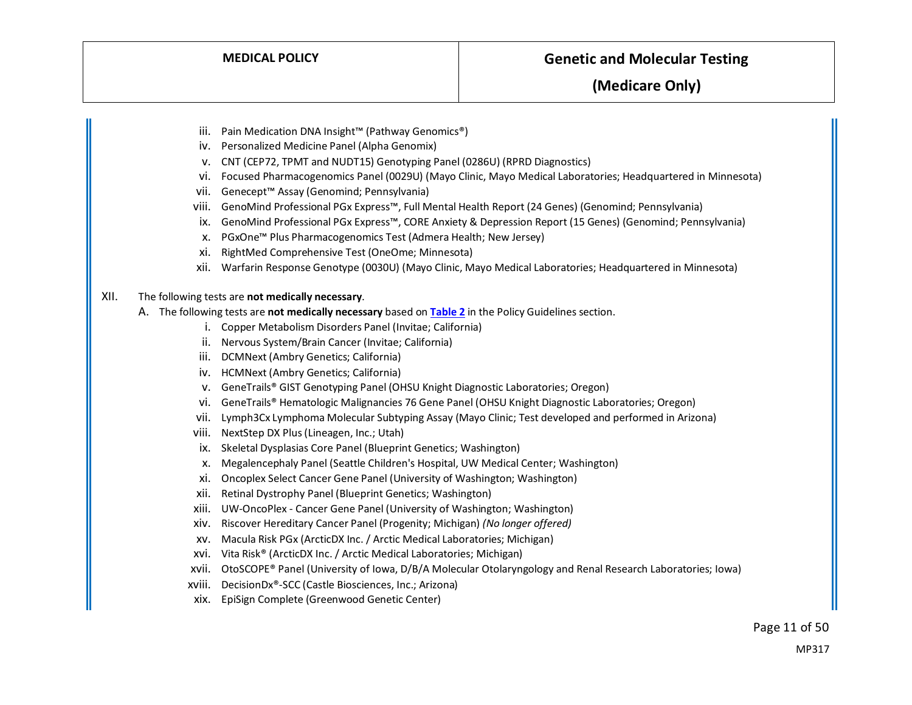- iii. Pain Medication DNA Insight™ (Pathway Genomics®)
- iv. Personalized Medicine Panel (Alpha Genomix)
- v. CNT (CEP72, TPMT and NUDT15) Genotyping Panel (0286U) (RPRD Diagnostics)
- vi. Focused Pharmacogenomics Panel (0029U) (Mayo Clinic, Mayo Medical Laboratories; Headquartered in Minnesota)
- vii. Genecept™ Assay (Genomind; Pennsylvania)
- viii. GenoMind Professional PGx Express™, Full Mental Health Report (24 Genes) (Genomind; Pennsylvania)
- ix. GenoMind Professional PGx Express™, CORE Anxiety & Depression Report (15 Genes) (Genomind; Pennsylvania)
- x. PGxOne™ Plus Pharmacogenomics Test (Admera Health; New Jersey)
- xi. RightMed Comprehensive Test (OneOme; Minnesota)
- xii. Warfarin Response Genotype (0030U) (Mayo Clinic, Mayo Medical Laboratories; Headquartered in Minnesota)

#### XII. The following tests are **not medically necessary**.

- A. The following tests are **not medically necessary** based on **[Table 2](#page-16-0)** in the Policy Guidelines section.
	- i. Copper Metabolism Disorders Panel (Invitae; California)
	- ii. Nervous System/Brain Cancer (Invitae; California)
	- iii. DCMNext (Ambry Genetics; California)
	- iv. HCMNext (Ambry Genetics; California)
	- v. GeneTrails® GIST Genotyping Panel (OHSU Knight Diagnostic Laboratories; Oregon)
	- vi. GeneTrails® Hematologic Malignancies 76 Gene Panel (OHSU Knight Diagnostic Laboratories; Oregon)
	- vii. Lymph3Cx Lymphoma Molecular Subtyping Assay (Mayo Clinic; Test developed and performed in Arizona)
	- viii. NextStep DX Plus (Lineagen, Inc.; Utah)
	- ix. Skeletal Dysplasias Core Panel (Blueprint Genetics; Washington)
	- x. Megalencephaly Panel (Seattle Children's Hospital, UW Medical Center; Washington)
	- xi. Oncoplex Select Cancer Gene Panel (University of Washington; Washington)
	- xii. Retinal Dystrophy Panel (Blueprint Genetics; Washington)
	- xiii. UW-OncoPlex Cancer Gene Panel (University of Washington; Washington)
	- xiv. Riscover Hereditary Cancer Panel (Progenity; Michigan) *(No longer offered)*
	- xv. Macula Risk PGx (ArcticDX Inc. / Arctic Medical Laboratories; Michigan)
	- xvi. Vita Risk® (ArcticDX Inc. / Arctic Medical Laboratories; Michigan)
	- xvii. OtoSCOPE® Panel (University of Iowa, D/B/A Molecular Otolaryngology and Renal Research Laboratories; Iowa)
	- xviii. DecisionDx®-SCC (Castle Biosciences, Inc.; Arizona)
	- xix. EpiSign Complete (Greenwood Genetic Center)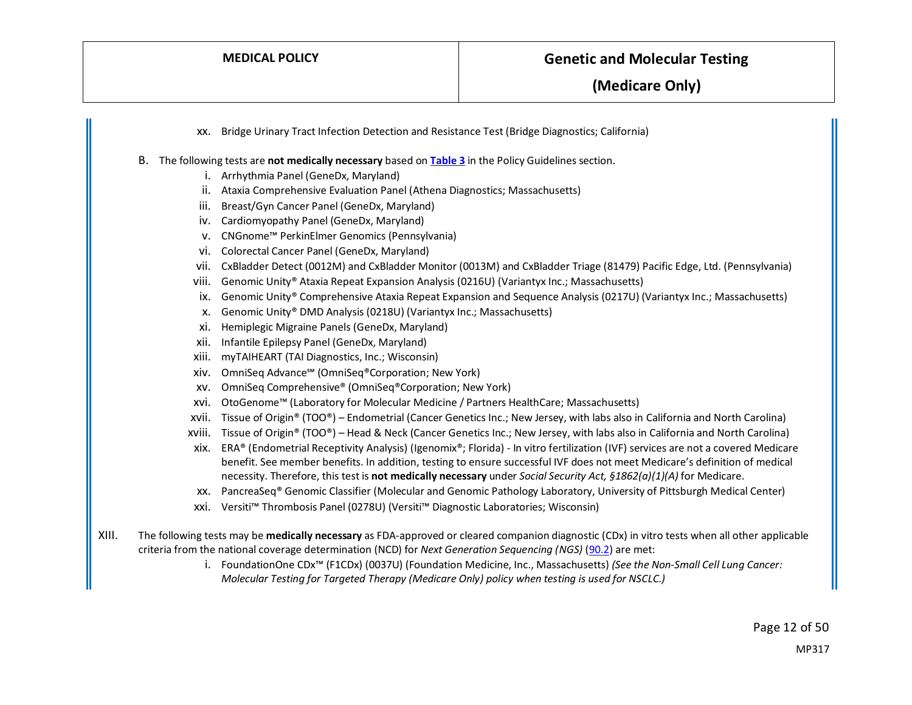xx. Bridge Urinary Tract Infection Detection and Resistance Test (Bridge Diagnostics; California) B. The following tests are **not medically necessary** based on **[Table 3](#page-17-0)** in the Policy Guidelines section. i. Arrhythmia Panel (GeneDx, Maryland) ii. Ataxia Comprehensive Evaluation Panel (Athena Diagnostics; Massachusetts) iii. Breast/Gyn Cancer Panel (GeneDx, Maryland) iv. Cardiomyopathy Panel (GeneDx, Maryland) v. CNGnome™ PerkinElmer Genomics (Pennsylvania) vi. Colorectal Cancer Panel (GeneDx, Maryland) vii. CxBladder Detect (0012M) and CxBladder Monitor (0013M) and CxBladder Triage (81479) Pacific Edge, Ltd. (Pennsylvania) viii. Genomic Unity® Ataxia Repeat Expansion Analysis (0216U) (Variantyx Inc.; Massachusetts) ix. Genomic Unity® Comprehensive Ataxia Repeat Expansion and Sequence Analysis (0217U) (Variantyx Inc.; Massachusetts) x. Genomic Unity® DMD Analysis (0218U) (Variantyx Inc.; Massachusetts) xi. Hemiplegic Migraine Panels (GeneDx, Maryland) xii. Infantile Epilepsy Panel (GeneDx, Maryland) xiii. myTAIHEART (TAI Diagnostics, Inc.; Wisconsin) xiv. OmniSeq Advance℠ (OmniSeq®Corporation; New York) xv. OmniSeq Comprehensive® (OmniSeq®Corporation; New York) xvi. OtoGenome™ (Laboratory for Molecular Medicine / Partners HealthCare; Massachusetts) xvii. Tissue of Origin® (TOO®) – Endometrial (Cancer Genetics Inc.; New Jersey, with labs also in California and North Carolina) xviii. Tissue of Origin® (TOO®) – Head & Neck (Cancer Genetics Inc.; New Jersey, with labs also in California and North Carolina) xix. ERA® (Endometrial Receptivity Analysis) (Igenomix®; Florida) - In vitro fertilization (IVF) services are not a covered Medicare benefit. See member benefits. In addition, testing to ensure successful IVF does not meet Medicare's definition of medical necessity. Therefore, this test is **not medically necessary** under *Social Security Act, §1862(a)(1)(A)* for Medicare. xx. PancreaSeq® Genomic Classifier (Molecular and Genomic Pathology Laboratory, University of Pittsburgh Medical Center) xxi. Versiti™ Thrombosis Panel (0278U) (Versiti™ Diagnostic Laboratories; Wisconsin) XIII. The following tests may be **medically necessary** as FDA-approved or cleared companion diagnostic (CDx) in vitro tests when all other applicable criteria from the national coverage determination (NCD) for *Next Generation Sequencing (NGS)* [\(90.2\)](https://www.cms.gov/medicare-coverage-database/view/ncd.aspx?NCDId=372) are met:

> i. FoundationOne CDx™ (F1CDx) (0037U) (Foundation Medicine, Inc., Massachusetts) *(See the Non-Small Cell Lung Cancer: Molecular Testing for Targeted Therapy (Medicare Only) policy when testing is used for NSCLC.)*

> > Page 12 of 50 MP317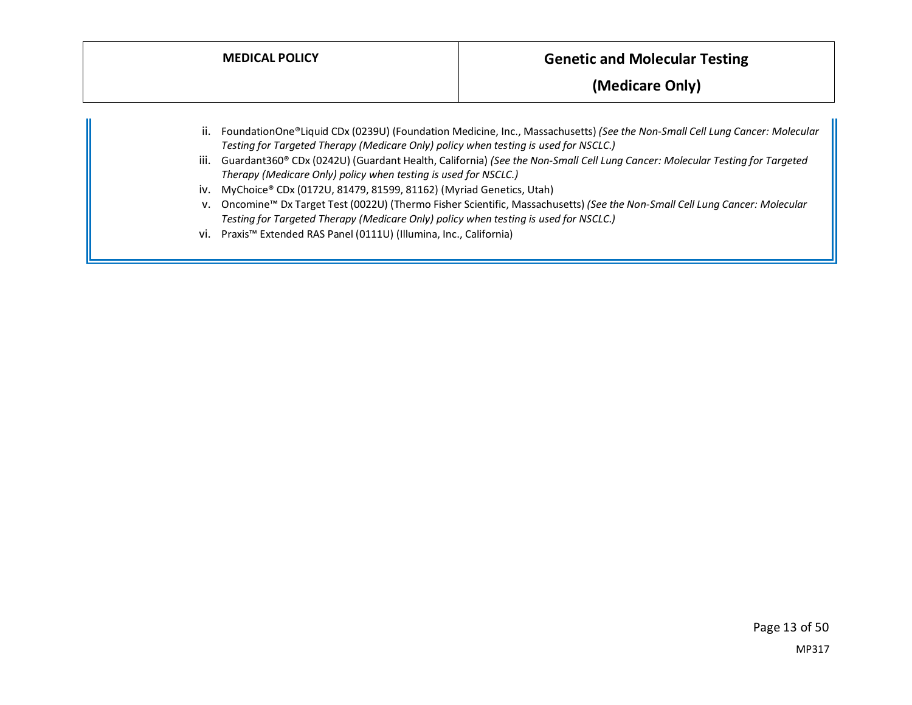|             |                                                                                      | (Medicare Only)                                                                                                                                                                                                                                                      |
|-------------|--------------------------------------------------------------------------------------|----------------------------------------------------------------------------------------------------------------------------------------------------------------------------------------------------------------------------------------------------------------------|
| ii.<br>III. | Testing for Targeted Therapy (Medicare Only) policy when testing is used for NSCLC.) | FoundationOne®Liquid CDx (0239U) (Foundation Medicine, Inc., Massachusetts) (See the Non-Small Cell Lung Cancer: Molecular<br>Guardant360 <sup>®</sup> CDx (0242U) (Guardant Health, California) (See the Non-Small Cell Lung Cancer: Molecular Testing for Targeted |
|             | Therapy (Medicare Only) policy when testing is used for NSCLC.)                      |                                                                                                                                                                                                                                                                      |
|             | iv. MyChoice® CDx (0172U, 81479, 81599, 81162) (Myriad Genetics, Utah)               |                                                                                                                                                                                                                                                                      |
|             | Testing for Targeted Therapy (Medicare Only) policy when testing is used for NSCLC.) | v. Oncomine™ Dx Target Test (0022U) (Thermo Fisher Scientific, Massachusetts) (See the Non-Small Cell Lung Cancer: Molecular                                                                                                                                         |
|             | vi. Praxis <sup>™</sup> Extended RAS Panel (0111U) (Illumina, Inc., California)      |                                                                                                                                                                                                                                                                      |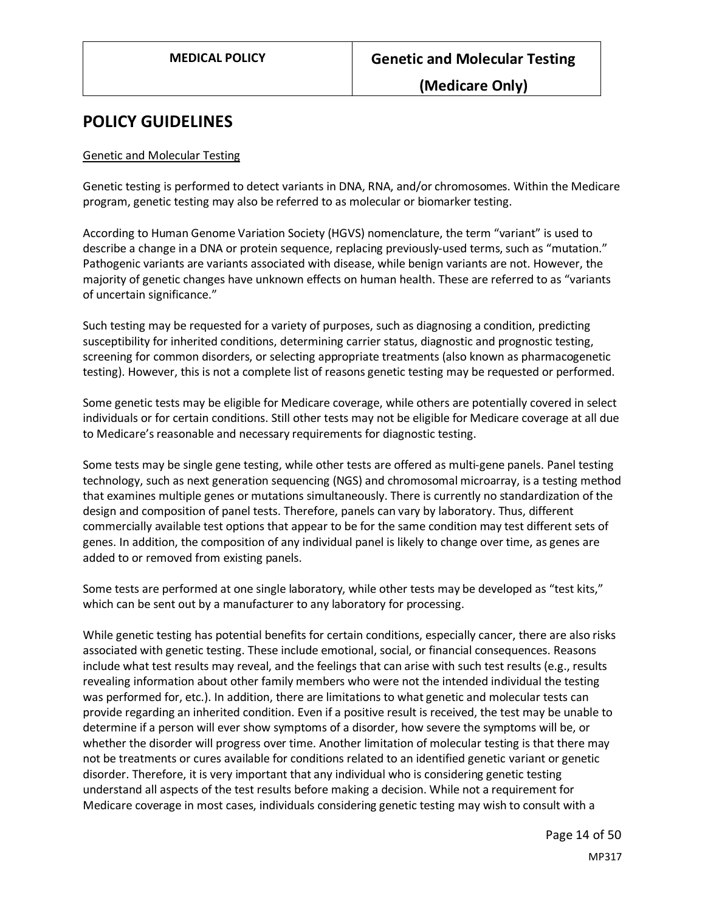### **POLICY GUIDELINES**

#### Genetic and Molecular Testing

Genetic testing is performed to detect variants in DNA, RNA, and/or chromosomes. Within the Medicare program, genetic testing may also be referred to as molecular or biomarker testing.

According to Human Genome Variation Society (HGVS) nomenclature, the term "variant" is used to describe a change in a DNA or protein sequence, replacing previously-used terms, such as "mutation." Pathogenic variants are variants associated with disease, while benign variants are not. However, the majority of genetic changes have unknown effects on human health. These are referred to as "variants of uncertain significance."

Such testing may be requested for a variety of purposes, such as diagnosing a condition, predicting susceptibility for inherited conditions, determining carrier status, diagnostic and prognostic testing, screening for common disorders, or selecting appropriate treatments (also known as pharmacogenetic testing). However, this is not a complete list of reasons genetic testing may be requested or performed.

Some genetic tests may be eligible for Medicare coverage, while others are potentially covered in select individuals or for certain conditions. Still other tests may not be eligible for Medicare coverage at all due to Medicare's reasonable and necessary requirements for diagnostic testing.

Some tests may be single gene testing, while other tests are offered as multi-gene panels. Panel testing technology, such as next generation sequencing (NGS) and chromosomal microarray, is a testing method that examines multiple genes or mutations simultaneously. There is currently no standardization of the design and composition of panel tests. Therefore, panels can vary by laboratory. Thus, different commercially available test options that appear to be for the same condition may test different sets of genes. In addition, the composition of any individual panel is likely to change over time, as genes are added to or removed from existing panels.

Some tests are performed at one single laboratory, while other tests may be developed as "test kits," which can be sent out by a manufacturer to any laboratory for processing.

While genetic testing has potential benefits for certain conditions, especially cancer, there are also risks associated with genetic testing. These include emotional, social, or financial consequences. Reasons include what test results may reveal, and the feelings that can arise with such test results (e.g., results revealing information about other family members who were not the intended individual the testing was performed for, etc.). In addition, there are limitations to what genetic and molecular tests can provide regarding an inherited condition. Even if a positive result is received, the test may be unable to determine if a person will ever show symptoms of a disorder, how severe the symptoms will be, or whether the disorder will progress over time. Another limitation of molecular testing is that there may not be treatments or cures available for conditions related to an identified genetic variant or genetic disorder. Therefore, it is very important that any individual who is considering genetic testing understand all aspects of the test results before making a decision. While not a requirement for Medicare coverage in most cases, individuals considering genetic testing may wish to consult with a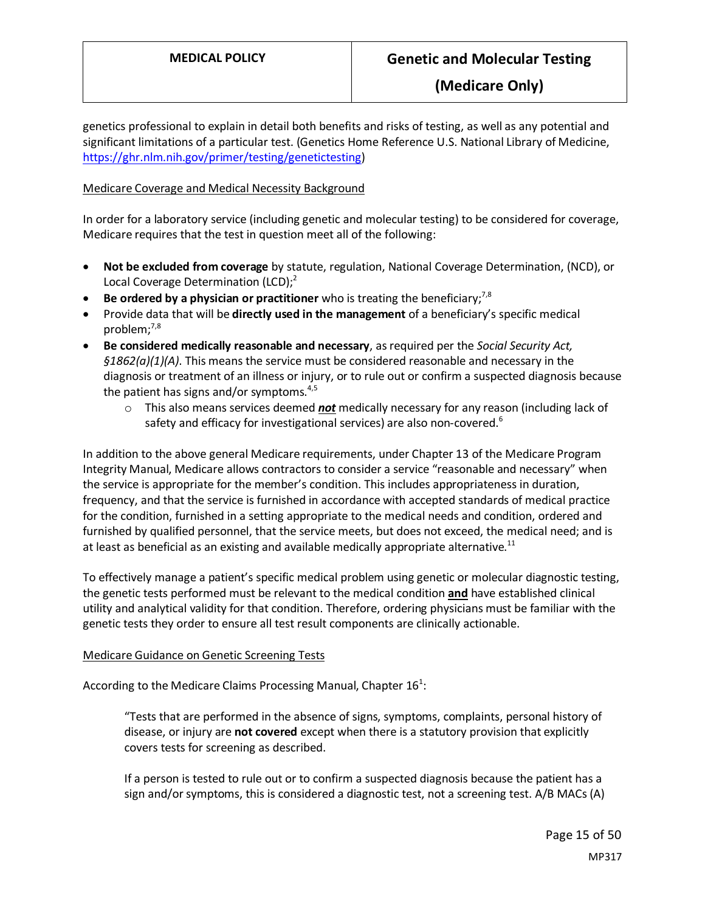genetics professional to explain in detail both benefits and risks of testing, as well as any potential and significant limitations of a particular test. (Genetics Home Reference U.S. National Library of Medicine, [https://ghr.nlm.nih.gov/primer/testing/genetictesting\)](https://ghr.nlm.nih.gov/primer/testing/genetictesting)

#### Medicare Coverage and Medical Necessity Background

In order for a laboratory service (including genetic and molecular testing) to be considered for coverage, Medicare requires that the test in question meet all of the following:

- **Not be excluded from coverage** by statute, regulation, National Coverage Determination, (NCD), or Local Coverage Determination  $(LCD)$ ;<sup>2</sup>
- **Be ordered by a physician or practitioner** who is treating the beneficiary;<sup>7,8</sup>
- Provide data that will be **directly used in the management** of a beneficiary's specific medical problem; $^{7,8}$
- **Be considered medically reasonable and necessary**, as required per the *Social Security Act, §1862(a)(1)(A)*. This means the service must be considered reasonable and necessary in the diagnosis or treatment of an illness or injury, or to rule out or confirm a suspected diagnosis because the patient has signs and/or symptoms. $4,5$ 
	- o This also means services deemed *not* medically necessary for any reason (including lack of safety and efficacy for investigational services) are also non-covered.<sup>6</sup>

In addition to the above general Medicare requirements, under Chapter 13 of the Medicare Program Integrity Manual, Medicare allows contractors to consider a service "reasonable and necessary" when the service is appropriate for the member's condition. This includes appropriateness in duration, frequency, and that the service is furnished in accordance with accepted standards of medical practice for the condition, furnished in a setting appropriate to the medical needs and condition, ordered and furnished by qualified personnel, that the service meets, but does not exceed, the medical need; and is at least as beneficial as an existing and available medically appropriate alternative. $^{11}$ 

To effectively manage a patient's specific medical problem using genetic or molecular diagnostic testing, the genetic tests performed must be relevant to the medical condition **and** have established clinical utility and analytical validity for that condition. Therefore, ordering physicians must be familiar with the genetic tests they order to ensure all test result components are clinically actionable.

#### Medicare Guidance on Genetic Screening Tests

According to the Medicare Claims Processing Manual, Chapter  $16<sup>1</sup>$ :

"Tests that are performed in the absence of signs, symptoms, complaints, personal history of disease, or injury are **not covered** except when there is a statutory provision that explicitly covers tests for screening as described.

If a person is tested to rule out or to confirm a suspected diagnosis because the patient has a sign and/or symptoms, this is considered a diagnostic test, not a screening test. A/B MACs (A)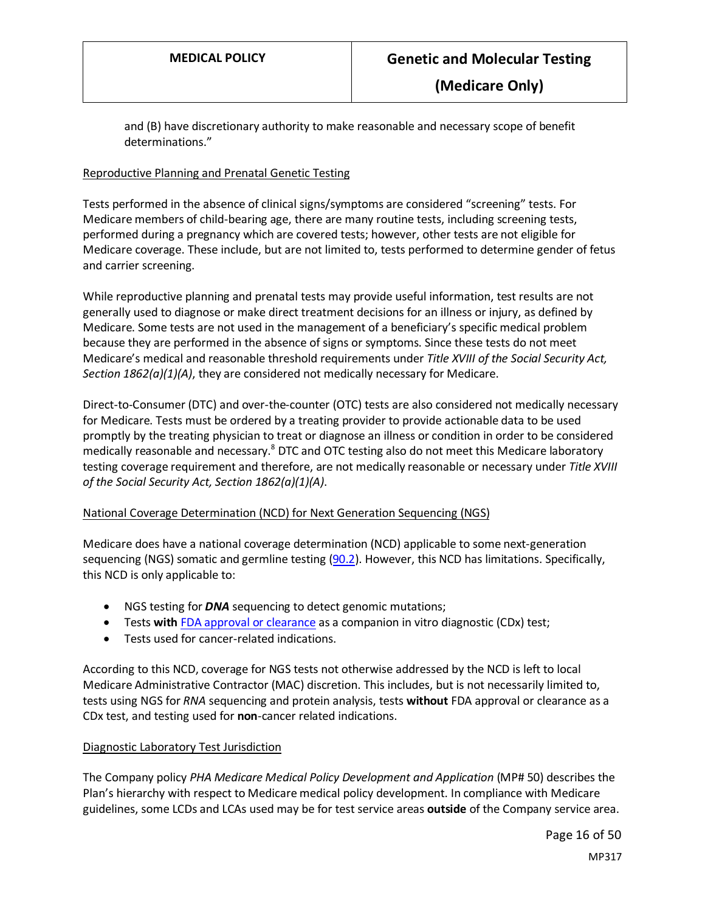<span id="page-15-0"></span>and (B) have discretionary authority to make reasonable and necessary scope of benefit determinations."

#### Reproductive Planning and Prenatal Genetic Testing

Tests performed in the absence of clinical signs/symptoms are considered "screening" tests. For Medicare members of child-bearing age, there are many routine tests, including screening tests, performed during a pregnancy which are covered tests; however, other tests are not eligible for Medicare coverage. These include, but are not limited to, tests performed to determine gender of fetus and carrier screening.

While reproductive planning and prenatal tests may provide useful information, test results are not generally used to diagnose or make direct treatment decisions for an illness or injury, as defined by Medicare. Some tests are not used in the management of a beneficiary's specific medical problem because they are performed in the absence of signs or symptoms. Since these tests do not meet Medicare's medical and reasonable threshold requirements under *Title XVIII of the Social Security Act, Section 1862(a)(1)(A)*, they are considered not medically necessary for Medicare.

Direct-to-Consumer (DTC) and over-the-counter (OTC) tests are also considered not medically necessary for Medicare. Tests must be ordered by a treating provider to provide actionable data to be used promptly by the treating physician to treat or diagnose an illness or condition in order to be considered medically reasonable and necessary.<sup>8</sup> DTC and OTC testing also do not meet this Medicare laboratory testing coverage requirement and therefore, are not medically reasonable or necessary under *Title XVIII of the Social Security Act, Section 1862(a)(1)(A)*.

#### National Coverage Determination (NCD) for Next Generation Sequencing (NGS)

Medicare does have a national coverage determination (NCD) applicable to some next-generation sequencing (NGS) somatic and germline testing [\(90.2\)](https://www.cms.gov/medicare-coverage-database/view/ncd.aspx?NCDId=372). However, this NCD has limitations. Specifically, this NCD is only applicable to:

- NGS testing for *DNA* sequencing to detect genomic mutations;
- Tests **with** [FDA approval or clearance](https://www.fda.gov/medical-devices/in-vitro-diagnostics/list-cleared-or-approved-companion-diagnostic-devices-in-vitro-and-imaging-tools) as a companion in vitro diagnostic (CDx) test;
- Tests used for cancer-related indications.

According to this NCD, coverage for NGS tests not otherwise addressed by the NCD is left to local Medicare Administrative Contractor (MAC) discretion. This includes, but is not necessarily limited to, tests using NGS for *RNA* sequencing and protein analysis, tests **without** FDA approval or clearance as a CDx test, and testing used for **non**-cancer related indications.

#### Diagnostic Laboratory Test Jurisdiction

The Company policy *PHA Medicare Medical Policy Development and Application* (MP# 50) describes the Plan's hierarchy with respect to Medicare medical policy development. In compliance with Medicare guidelines, some LCDs and LCAs used may be for test service areas **outside** of the Company service area.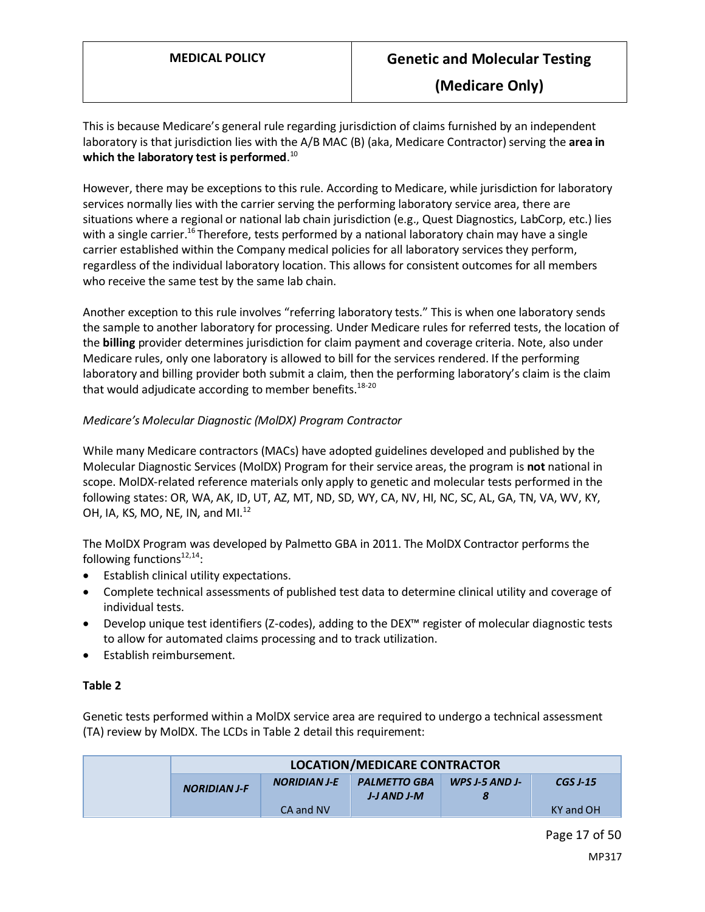This is because Medicare's general rule regarding jurisdiction of claims furnished by an independent laboratory is that jurisdiction lies with the A/B MAC (B) (aka, Medicare Contractor) serving the **area in which the laboratory test is performed**. 10

However, there may be exceptions to this rule. According to Medicare, while jurisdiction for laboratory services normally lies with the carrier serving the performing laboratory service area, there are situations where a regional or national lab chain jurisdiction (e.g., Quest Diagnostics, LabCorp, etc.) lies with a single carrier.<sup>16</sup> Therefore, tests performed by a national laboratory chain may have a single carrier established within the Company medical policies for all laboratory servicesthey perform, regardless of the individual laboratory location. This allows for consistent outcomes for all members who receive the same test by the same lab chain.

Another exception to this rule involves "referring laboratory tests." This is when one laboratory sends the sample to another laboratory for processing. Under Medicare rules for referred tests, the location of the **billing** provider determines jurisdiction for claim payment and coverage criteria. Note, also under Medicare rules, only one laboratory is allowed to bill for the services rendered. If the performing laboratory and billing provider both submit a claim, then the performing laboratory's claim is the claim that would adjudicate according to member benefits.<sup>18-20</sup>

#### *Medicare's Molecular Diagnostic (MolDX) Program Contractor*

<span id="page-16-0"></span>While many Medicare contractors (MACs) have adopted guidelines developed and published by the Molecular Diagnostic Services (MolDX) Program for their service areas, the program is **not** national in scope. MolDX-related reference materials only apply to genetic and molecular tests performed in the following states: OR, WA, AK, ID, UT, AZ, MT, ND, SD, WY, CA, NV, HI, NC, SC, AL, GA, TN, VA, WV, KY, OH, IA, KS, MO, NE, IN, and MI. $^{12}$ 

The MolDX Program was developed by Palmetto GBA in 2011. The MolDX Contractor performs the following functions $12,14$ :

- Establish clinical utility expectations.
- Complete technical assessments of published test data to determine clinical utility and coverage of individual tests.
- Develop unique test identifiers (Z-codes), adding to the DEX™ register of molecular diagnostic tests to allow for automated claims processing and to track utilization.
- Establish reimbursement.

#### **Table 2**

Genetic tests performed within a MolDX service area are required to undergo a technical assessment (TA) review by MolDX. The LCDs in Table 2 detail this requirement:

| <b>LOCATION/MEDICARE CONTRACTOR</b> |                     |                                    |                       |                 |
|-------------------------------------|---------------------|------------------------------------|-----------------------|-----------------|
| <b>NORIDIAN J-F</b>                 | <b>NORIDIAN J-E</b> | <b>PALMETTO GBA</b><br>J-J AND J-M | <b>WPS J-5 AND J-</b> | <b>CGS J-15</b> |
|                                     | CA and NV           |                                    |                       | KY and OH       |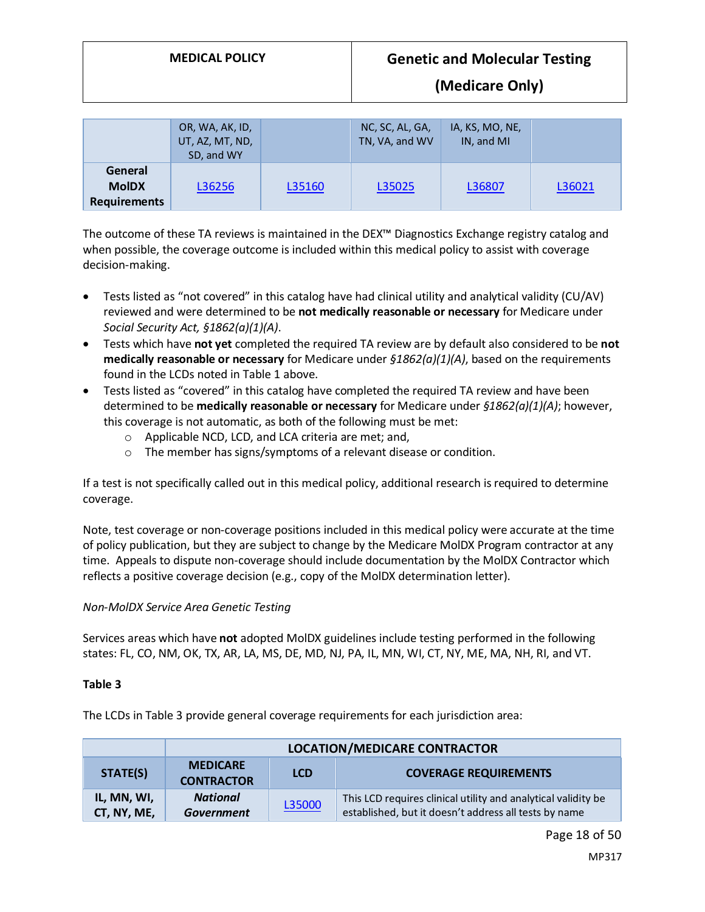|                                                | OR, WA, AK, ID,<br>UT, AZ, MT, ND,<br>SD, and WY |        | NC, SC, AL, GA,<br>TN, VA, and WV | IA, KS, MO, NE,<br>IN, and MI |        |
|------------------------------------------------|--------------------------------------------------|--------|-----------------------------------|-------------------------------|--------|
| General<br><b>MoIDX</b><br><b>Requirements</b> | L36256                                           | L35160 | L35025                            | L36807                        | L36021 |

The outcome of these TA reviews is maintained in the DEX™ Diagnostics Exchange registry catalog and when possible, the coverage outcome is included within this medical policy to assist with coverage decision-making.

- Tests listed as "not covered" in this catalog have had clinical utility and analytical validity (CU/AV) reviewed and were determined to be **not medically reasonable or necessary** for Medicare under *Social Security Act, §1862(a)(1)(A)*.
- Tests which have **not yet** completed the required TA review are by default also considered to be **not medically reasonable or necessary** for Medicare under *§1862(a)(1)(A)*, based on the requirements found in the LCDs noted in Table 1 above.
- Tests listed as "covered" in this catalog have completed the required TA review and have been determined to be **medically reasonable or necessary** for Medicare under *§1862(a)(1)(A)*; however, this coverage is not automatic, as both of the following must be met:
	- o Applicable NCD, LCD, and LCA criteria are met; and,
	- o The member has signs/symptoms of a relevant disease or condition.

<span id="page-17-0"></span>If a test is not specifically called out in this medical policy, additional research isrequired to determine coverage.

Note, test coverage or non-coverage positions included in this medical policy were accurate at the time of policy publication, but they are subject to change by the Medicare MolDX Program contractor at any time. Appeals to dispute non-coverage should include documentation by the MolDX Contractor which reflects a positive coverage decision (e.g., copy of the MolDX determination letter).

#### *Non-MolDX Service Area Genetic Testing*

Services areas which have **not** adopted MolDX guidelines include testing performed in the following states: FL, CO, NM, OK, TX, AR, LA, MS, DE, MD, NJ, PA, IL, MN, WI, CT, NY, ME, MA, NH, RI, and VT.

#### **Table 3**

The LCDs in Table 3 provide general coverage requirements for each jurisdiction area:

|                            | <b>LOCATION/MEDICARE CONTRACTOR</b>                                                |        |                                                                                                                        |  |  |
|----------------------------|------------------------------------------------------------------------------------|--------|------------------------------------------------------------------------------------------------------------------------|--|--|
| STATE(S)                   | <b>MEDICARE</b><br><b>COVERAGE REQUIREMENTS</b><br><b>LCD</b><br><b>CONTRACTOR</b> |        |                                                                                                                        |  |  |
| IL, MN, WI,<br>CT, NY, ME, | <b>National</b><br><b>Government</b>                                               | L35000 | This LCD requires clinical utility and analytical validity be<br>established, but it doesn't address all tests by name |  |  |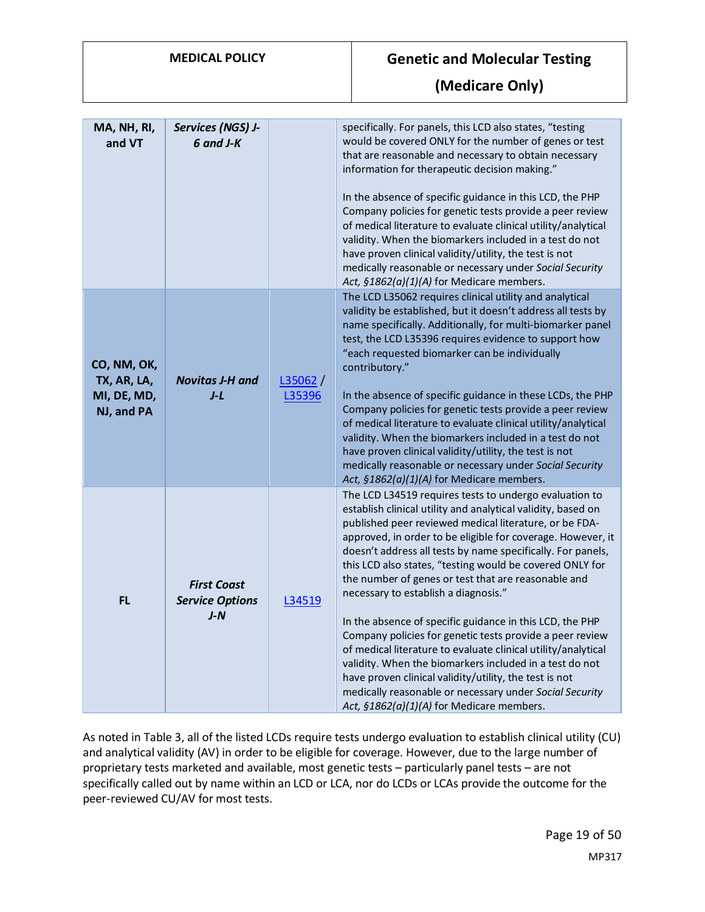| MA, NH, RI,<br>and VT                                   | Services (NGS) J-<br>$6$ and $J-K$                    |                   | specifically. For panels, this LCD also states, "testing<br>would be covered ONLY for the number of genes or test<br>that are reasonable and necessary to obtain necessary<br>information for therapeutic decision making."<br>In the absence of specific guidance in this LCD, the PHP<br>Company policies for genetic tests provide a peer review<br>of medical literature to evaluate clinical utility/analytical<br>validity. When the biomarkers included in a test do not<br>have proven clinical validity/utility, the test is not<br>medically reasonable or necessary under Social Security<br>Act, §1862(a)(1)(A) for Medicare members.                                                                                                                                                                                                                                               |
|---------------------------------------------------------|-------------------------------------------------------|-------------------|-------------------------------------------------------------------------------------------------------------------------------------------------------------------------------------------------------------------------------------------------------------------------------------------------------------------------------------------------------------------------------------------------------------------------------------------------------------------------------------------------------------------------------------------------------------------------------------------------------------------------------------------------------------------------------------------------------------------------------------------------------------------------------------------------------------------------------------------------------------------------------------------------|
| CO, NM, OK,<br>TX, AR, LA,<br>MI, DE, MD,<br>NJ, and PA | <b>Novitas J-H and</b><br>$J-L$                       | L35062/<br>L35396 | The LCD L35062 requires clinical utility and analytical<br>validity be established, but it doesn't address all tests by<br>name specifically. Additionally, for multi-biomarker panel<br>test, the LCD L35396 requires evidence to support how<br>"each requested biomarker can be individually<br>contributory."<br>In the absence of specific guidance in these LCDs, the PHP<br>Company policies for genetic tests provide a peer review<br>of medical literature to evaluate clinical utility/analytical<br>validity. When the biomarkers included in a test do not<br>have proven clinical validity/utility, the test is not<br>medically reasonable or necessary under Social Security<br>Act, §1862(a)(1)(A) for Medicare members.                                                                                                                                                       |
| <b>FL</b>                                               | <b>First Coast</b><br><b>Service Options</b><br>$J-N$ | L34519            | The LCD L34519 requires tests to undergo evaluation to<br>establish clinical utility and analytical validity, based on<br>published peer reviewed medical literature, or be FDA-<br>approved, in order to be eligible for coverage. However, it<br>doesn't address all tests by name specifically. For panels,<br>this LCD also states, "testing would be covered ONLY for<br>the number of genes or test that are reasonable and<br>necessary to establish a diagnosis."<br>In the absence of specific guidance in this LCD, the PHP<br>Company policies for genetic tests provide a peer review<br>of medical literature to evaluate clinical utility/analytical<br>validity. When the biomarkers included in a test do not<br>have proven clinical validity/utility, the test is not<br>medically reasonable or necessary under Social Security<br>Act, §1862(a)(1)(A) for Medicare members. |

As noted in Table 3, all of the listed LCDs require tests undergo evaluation to establish clinical utility (CU) and analytical validity (AV) in order to be eligible for coverage. However, due to the large number of proprietary tests marketed and available, most genetic tests – particularly panel tests – are not specifically called out by name within an LCD or LCA, nor do LCDs or LCAs provide the outcome for the peer-reviewed CU/AV for most tests.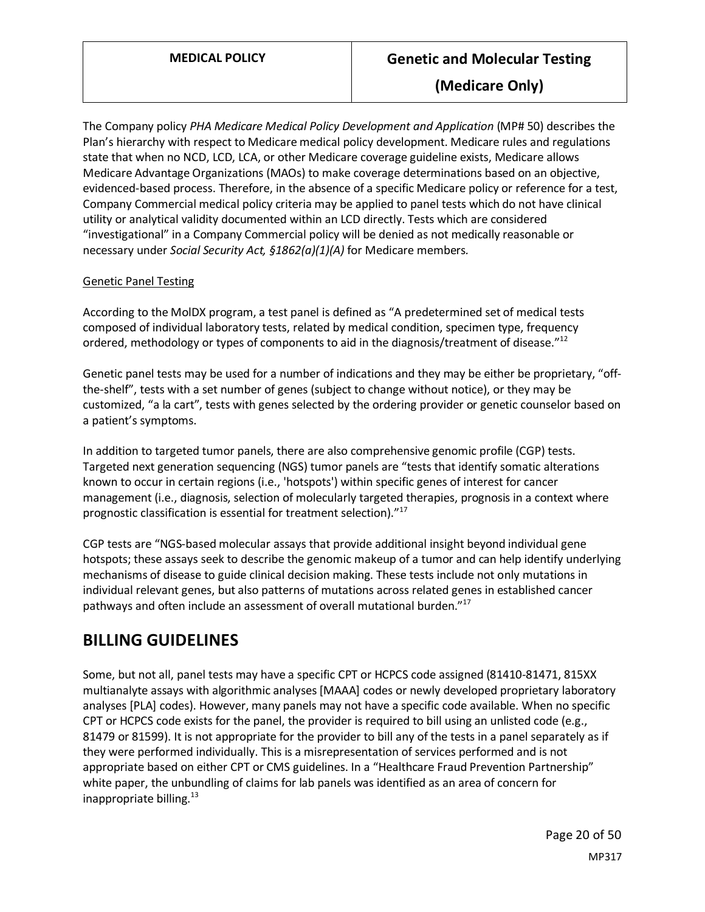The Company policy *PHA Medicare Medical Policy Development and Application* (MP# 50) describes the Plan's hierarchy with respect to Medicare medical policy development. Medicare rules and regulations state that when no NCD, LCD, LCA, or other Medicare coverage guideline exists, Medicare allows Medicare Advantage Organizations (MAOs) to make coverage determinations based on an objective, evidenced-based process. Therefore, in the absence of a specific Medicare policy or reference for a test, Company Commercial medical policy criteria may be applied to panel tests which do not have clinical utility or analytical validity documented within an LCD directly. Tests which are considered "investigational" in a Company Commercial policy will be denied as not medically reasonable or necessary under *Social Security Act, §1862(a)(1)(A)* for Medicare members*.*

#### Genetic Panel Testing

According to the MolDX program, a test panel is defined as "A predetermined set of medical tests composed of individual laboratory tests, related by medical condition, specimen type, frequency ordered, methodology or types of components to aid in the diagnosis/treatment of disease. $"^{12}$ 

Genetic panel tests may be used for a number of indications and they may be either be proprietary, "offthe-shelf", tests with a set number of genes (subject to change without notice), or they may be customized, "a la cart", tests with genes selected by the ordering provider or genetic counselor based on a patient's symptoms.

In addition to targeted tumor panels, there are also comprehensive genomic profile (CGP) tests. Targeted next generation sequencing (NGS) tumor panels are "tests that identify somatic alterations known to occur in certain regions (i.e., 'hotspots') within specific genes of interest for cancer management (i.e., diagnosis, selection of molecularly targeted therapies, prognosis in a context where prognostic classification is essential for treatment selection)."<sup>17</sup>

CGP tests are "NGS-based molecular assays that provide additional insight beyond individual gene hotspots; these assays seek to describe the genomic makeup of a tumor and can help identify underlying mechanisms of disease to guide clinical decision making. These tests include not only mutations in individual relevant genes, but also patterns of mutations across related genes in established cancer pathways and often include an assessment of overall mutational burden."<sup>17</sup>

### **BILLING GUIDELINES**

Some, but not all, panel tests may have a specific CPT or HCPCS code assigned (81410-81471, 815XX multianalyte assays with algorithmic analyses [MAAA] codes or newly developed proprietary laboratory analyses [PLA] codes). However, many panels may not have a specific code available. When no specific CPT or HCPCS code exists for the panel, the provider is required to bill using an unlisted code (e.g., 81479 or 81599). It is not appropriate for the provider to bill any of the tests in a panel separately as if they were performed individually. This is a misrepresentation of services performed and is not appropriate based on either CPT or CMS guidelines. In a "Healthcare Fraud Prevention Partnership" white paper, the unbundling of claims for lab panels was identified as an area of concern for inappropriate billing. $13$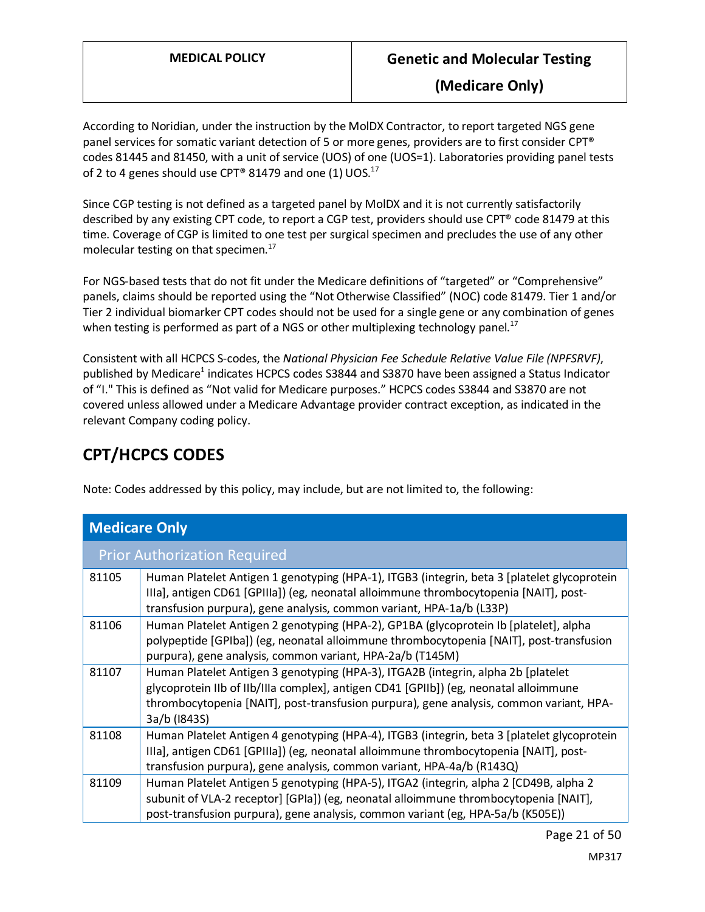According to Noridian, under the instruction by the MolDX Contractor, to report targeted NGS gene panel services for somatic variant detection of 5 or more genes, providers are to first consider CPT® codes 81445 and 81450, with a unit of service (UOS) of one (UOS=1). Laboratories providing panel tests of 2 to 4 genes should use CPT® 81479 and one (1) UOS.<sup>17</sup>

Since CGP testing is not defined as a targeted panel by MolDX and it is not currently satisfactorily described by any existing CPT code, to report a CGP test, providers should use CPT® code 81479 at this time. Coverage of CGP is limited to one test per surgical specimen and precludes the use of any other molecular testing on that specimen. $^{17}$ 

For NGS-based tests that do not fit under the Medicare definitions of "targeted" or "Comprehensive" panels, claims should be reported using the "Not Otherwise Classified" (NOC) code 81479. Tier 1 and/or Tier 2 individual biomarker CPT codes should not be used for a single gene or any combination of genes when testing is performed as part of a NGS or other multiplexing technology panel.<sup>17</sup>

Consistent with all HCPCS S-codes, the *National Physician Fee Schedule Relative Value File (NPFSRVF)*, published by Medicare<sup>1</sup> indicates HCPCS codes S3844 and S3870 have been assigned a Status Indicator of "I." This is defined as "Not valid for Medicare purposes." HCPCS codes S3844 and S3870 are not covered unless allowed under a Medicare Advantage provider contract exception, as indicated in the relevant Company coding policy.

# **CPT/HCPCS CODES**

Note: Codes addressed by this policy, may include, but are not limited to, the following:

| <b>Medicare Only</b> |                                                                                                                                                                                                                                                                                       |  |
|----------------------|---------------------------------------------------------------------------------------------------------------------------------------------------------------------------------------------------------------------------------------------------------------------------------------|--|
|                      | <b>Prior Authorization Required</b>                                                                                                                                                                                                                                                   |  |
| 81105                | Human Platelet Antigen 1 genotyping (HPA-1), ITGB3 (integrin, beta 3 [platelet glycoprotein<br>IIIa], antigen CD61 [GPIIIa]) (eg, neonatal alloimmune thrombocytopenia [NAIT], post-<br>transfusion purpura), gene analysis, common variant, HPA-1a/b (L33P)                          |  |
| 81106                | Human Platelet Antigen 2 genotyping (HPA-2), GP1BA (glycoprotein Ib [platelet], alpha<br>polypeptide [GPIba]) (eg, neonatal alloimmune thrombocytopenia [NAIT], post-transfusion<br>purpura), gene analysis, common variant, HPA-2a/b (T145M)                                         |  |
| 81107                | Human Platelet Antigen 3 genotyping (HPA-3), ITGA2B (integrin, alpha 2b [platelet<br>glycoprotein IIb of IIb/IIIa complex], antigen CD41 [GPIIb]) (eg, neonatal alloimmune<br>thrombocytopenia [NAIT], post-transfusion purpura), gene analysis, common variant, HPA-<br>3a/b (1843S) |  |
| 81108                | Human Platelet Antigen 4 genotyping (HPA-4), ITGB3 (integrin, beta 3 [platelet glycoprotein<br>IIIa], antigen CD61 [GPIIIa]) (eg, neonatal alloimmune thrombocytopenia [NAIT], post-<br>transfusion purpura), gene analysis, common variant, HPA-4a/b (R143Q)                         |  |
| 81109                | Human Platelet Antigen 5 genotyping (HPA-5), ITGA2 (integrin, alpha 2 [CD49B, alpha 2<br>subunit of VLA-2 receptor] [GPIa]) (eg, neonatal alloimmune thrombocytopenia [NAIT],<br>post-transfusion purpura), gene analysis, common variant (eg, HPA-5a/b (K505E))                      |  |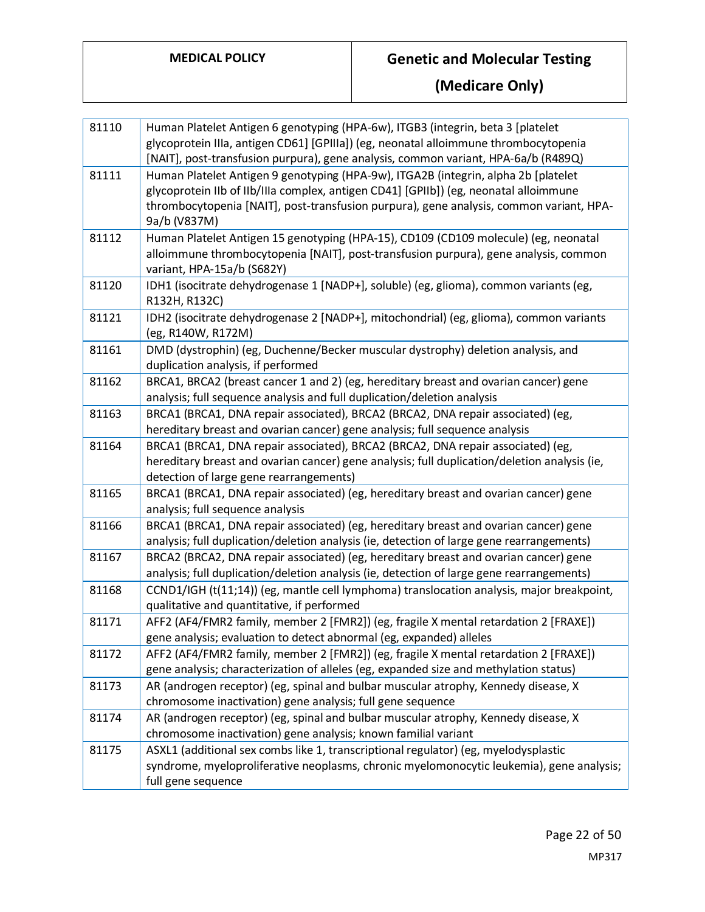| 81110 | Human Platelet Antigen 6 genotyping (HPA-6w), ITGB3 (integrin, beta 3 [platelet              |
|-------|----------------------------------------------------------------------------------------------|
|       | glycoprotein IIIa, antigen CD61] [GPIIIa]) (eg, neonatal alloimmune thrombocytopenia         |
|       | [NAIT], post-transfusion purpura), gene analysis, common variant, HPA-6a/b (R489Q)           |
| 81111 | Human Platelet Antigen 9 genotyping (HPA-9w), ITGA2B (integrin, alpha 2b [platelet           |
|       | glycoprotein IIb of IIb/IIIa complex, antigen CD41] [GPIIb]) (eg, neonatal alloimmune        |
|       | thrombocytopenia [NAIT], post-transfusion purpura), gene analysis, common variant, HPA-      |
|       | 9a/b (V837M)                                                                                 |
| 81112 | Human Platelet Antigen 15 genotyping (HPA-15), CD109 (CD109 molecule) (eg, neonatal          |
|       | alloimmune thrombocytopenia [NAIT], post-transfusion purpura), gene analysis, common         |
|       | variant, HPA-15a/b (S682Y)                                                                   |
| 81120 | IDH1 (isocitrate dehydrogenase 1 [NADP+], soluble) (eg, glioma), common variants (eg,        |
|       | R132H, R132C)                                                                                |
| 81121 | IDH2 (isocitrate dehydrogenase 2 [NADP+], mitochondrial) (eg, glioma), common variants       |
|       | (eg, R140W, R172M)                                                                           |
| 81161 | DMD (dystrophin) (eg, Duchenne/Becker muscular dystrophy) deletion analysis, and             |
|       | duplication analysis, if performed                                                           |
| 81162 | BRCA1, BRCA2 (breast cancer 1 and 2) (eg, hereditary breast and ovarian cancer) gene         |
|       | analysis; full sequence analysis and full duplication/deletion analysis                      |
| 81163 | BRCA1 (BRCA1, DNA repair associated), BRCA2 (BRCA2, DNA repair associated) (eg,              |
|       | hereditary breast and ovarian cancer) gene analysis; full sequence analysis                  |
| 81164 | BRCA1 (BRCA1, DNA repair associated), BRCA2 (BRCA2, DNA repair associated) (eg,              |
|       | hereditary breast and ovarian cancer) gene analysis; full duplication/deletion analysis (ie, |
|       | detection of large gene rearrangements)                                                      |
| 81165 | BRCA1 (BRCA1, DNA repair associated) (eg, hereditary breast and ovarian cancer) gene         |
|       | analysis; full sequence analysis                                                             |
| 81166 | BRCA1 (BRCA1, DNA repair associated) (eg, hereditary breast and ovarian cancer) gene         |
|       | analysis; full duplication/deletion analysis (ie, detection of large gene rearrangements)    |
| 81167 | BRCA2 (BRCA2, DNA repair associated) (eg, hereditary breast and ovarian cancer) gene         |
|       | analysis; full duplication/deletion analysis (ie, detection of large gene rearrangements)    |
| 81168 | CCND1/IGH (t(11;14)) (eg, mantle cell lymphoma) translocation analysis, major breakpoint,    |
|       | qualitative and quantitative, if performed                                                   |
| 81171 | AFF2 (AF4/FMR2 family, member 2 [FMR2]) (eg, fragile X mental retardation 2 [FRAXE])         |
|       | gene analysis; evaluation to detect abnormal (eg, expanded) alleles                          |
| 81172 | AFF2 (AF4/FMR2 family, member 2 [FMR2]) (eg, fragile X mental retardation 2 [FRAXE])         |
|       | gene analysis; characterization of alleles (eg, expanded size and methylation status)        |
| 81173 | AR (androgen receptor) (eg, spinal and bulbar muscular atrophy, Kennedy disease, X           |
|       | chromosome inactivation) gene analysis; full gene sequence                                   |
| 81174 | AR (androgen receptor) (eg, spinal and bulbar muscular atrophy, Kennedy disease, X           |
|       | chromosome inactivation) gene analysis; known familial variant                               |
| 81175 | ASXL1 (additional sex combs like 1, transcriptional regulator) (eg, myelodysplastic          |
|       | syndrome, myeloproliferative neoplasms, chronic myelomonocytic leukemia), gene analysis;     |
|       | full gene sequence                                                                           |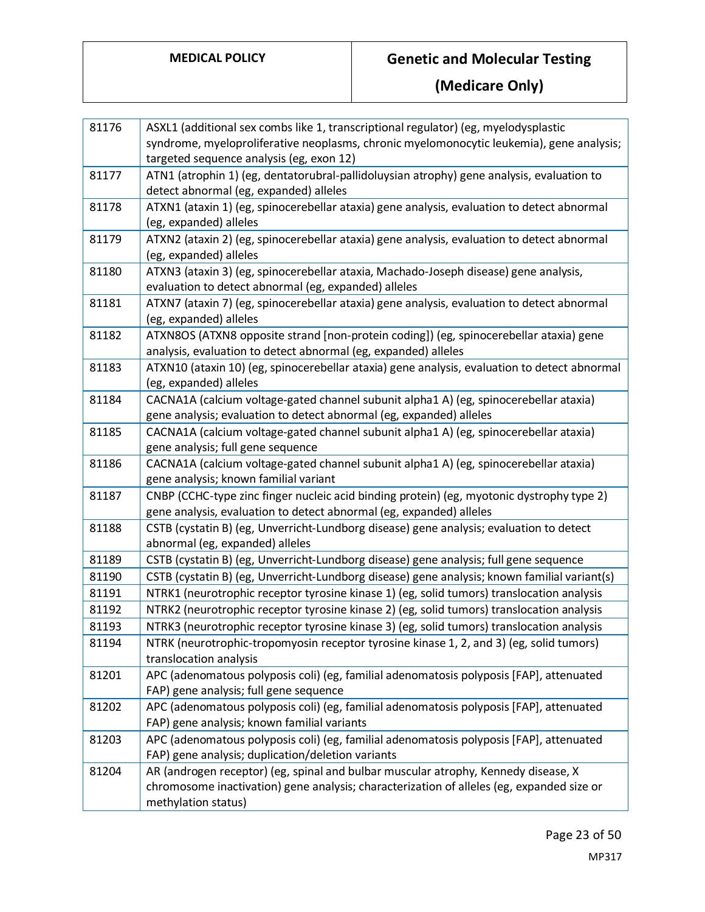| 81176 | ASXL1 (additional sex combs like 1, transcriptional regulator) (eg, myelodysplastic<br>syndrome, myeloproliferative neoplasms, chronic myelomonocytic leukemia), gene analysis;                        |
|-------|--------------------------------------------------------------------------------------------------------------------------------------------------------------------------------------------------------|
|       | targeted sequence analysis (eg, exon 12)                                                                                                                                                               |
| 81177 | ATN1 (atrophin 1) (eg, dentatorubral-pallidoluysian atrophy) gene analysis, evaluation to<br>detect abnormal (eg, expanded) alleles                                                                    |
| 81178 | ATXN1 (ataxin 1) (eg, spinocerebellar ataxia) gene analysis, evaluation to detect abnormal<br>(eg, expanded) alleles                                                                                   |
| 81179 | ATXN2 (ataxin 2) (eg, spinocerebellar ataxia) gene analysis, evaluation to detect abnormal<br>(eg, expanded) alleles                                                                                   |
| 81180 | ATXN3 (ataxin 3) (eg, spinocerebellar ataxia, Machado-Joseph disease) gene analysis,<br>evaluation to detect abnormal (eg, expanded) alleles                                                           |
| 81181 | ATXN7 (ataxin 7) (eg, spinocerebellar ataxia) gene analysis, evaluation to detect abnormal<br>(eg, expanded) alleles                                                                                   |
| 81182 | ATXN8OS (ATXN8 opposite strand [non-protein coding]) (eg, spinocerebellar ataxia) gene<br>analysis, evaluation to detect abnormal (eg, expanded) alleles                                               |
| 81183 | ATXN10 (ataxin 10) (eg, spinocerebellar ataxia) gene analysis, evaluation to detect abnormal<br>(eg, expanded) alleles                                                                                 |
| 81184 | CACNA1A (calcium voltage-gated channel subunit alpha1 A) (eg, spinocerebellar ataxia)                                                                                                                  |
|       | gene analysis; evaluation to detect abnormal (eg, expanded) alleles                                                                                                                                    |
| 81185 | CACNA1A (calcium voltage-gated channel subunit alpha1 A) (eg, spinocerebellar ataxia)<br>gene analysis; full gene sequence                                                                             |
| 81186 | CACNA1A (calcium voltage-gated channel subunit alpha1 A) (eg, spinocerebellar ataxia)<br>gene analysis; known familial variant                                                                         |
| 81187 | CNBP (CCHC-type zinc finger nucleic acid binding protein) (eg, myotonic dystrophy type 2)<br>gene analysis, evaluation to detect abnormal (eg, expanded) alleles                                       |
| 81188 | CSTB (cystatin B) (eg, Unverricht-Lundborg disease) gene analysis; evaluation to detect<br>abnormal (eg, expanded) alleles                                                                             |
| 81189 | CSTB (cystatin B) (eg, Unverricht-Lundborg disease) gene analysis; full gene sequence                                                                                                                  |
| 81190 | CSTB (cystatin B) (eg, Unverricht-Lundborg disease) gene analysis; known familial variant(s)                                                                                                           |
| 81191 | NTRK1 (neurotrophic receptor tyrosine kinase 1) (eg, solid tumors) translocation analysis                                                                                                              |
| 81192 | NTRK2 (neurotrophic receptor tyrosine kinase 2) (eg, solid tumors) translocation analysis                                                                                                              |
| 81193 | NTRK3 (neurotrophic receptor tyrosine kinase 3) (eg, solid tumors) translocation analysis                                                                                                              |
| 81194 | NTRK (neurotrophic-tropomyosin receptor tyrosine kinase 1, 2, and 3) (eg, solid tumors)<br>translocation analysis                                                                                      |
| 81201 | APC (adenomatous polyposis coli) (eg, familial adenomatosis polyposis [FAP], attenuated<br>FAP) gene analysis; full gene sequence                                                                      |
| 81202 | APC (adenomatous polyposis coli) (eg, familial adenomatosis polyposis [FAP], attenuated<br>FAP) gene analysis; known familial variants                                                                 |
| 81203 | APC (adenomatous polyposis coli) (eg, familial adenomatosis polyposis [FAP], attenuated<br>FAP) gene analysis; duplication/deletion variants                                                           |
| 81204 | AR (androgen receptor) (eg, spinal and bulbar muscular atrophy, Kennedy disease, X<br>chromosome inactivation) gene analysis; characterization of alleles (eg, expanded size or<br>methylation status) |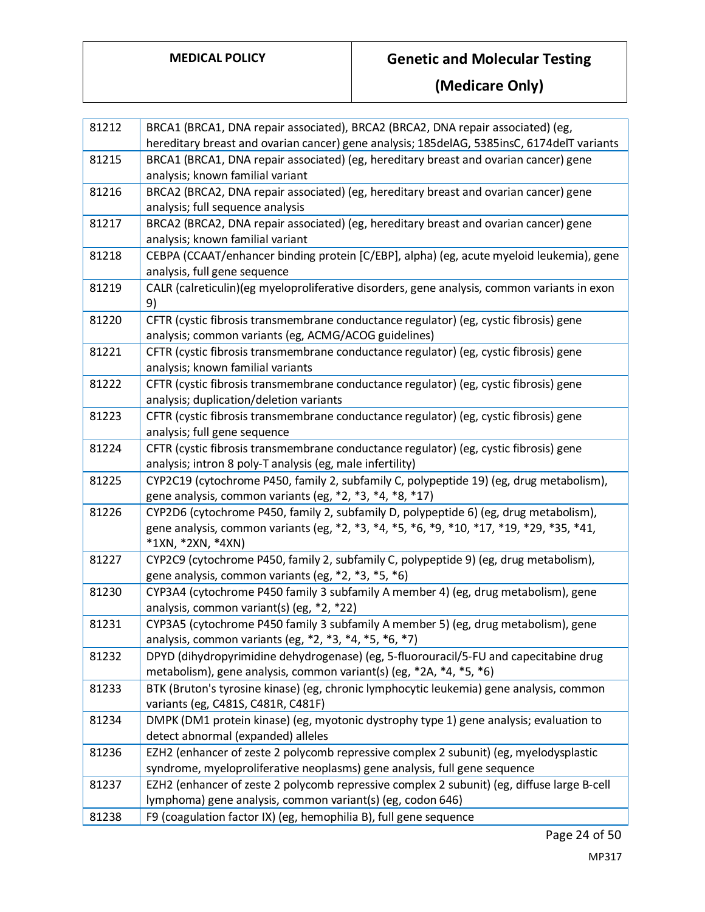| 81212 | BRCA1 (BRCA1, DNA repair associated), BRCA2 (BRCA2, DNA repair associated) (eg,<br>hereditary breast and ovarian cancer) gene analysis; 185delAG, 5385insC, 6174delT variants |
|-------|-------------------------------------------------------------------------------------------------------------------------------------------------------------------------------|
| 81215 | BRCA1 (BRCA1, DNA repair associated) (eg, hereditary breast and ovarian cancer) gene                                                                                          |
|       | analysis; known familial variant                                                                                                                                              |
| 81216 | BRCA2 (BRCA2, DNA repair associated) (eg, hereditary breast and ovarian cancer) gene                                                                                          |
|       | analysis; full sequence analysis                                                                                                                                              |
| 81217 | BRCA2 (BRCA2, DNA repair associated) (eg, hereditary breast and ovarian cancer) gene                                                                                          |
|       | analysis; known familial variant                                                                                                                                              |
| 81218 | CEBPA (CCAAT/enhancer binding protein [C/EBP], alpha) (eg, acute myeloid leukemia), gene                                                                                      |
|       | analysis, full gene sequence                                                                                                                                                  |
| 81219 | CALR (calreticulin)(eg myeloproliferative disorders, gene analysis, common variants in exon                                                                                   |
|       | 9)                                                                                                                                                                            |
| 81220 | CFTR (cystic fibrosis transmembrane conductance regulator) (eg, cystic fibrosis) gene                                                                                         |
|       | analysis; common variants (eg, ACMG/ACOG guidelines)                                                                                                                          |
| 81221 | CFTR (cystic fibrosis transmembrane conductance regulator) (eg, cystic fibrosis) gene                                                                                         |
|       | analysis; known familial variants                                                                                                                                             |
| 81222 | CFTR (cystic fibrosis transmembrane conductance regulator) (eg, cystic fibrosis) gene                                                                                         |
|       | analysis; duplication/deletion variants                                                                                                                                       |
| 81223 | CFTR (cystic fibrosis transmembrane conductance regulator) (eg, cystic fibrosis) gene                                                                                         |
|       | analysis; full gene sequence                                                                                                                                                  |
| 81224 | CFTR (cystic fibrosis transmembrane conductance regulator) (eg, cystic fibrosis) gene                                                                                         |
|       | analysis; intron 8 poly-T analysis (eg, male infertility)                                                                                                                     |
| 81225 | CYP2C19 (cytochrome P450, family 2, subfamily C, polypeptide 19) (eg, drug metabolism),                                                                                       |
|       | gene analysis, common variants (eg, *2, *3, *4, *8, *17)                                                                                                                      |
| 81226 | CYP2D6 (cytochrome P450, family 2, subfamily D, polypeptide 6) (eg, drug metabolism),                                                                                         |
|       | gene analysis, common variants (eg, *2, *3, *4, *5, *6, *9, *10, *17, *19, *29, *35, *41,                                                                                     |
|       | *1XN, *2XN, *4XN)                                                                                                                                                             |
| 81227 | CYP2C9 (cytochrome P450, family 2, subfamily C, polypeptide 9) (eg, drug metabolism),                                                                                         |
|       | gene analysis, common variants (eg, *2, *3, *5, *6)                                                                                                                           |
| 81230 | CYP3A4 (cytochrome P450 family 3 subfamily A member 4) (eg, drug metabolism), gene                                                                                            |
|       | analysis, common variant(s) (eg, *2, *22)                                                                                                                                     |
| 81231 | CYP3A5 (cytochrome P450 family 3 subfamily A member 5) (eg, drug metabolism), gene                                                                                            |
|       | analysis, common variants (eg, *2, *3, *4, *5, *6, *7)                                                                                                                        |
| 81232 | DPYD (dihydropyrimidine dehydrogenase) (eg, 5-fluorouracil/5-FU and capecitabine drug                                                                                         |
|       | metabolism), gene analysis, common variant(s) (eg, *2A, *4, *5, *6)                                                                                                           |
| 81233 | BTK (Bruton's tyrosine kinase) (eg, chronic lymphocytic leukemia) gene analysis, common                                                                                       |
|       | variants (eg, C481S, C481R, C481F)                                                                                                                                            |
| 81234 | DMPK (DM1 protein kinase) (eg, myotonic dystrophy type 1) gene analysis; evaluation to                                                                                        |
|       | detect abnormal (expanded) alleles                                                                                                                                            |
| 81236 | EZH2 (enhancer of zeste 2 polycomb repressive complex 2 subunit) (eg, myelodysplastic                                                                                         |
|       | syndrome, myeloproliferative neoplasms) gene analysis, full gene sequence                                                                                                     |
| 81237 | EZH2 (enhancer of zeste 2 polycomb repressive complex 2 subunit) (eg, diffuse large B-cell                                                                                    |
|       | lymphoma) gene analysis, common variant(s) (eg, codon 646)                                                                                                                    |
| 81238 | F9 (coagulation factor IX) (eg, hemophilia B), full gene sequence                                                                                                             |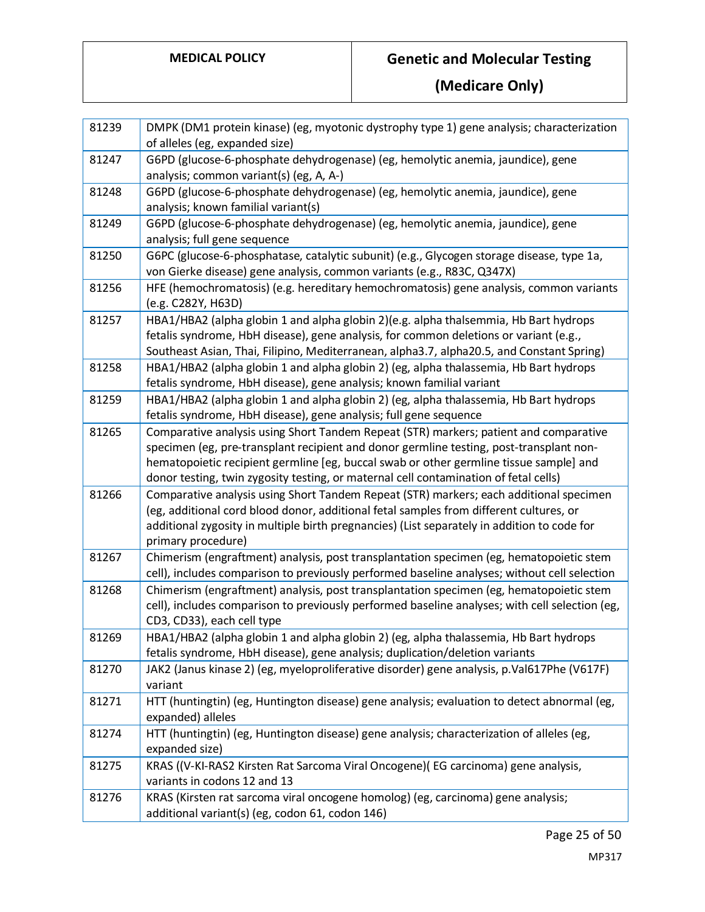| 81239 | DMPK (DM1 protein kinase) (eg, myotonic dystrophy type 1) gene analysis; characterization<br>of alleles (eg, expanded size)                                                                                                                                                                                                                                        |
|-------|--------------------------------------------------------------------------------------------------------------------------------------------------------------------------------------------------------------------------------------------------------------------------------------------------------------------------------------------------------------------|
| 81247 | G6PD (glucose-6-phosphate dehydrogenase) (eg, hemolytic anemia, jaundice), gene<br>analysis; common variant(s) (eg, A, A-)                                                                                                                                                                                                                                         |
| 81248 | G6PD (glucose-6-phosphate dehydrogenase) (eg, hemolytic anemia, jaundice), gene<br>analysis; known familial variant(s)                                                                                                                                                                                                                                             |
| 81249 | G6PD (glucose-6-phosphate dehydrogenase) (eg, hemolytic anemia, jaundice), gene<br>analysis; full gene sequence                                                                                                                                                                                                                                                    |
| 81250 | G6PC (glucose-6-phosphatase, catalytic subunit) (e.g., Glycogen storage disease, type 1a,<br>von Gierke disease) gene analysis, common variants (e.g., R83C, Q347X)                                                                                                                                                                                                |
| 81256 | HFE (hemochromatosis) (e.g. hereditary hemochromatosis) gene analysis, common variants<br>(e.g. C282Y, H63D)                                                                                                                                                                                                                                                       |
| 81257 | HBA1/HBA2 (alpha globin 1 and alpha globin 2)(e.g. alpha thalsemmia, Hb Bart hydrops<br>fetalis syndrome, HbH disease), gene analysis, for common deletions or variant (e.g.,<br>Southeast Asian, Thai, Filipino, Mediterranean, alpha3.7, alpha20.5, and Constant Spring)                                                                                         |
| 81258 | HBA1/HBA2 (alpha globin 1 and alpha globin 2) (eg, alpha thalassemia, Hb Bart hydrops<br>fetalis syndrome, HbH disease), gene analysis; known familial variant                                                                                                                                                                                                     |
| 81259 | HBA1/HBA2 (alpha globin 1 and alpha globin 2) (eg, alpha thalassemia, Hb Bart hydrops<br>fetalis syndrome, HbH disease), gene analysis; full gene sequence                                                                                                                                                                                                         |
| 81265 | Comparative analysis using Short Tandem Repeat (STR) markers; patient and comparative<br>specimen (eg, pre-transplant recipient and donor germline testing, post-transplant non-<br>hematopoietic recipient germline [eg, buccal swab or other germline tissue sample] and<br>donor testing, twin zygosity testing, or maternal cell contamination of fetal cells) |
| 81266 | Comparative analysis using Short Tandem Repeat (STR) markers; each additional specimen<br>(eg, additional cord blood donor, additional fetal samples from different cultures, or<br>additional zygosity in multiple birth pregnancies) (List separately in addition to code for<br>primary procedure)                                                              |
| 81267 | Chimerism (engraftment) analysis, post transplantation specimen (eg, hematopoietic stem<br>cell), includes comparison to previously performed baseline analyses; without cell selection                                                                                                                                                                            |
| 81268 | Chimerism (engraftment) analysis, post transplantation specimen (eg, hematopoietic stem<br>cell), includes comparison to previously performed baseline analyses; with cell selection (eg,<br>CD3, CD33), each cell type                                                                                                                                            |
| 81269 | HBA1/HBA2 (alpha globin 1 and alpha globin 2) (eg, alpha thalassemia, Hb Bart hydrops<br>fetalis syndrome, HbH disease), gene analysis; duplication/deletion variants                                                                                                                                                                                              |
| 81270 | JAK2 (Janus kinase 2) (eg, myeloproliferative disorder) gene analysis, p.Val617Phe (V617F)<br>variant                                                                                                                                                                                                                                                              |
| 81271 | HTT (huntingtin) (eg, Huntington disease) gene analysis; evaluation to detect abnormal (eg,<br>expanded) alleles                                                                                                                                                                                                                                                   |
| 81274 | HTT (huntingtin) (eg, Huntington disease) gene analysis; characterization of alleles (eg,<br>expanded size)                                                                                                                                                                                                                                                        |
| 81275 | KRAS ((V-KI-RAS2 Kirsten Rat Sarcoma Viral Oncogene) (EG carcinoma) gene analysis,<br>variants in codons 12 and 13                                                                                                                                                                                                                                                 |
| 81276 | KRAS (Kirsten rat sarcoma viral oncogene homolog) (eg, carcinoma) gene analysis;<br>additional variant(s) (eg, codon 61, codon 146)                                                                                                                                                                                                                                |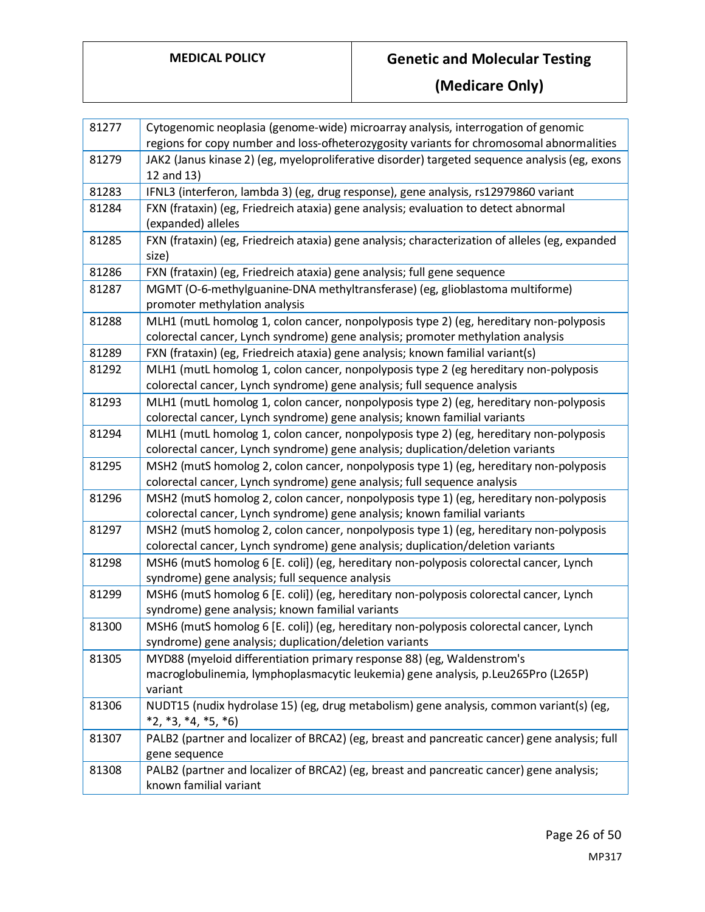| 81277 | Cytogenomic neoplasia (genome-wide) microarray analysis, interrogation of genomic<br>regions for copy number and loss-ofheterozygosity variants for chromosomal abnormalities |
|-------|-------------------------------------------------------------------------------------------------------------------------------------------------------------------------------|
| 81279 |                                                                                                                                                                               |
|       | JAK2 (Janus kinase 2) (eg, myeloproliferative disorder) targeted sequence analysis (eg, exons<br>12 and 13)                                                                   |
| 81283 | IFNL3 (interferon, lambda 3) (eg, drug response), gene analysis, rs12979860 variant                                                                                           |
| 81284 | FXN (frataxin) (eg, Friedreich ataxia) gene analysis; evaluation to detect abnormal<br>(expanded) alleles                                                                     |
| 81285 | FXN (frataxin) (eg, Friedreich ataxia) gene analysis; characterization of alleles (eg, expanded<br>size)                                                                      |
| 81286 | FXN (frataxin) (eg, Friedreich ataxia) gene analysis; full gene sequence                                                                                                      |
| 81287 | MGMT (O-6-methylguanine-DNA methyltransferase) (eg, glioblastoma multiforme)<br>promoter methylation analysis                                                                 |
| 81288 | MLH1 (mutL homolog 1, colon cancer, nonpolyposis type 2) (eg, hereditary non-polyposis<br>colorectal cancer, Lynch syndrome) gene analysis; promoter methylation analysis     |
| 81289 | FXN (frataxin) (eg, Friedreich ataxia) gene analysis; known familial variant(s)                                                                                               |
| 81292 | MLH1 (mutL homolog 1, colon cancer, nonpolyposis type 2 (eg hereditary non-polyposis<br>colorectal cancer, Lynch syndrome) gene analysis; full sequence analysis              |
| 81293 | MLH1 (mutL homolog 1, colon cancer, nonpolyposis type 2) (eg, hereditary non-polyposis<br>colorectal cancer, Lynch syndrome) gene analysis; known familial variants           |
| 81294 | MLH1 (mutL homolog 1, colon cancer, nonpolyposis type 2) (eg, hereditary non-polyposis<br>colorectal cancer, Lynch syndrome) gene analysis; duplication/deletion variants     |
| 81295 | MSH2 (mutS homolog 2, colon cancer, nonpolyposis type 1) (eg, hereditary non-polyposis<br>colorectal cancer, Lynch syndrome) gene analysis; full sequence analysis            |
| 81296 | MSH2 (mutS homolog 2, colon cancer, nonpolyposis type 1) (eg, hereditary non-polyposis<br>colorectal cancer, Lynch syndrome) gene analysis; known familial variants           |
| 81297 | MSH2 (mutS homolog 2, colon cancer, nonpolyposis type 1) (eg, hereditary non-polyposis<br>colorectal cancer, Lynch syndrome) gene analysis; duplication/deletion variants     |
| 81298 | MSH6 (mutS homolog 6 [E. coli]) (eg, hereditary non-polyposis colorectal cancer, Lynch<br>syndrome) gene analysis; full sequence analysis                                     |
| 81299 | MSH6 (mutS homolog 6 [E. coli]) (eg, hereditary non-polyposis colorectal cancer, Lynch<br>syndrome) gene analysis; known familial variants                                    |
| 81300 | MSH6 (mutS homolog 6 [E. coli]) (eg, hereditary non-polyposis colorectal cancer, Lynch<br>syndrome) gene analysis; duplication/deletion variants                              |
| 81305 | MYD88 (myeloid differentiation primary response 88) (eg, Waldenstrom's<br>macroglobulinemia, lymphoplasmacytic leukemia) gene analysis, p.Leu265Pro (L265P)<br>variant        |
| 81306 | NUDT15 (nudix hydrolase 15) (eg, drug metabolism) gene analysis, common variant(s) (eg,<br>$*2, *3, *4, *5, *6)$                                                              |
| 81307 | PALB2 (partner and localizer of BRCA2) (eg, breast and pancreatic cancer) gene analysis; full<br>gene sequence                                                                |
| 81308 | PALB2 (partner and localizer of BRCA2) (eg, breast and pancreatic cancer) gene analysis;<br>known familial variant                                                            |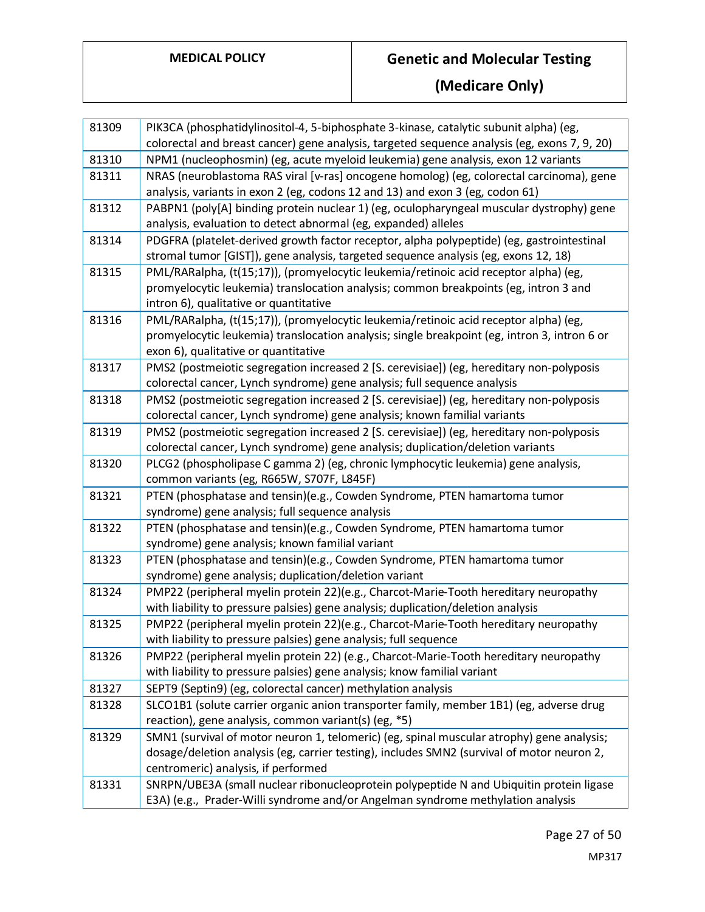| 81309 | PIK3CA (phosphatidylinositol-4, 5-biphosphate 3-kinase, catalytic subunit alpha) (eg,                                                                                                                                          |
|-------|--------------------------------------------------------------------------------------------------------------------------------------------------------------------------------------------------------------------------------|
|       | colorectal and breast cancer) gene analysis, targeted sequence analysis (eg, exons 7, 9, 20)                                                                                                                                   |
| 81310 | NPM1 (nucleophosmin) (eg, acute myeloid leukemia) gene analysis, exon 12 variants                                                                                                                                              |
| 81311 | NRAS (neuroblastoma RAS viral [v-ras] oncogene homolog) (eg, colorectal carcinoma), gene<br>analysis, variants in exon 2 (eg, codons 12 and 13) and exon 3 (eg, codon 61)                                                      |
| 81312 | PABPN1 (poly[A] binding protein nuclear 1) (eg, oculopharyngeal muscular dystrophy) gene<br>analysis, evaluation to detect abnormal (eg, expanded) alleles                                                                     |
| 81314 | PDGFRA (platelet-derived growth factor receptor, alpha polypeptide) (eg, gastrointestinal<br>stromal tumor [GIST]), gene analysis, targeted sequence analysis (eg, exons 12, 18)                                               |
| 81315 | PML/RARalpha, (t(15;17)), (promyelocytic leukemia/retinoic acid receptor alpha) (eg,<br>promyelocytic leukemia) translocation analysis; common breakpoints (eg, intron 3 and<br>intron 6), qualitative or quantitative         |
| 81316 | PML/RARalpha, (t(15;17)), (promyelocytic leukemia/retinoic acid receptor alpha) (eg,<br>promyelocytic leukemia) translocation analysis; single breakpoint (eg, intron 3, intron 6 or<br>exon 6), qualitative or quantitative   |
| 81317 | PMS2 (postmeiotic segregation increased 2 [S. cerevisiae]) (eg, hereditary non-polyposis<br>colorectal cancer, Lynch syndrome) gene analysis; full sequence analysis                                                           |
| 81318 | PMS2 (postmeiotic segregation increased 2 [S. cerevisiae]) (eg, hereditary non-polyposis<br>colorectal cancer, Lynch syndrome) gene analysis; known familial variants                                                          |
| 81319 | PMS2 (postmeiotic segregation increased 2 [S. cerevisiae]) (eg, hereditary non-polyposis<br>colorectal cancer, Lynch syndrome) gene analysis; duplication/deletion variants                                                    |
| 81320 | PLCG2 (phospholipase C gamma 2) (eg, chronic lymphocytic leukemia) gene analysis,<br>common variants (eg, R665W, S707F, L845F)                                                                                                 |
| 81321 | PTEN (phosphatase and tensin)(e.g., Cowden Syndrome, PTEN hamartoma tumor<br>syndrome) gene analysis; full sequence analysis                                                                                                   |
| 81322 | PTEN (phosphatase and tensin)(e.g., Cowden Syndrome, PTEN hamartoma tumor<br>syndrome) gene analysis; known familial variant                                                                                                   |
| 81323 | PTEN (phosphatase and tensin)(e.g., Cowden Syndrome, PTEN hamartoma tumor<br>syndrome) gene analysis; duplication/deletion variant                                                                                             |
| 81324 | PMP22 (peripheral myelin protein 22)(e.g., Charcot-Marie-Tooth hereditary neuropathy<br>with liability to pressure palsies) gene analysis; duplication/deletion analysis                                                       |
| 81325 | PMP22 (peripheral myelin protein 22)(e.g., Charcot-Marie-Tooth hereditary neuropathy<br>with liability to pressure palsies) gene analysis; full sequence                                                                       |
| 81326 | PMP22 (peripheral myelin protein 22) (e.g., Charcot-Marie-Tooth hereditary neuropathy<br>with liability to pressure palsies) gene analysis; know familial variant                                                              |
| 81327 | SEPT9 (Septin9) (eg, colorectal cancer) methylation analysis                                                                                                                                                                   |
| 81328 | SLCO1B1 (solute carrier organic anion transporter family, member 1B1) (eg, adverse drug<br>reaction), gene analysis, common variant(s) (eg, *5)                                                                                |
| 81329 | SMN1 (survival of motor neuron 1, telomeric) (eg, spinal muscular atrophy) gene analysis;<br>dosage/deletion analysis (eg, carrier testing), includes SMN2 (survival of motor neuron 2,<br>centromeric) analysis, if performed |
| 81331 | SNRPN/UBE3A (small nuclear ribonucleoprotein polypeptide N and Ubiquitin protein ligase<br>E3A) (e.g., Prader-Willi syndrome and/or Angelman syndrome methylation analysis                                                     |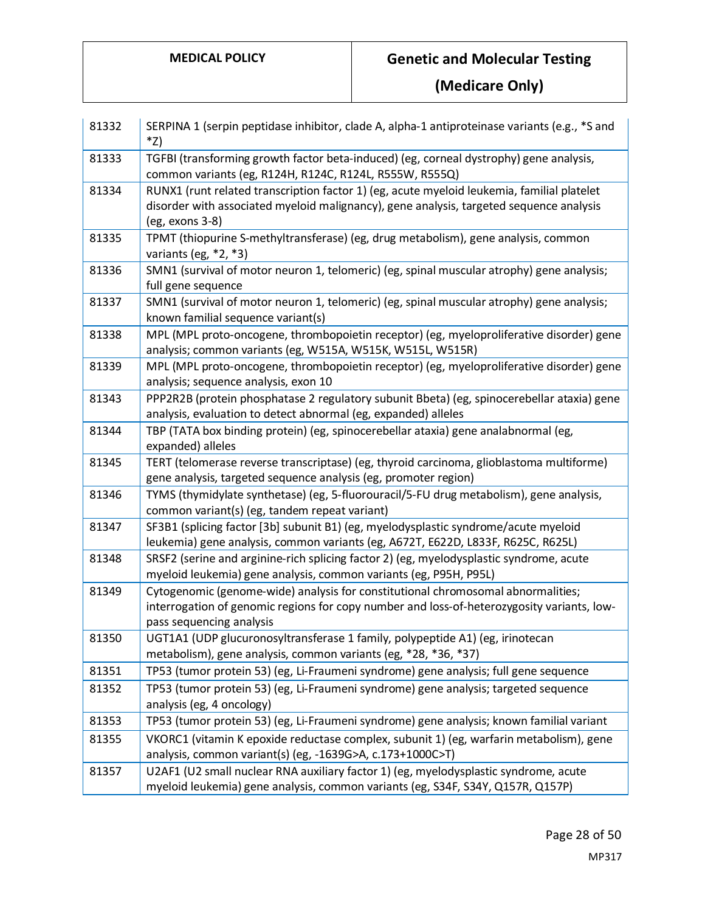| 81332 | SERPINA 1 (serpin peptidase inhibitor, clade A, alpha-1 antiproteinase variants (e.g., *S and<br>*Z)                                                                                                       |
|-------|------------------------------------------------------------------------------------------------------------------------------------------------------------------------------------------------------------|
| 81333 | TGFBI (transforming growth factor beta-induced) (eg, corneal dystrophy) gene analysis,<br>common variants (eg, R124H, R124C, R124L, R555W, R555Q)                                                          |
| 81334 | RUNX1 (runt related transcription factor 1) (eg, acute myeloid leukemia, familial platelet<br>disorder with associated myeloid malignancy), gene analysis, targeted sequence analysis<br>(eg, exons 3-8)   |
| 81335 | TPMT (thiopurine S-methyltransferase) (eg, drug metabolism), gene analysis, common<br>variants (eg, $*2, *3$ )                                                                                             |
| 81336 | SMN1 (survival of motor neuron 1, telomeric) (eg, spinal muscular atrophy) gene analysis;<br>full gene sequence                                                                                            |
| 81337 | SMN1 (survival of motor neuron 1, telomeric) (eg, spinal muscular atrophy) gene analysis;<br>known familial sequence variant(s)                                                                            |
| 81338 | MPL (MPL proto-oncogene, thrombopoietin receptor) (eg, myeloproliferative disorder) gene<br>analysis; common variants (eg, W515A, W515K, W515L, W515R)                                                     |
| 81339 | MPL (MPL proto-oncogene, thrombopoietin receptor) (eg, myeloproliferative disorder) gene<br>analysis; sequence analysis, exon 10                                                                           |
| 81343 | PPP2R2B (protein phosphatase 2 regulatory subunit Bbeta) (eg, spinocerebellar ataxia) gene<br>analysis, evaluation to detect abnormal (eg, expanded) alleles                                               |
| 81344 | TBP (TATA box binding protein) (eg, spinocerebellar ataxia) gene analabnormal (eg,<br>expanded) alleles                                                                                                    |
| 81345 | TERT (telomerase reverse transcriptase) (eg, thyroid carcinoma, glioblastoma multiforme)<br>gene analysis, targeted sequence analysis (eg, promoter region)                                                |
| 81346 | TYMS (thymidylate synthetase) (eg, 5-fluorouracil/5-FU drug metabolism), gene analysis,<br>common variant(s) (eg, tandem repeat variant)                                                                   |
| 81347 | SF3B1 (splicing factor [3b] subunit B1) (eg, myelodysplastic syndrome/acute myeloid<br>leukemia) gene analysis, common variants (eg, A672T, E622D, L833F, R625C, R625L)                                    |
| 81348 | SRSF2 (serine and arginine-rich splicing factor 2) (eg, myelodysplastic syndrome, acute<br>myeloid leukemia) gene analysis, common variants (eg, P95H, P95L)                                               |
| 81349 | Cytogenomic (genome-wide) analysis for constitutional chromosomal abnormalities;<br>interrogation of genomic regions for copy number and loss-of-heterozygosity variants, low-<br>pass sequencing analysis |
| 81350 | UGT1A1 (UDP glucuronosyltransferase 1 family, polypeptide A1) (eg, irinotecan<br>metabolism), gene analysis, common variants (eg, *28, *36, *37)                                                           |
| 81351 | TP53 (tumor protein 53) (eg, Li-Fraumeni syndrome) gene analysis; full gene sequence                                                                                                                       |
| 81352 | TP53 (tumor protein 53) (eg, Li-Fraumeni syndrome) gene analysis; targeted sequence<br>analysis (eg, 4 oncology)                                                                                           |
| 81353 | TP53 (tumor protein 53) (eg, Li-Fraumeni syndrome) gene analysis; known familial variant                                                                                                                   |
| 81355 | VKORC1 (vitamin K epoxide reductase complex, subunit 1) (eg, warfarin metabolism), gene<br>analysis, common variant(s) (eg, -1639G>A, c.173+1000C>T)                                                       |
| 81357 | U2AF1 (U2 small nuclear RNA auxiliary factor 1) (eg, myelodysplastic syndrome, acute<br>myeloid leukemia) gene analysis, common variants (eg, S34F, S34Y, Q157R, Q157P)                                    |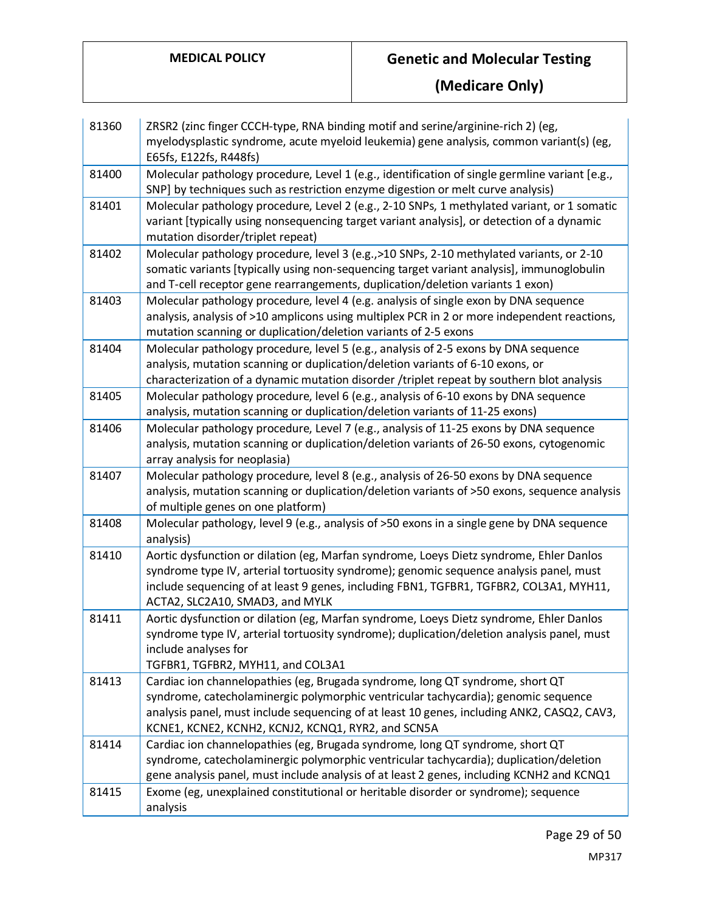| 81360 | ZRSR2 (zinc finger CCCH-type, RNA binding motif and serine/arginine-rich 2) (eg,<br>myelodysplastic syndrome, acute myeloid leukemia) gene analysis, common variant(s) (eg,<br>E65fs, E122fs, R448fs)                                                                                                          |
|-------|----------------------------------------------------------------------------------------------------------------------------------------------------------------------------------------------------------------------------------------------------------------------------------------------------------------|
| 81400 | Molecular pathology procedure, Level 1 (e.g., identification of single germline variant [e.g.,<br>SNP] by techniques such as restriction enzyme digestion or melt curve analysis)                                                                                                                              |
| 81401 | Molecular pathology procedure, Level 2 (e.g., 2-10 SNPs, 1 methylated variant, or 1 somatic<br>variant [typically using nonsequencing target variant analysis], or detection of a dynamic<br>mutation disorder/triplet repeat)                                                                                 |
| 81402 | Molecular pathology procedure, level 3 (e.g., >10 SNPs, 2-10 methylated variants, or 2-10<br>somatic variants [typically using non-sequencing target variant analysis], immunoglobulin<br>and T-cell receptor gene rearrangements, duplication/deletion variants 1 exon)                                       |
| 81403 | Molecular pathology procedure, level 4 (e.g. analysis of single exon by DNA sequence<br>analysis, analysis of >10 amplicons using multiplex PCR in 2 or more independent reactions,<br>mutation scanning or duplication/deletion variants of 2-5 exons                                                         |
| 81404 | Molecular pathology procedure, level 5 (e.g., analysis of 2-5 exons by DNA sequence<br>analysis, mutation scanning or duplication/deletion variants of 6-10 exons, or<br>characterization of a dynamic mutation disorder /triplet repeat by southern blot analysis                                             |
| 81405 | Molecular pathology procedure, level 6 (e.g., analysis of 6-10 exons by DNA sequence<br>analysis, mutation scanning or duplication/deletion variants of 11-25 exons)                                                                                                                                           |
| 81406 | Molecular pathology procedure, Level 7 (e.g., analysis of 11-25 exons by DNA sequence<br>analysis, mutation scanning or duplication/deletion variants of 26-50 exons, cytogenomic<br>array analysis for neoplasia)                                                                                             |
| 81407 | Molecular pathology procedure, level 8 (e.g., analysis of 26-50 exons by DNA sequence<br>analysis, mutation scanning or duplication/deletion variants of >50 exons, sequence analysis<br>of multiple genes on one platform)                                                                                    |
| 81408 | Molecular pathology, level 9 (e.g., analysis of >50 exons in a single gene by DNA sequence<br>analysis)                                                                                                                                                                                                        |
| 81410 | Aortic dysfunction or dilation (eg, Marfan syndrome, Loeys Dietz syndrome, Ehler Danlos<br>syndrome type IV, arterial tortuosity syndrome); genomic sequence analysis panel, must<br>include sequencing of at least 9 genes, including FBN1, TGFBR1, TGFBR2, COL3A1, MYH11,<br>ACTA2, SLC2A10, SMAD3, and MYLK |
| 81411 | Aortic dysfunction or dilation (eg, Marfan syndrome, Loeys Dietz syndrome, Ehler Danlos<br>syndrome type IV, arterial tortuosity syndrome); duplication/deletion analysis panel, must<br>include analyses for<br>TGFBR1, TGFBR2, MYH11, and COL3A1                                                             |
| 81413 | Cardiac ion channelopathies (eg, Brugada syndrome, long QT syndrome, short QT                                                                                                                                                                                                                                  |
|       | syndrome, catecholaminergic polymorphic ventricular tachycardia); genomic sequence<br>analysis panel, must include sequencing of at least 10 genes, including ANK2, CASQ2, CAV3,<br>KCNE1, KCNE2, KCNH2, KCNJ2, KCNQ1, RYR2, and SCN5A                                                                         |
| 81414 | Cardiac ion channelopathies (eg, Brugada syndrome, long QT syndrome, short QT<br>syndrome, catecholaminergic polymorphic ventricular tachycardia); duplication/deletion<br>gene analysis panel, must include analysis of at least 2 genes, including KCNH2 and KCNQ1                                           |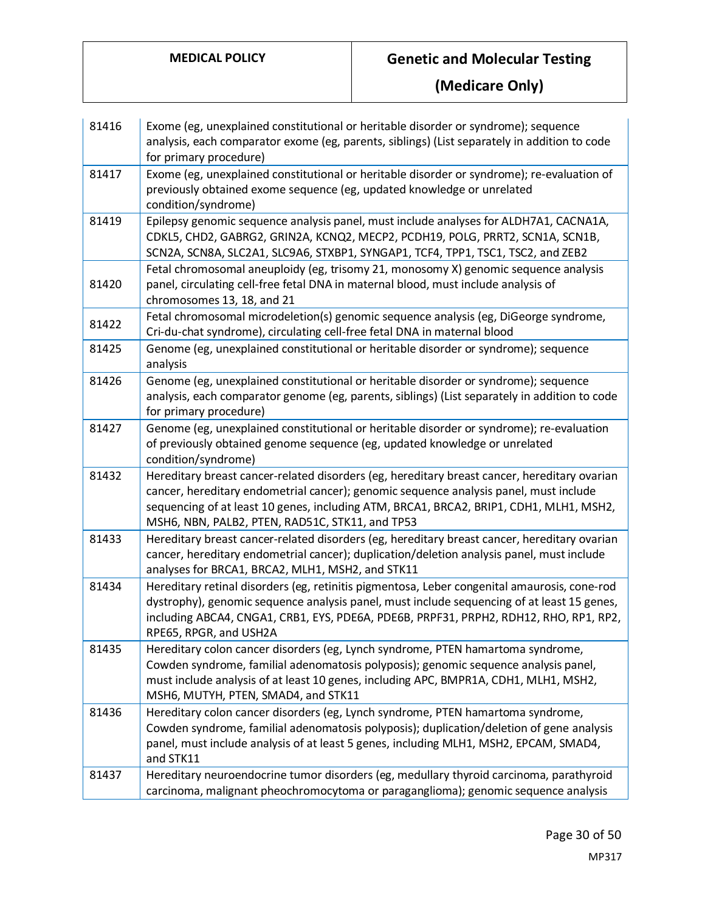| 81416 | Exome (eg, unexplained constitutional or heritable disorder or syndrome); sequence<br>analysis, each comparator exome (eg, parents, siblings) (List separately in addition to code<br>for primary procedure)                                                                                                                       |
|-------|------------------------------------------------------------------------------------------------------------------------------------------------------------------------------------------------------------------------------------------------------------------------------------------------------------------------------------|
| 81417 | Exome (eg, unexplained constitutional or heritable disorder or syndrome); re-evaluation of<br>previously obtained exome sequence (eg, updated knowledge or unrelated<br>condition/syndrome)                                                                                                                                        |
| 81419 | Epilepsy genomic sequence analysis panel, must include analyses for ALDH7A1, CACNA1A,<br>CDKL5, CHD2, GABRG2, GRIN2A, KCNQ2, MECP2, PCDH19, POLG, PRRT2, SCN1A, SCN1B,<br>SCN2A, SCN8A, SLC2A1, SLC9A6, STXBP1, SYNGAP1, TCF4, TPP1, TSC1, TSC2, and ZEB2                                                                          |
| 81420 | Fetal chromosomal aneuploidy (eg, trisomy 21, monosomy X) genomic sequence analysis<br>panel, circulating cell-free fetal DNA in maternal blood, must include analysis of<br>chromosomes 13, 18, and 21                                                                                                                            |
| 81422 | Fetal chromosomal microdeletion(s) genomic sequence analysis (eg, DiGeorge syndrome,<br>Cri-du-chat syndrome), circulating cell-free fetal DNA in maternal blood                                                                                                                                                                   |
| 81425 | Genome (eg, unexplained constitutional or heritable disorder or syndrome); sequence<br>analysis                                                                                                                                                                                                                                    |
| 81426 | Genome (eg, unexplained constitutional or heritable disorder or syndrome); sequence<br>analysis, each comparator genome (eg, parents, siblings) (List separately in addition to code<br>for primary procedure)                                                                                                                     |
| 81427 | Genome (eg, unexplained constitutional or heritable disorder or syndrome); re-evaluation<br>of previously obtained genome sequence (eg, updated knowledge or unrelated<br>condition/syndrome)                                                                                                                                      |
| 81432 | Hereditary breast cancer-related disorders (eg, hereditary breast cancer, hereditary ovarian<br>cancer, hereditary endometrial cancer); genomic sequence analysis panel, must include<br>sequencing of at least 10 genes, including ATM, BRCA1, BRCA2, BRIP1, CDH1, MLH1, MSH2,<br>MSH6, NBN, PALB2, PTEN, RAD51C, STK11, and TP53 |
| 81433 | Hereditary breast cancer-related disorders (eg, hereditary breast cancer, hereditary ovarian<br>cancer, hereditary endometrial cancer); duplication/deletion analysis panel, must include<br>analyses for BRCA1, BRCA2, MLH1, MSH2, and STK11                                                                                      |
| 81434 | Hereditary retinal disorders (eg, retinitis pigmentosa, Leber congenital amaurosis, cone-rod<br>dystrophy), genomic sequence analysis panel, must include sequencing of at least 15 genes,<br>including ABCA4, CNGA1, CRB1, EYS, PDE6A, PDE6B, PRPF31, PRPH2, RDH12, RHO, RP1, RP2,<br>RPE65, RPGR, and USH2A                      |
| 81435 | Hereditary colon cancer disorders (eg, Lynch syndrome, PTEN hamartoma syndrome,<br>Cowden syndrome, familial adenomatosis polyposis); genomic sequence analysis panel,<br>must include analysis of at least 10 genes, including APC, BMPR1A, CDH1, MLH1, MSH2,<br>MSH6, MUTYH, PTEN, SMAD4, and STK11                              |
| 81436 | Hereditary colon cancer disorders (eg, Lynch syndrome, PTEN hamartoma syndrome,<br>Cowden syndrome, familial adenomatosis polyposis); duplication/deletion of gene analysis<br>panel, must include analysis of at least 5 genes, including MLH1, MSH2, EPCAM, SMAD4,<br>and STK11                                                  |
| 81437 | Hereditary neuroendocrine tumor disorders (eg, medullary thyroid carcinoma, parathyroid<br>carcinoma, malignant pheochromocytoma or paraganglioma); genomic sequence analysis                                                                                                                                                      |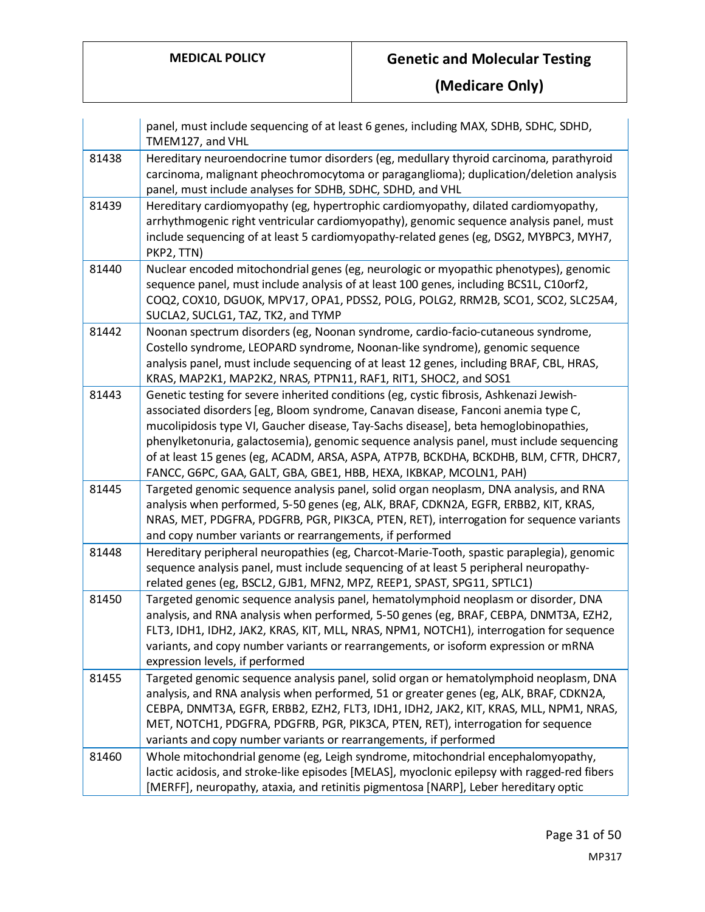|       | panel, must include sequencing of at least 6 genes, including MAX, SDHB, SDHC, SDHD,<br>TMEM127, and VHL                                                                                                                                                                                                                                                                                                                                                                                                                        |
|-------|---------------------------------------------------------------------------------------------------------------------------------------------------------------------------------------------------------------------------------------------------------------------------------------------------------------------------------------------------------------------------------------------------------------------------------------------------------------------------------------------------------------------------------|
| 81438 | Hereditary neuroendocrine tumor disorders (eg, medullary thyroid carcinoma, parathyroid<br>carcinoma, malignant pheochromocytoma or paraganglioma); duplication/deletion analysis<br>panel, must include analyses for SDHB, SDHC, SDHD, and VHL                                                                                                                                                                                                                                                                                 |
| 81439 | Hereditary cardiomyopathy (eg, hypertrophic cardiomyopathy, dilated cardiomyopathy,<br>arrhythmogenic right ventricular cardiomyopathy), genomic sequence analysis panel, must<br>include sequencing of at least 5 cardiomyopathy-related genes (eg, DSG2, MYBPC3, MYH7,<br>PKP2, TTN)                                                                                                                                                                                                                                          |
| 81440 | Nuclear encoded mitochondrial genes (eg, neurologic or myopathic phenotypes), genomic<br>sequence panel, must include analysis of at least 100 genes, including BCS1L, C10orf2,<br>COQ2, COX10, DGUOK, MPV17, OPA1, PDSS2, POLG, POLG2, RRM2B, SCO1, SCO2, SLC25A4,<br>SUCLA2, SUCLG1, TAZ, TK2, and TYMP                                                                                                                                                                                                                       |
| 81442 | Noonan spectrum disorders (eg, Noonan syndrome, cardio-facio-cutaneous syndrome,<br>Costello syndrome, LEOPARD syndrome, Noonan-like syndrome), genomic sequence<br>analysis panel, must include sequencing of at least 12 genes, including BRAF, CBL, HRAS,<br>KRAS, MAP2K1, MAP2K2, NRAS, PTPN11, RAF1, RIT1, SHOC2, and SOS1                                                                                                                                                                                                 |
| 81443 | Genetic testing for severe inherited conditions (eg, cystic fibrosis, Ashkenazi Jewish-<br>associated disorders [eg, Bloom syndrome, Canavan disease, Fanconi anemia type C,<br>mucolipidosis type VI, Gaucher disease, Tay-Sachs disease], beta hemoglobinopathies,<br>phenylketonuria, galactosemia), genomic sequence analysis panel, must include sequencing<br>of at least 15 genes (eg, ACADM, ARSA, ASPA, ATP7B, BCKDHA, BCKDHB, BLM, CFTR, DHCR7,<br>FANCC, G6PC, GAA, GALT, GBA, GBE1, HBB, HEXA, IKBKAP, MCOLN1, PAH) |
| 81445 | Targeted genomic sequence analysis panel, solid organ neoplasm, DNA analysis, and RNA<br>analysis when performed, 5-50 genes (eg, ALK, BRAF, CDKN2A, EGFR, ERBB2, KIT, KRAS,<br>NRAS, MET, PDGFRA, PDGFRB, PGR, PIK3CA, PTEN, RET), interrogation for sequence variants<br>and copy number variants or rearrangements, if performed                                                                                                                                                                                             |
| 81448 | Hereditary peripheral neuropathies (eg, Charcot-Marie-Tooth, spastic paraplegia), genomic<br>sequence analysis panel, must include sequencing of at least 5 peripheral neuropathy-<br>related genes (eg, BSCL2, GJB1, MFN2, MPZ, REEP1, SPAST, SPG11, SPTLC1)                                                                                                                                                                                                                                                                   |
| 81450 | Targeted genomic sequence analysis panel, hematolymphoid neoplasm or disorder, DNA<br>analysis, and RNA analysis when performed, 5-50 genes (eg, BRAF, CEBPA, DNMT3A, EZH2,<br>FLT3, IDH1, IDH2, JAK2, KRAS, KIT, MLL, NRAS, NPM1, NOTCH1), interrogation for sequence<br>variants, and copy number variants or rearrangements, or isoform expression or mRNA<br>expression levels, if performed                                                                                                                                |
| 81455 | Targeted genomic sequence analysis panel, solid organ or hematolymphoid neoplasm, DNA<br>analysis, and RNA analysis when performed, 51 or greater genes (eg, ALK, BRAF, CDKN2A,<br>CEBPA, DNMT3A, EGFR, ERBB2, EZH2, FLT3, IDH1, IDH2, JAK2, KIT, KRAS, MLL, NPM1, NRAS,<br>MET, NOTCH1, PDGFRA, PDGFRB, PGR, PIK3CA, PTEN, RET), interrogation for sequence<br>variants and copy number variants or rearrangements, if performed                                                                                               |
| 81460 | Whole mitochondrial genome (eg, Leigh syndrome, mitochondrial encephalomyopathy,<br>lactic acidosis, and stroke-like episodes [MELAS], myoclonic epilepsy with ragged-red fibers<br>[MERFF], neuropathy, ataxia, and retinitis pigmentosa [NARP], Leber hereditary optic                                                                                                                                                                                                                                                        |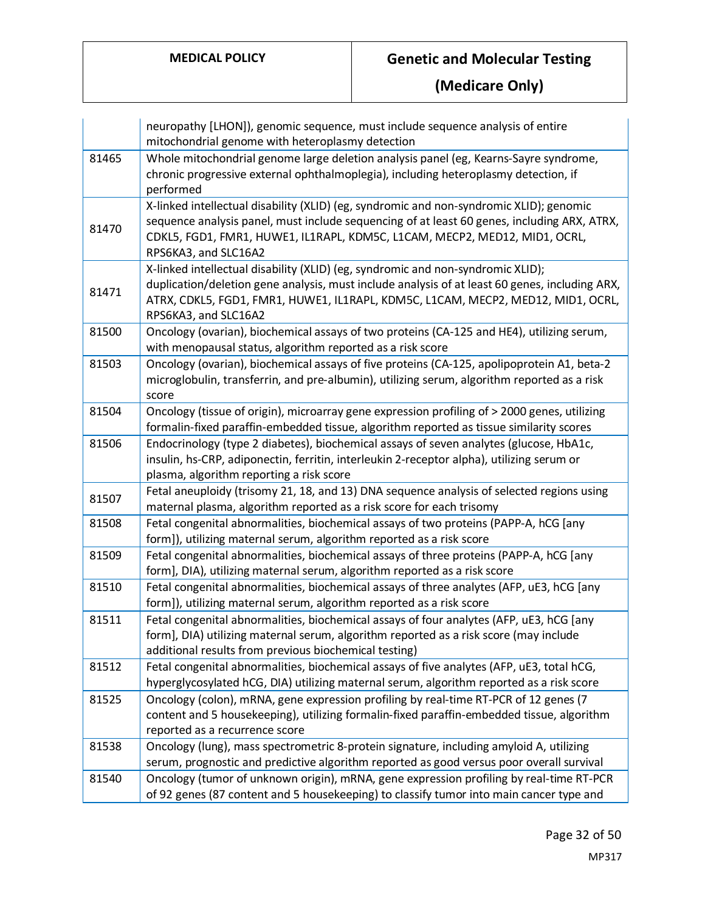|       | neuropathy [LHON]), genomic sequence, must include sequence analysis of entire<br>mitochondrial genome with heteroplasmy detection                                                                                                                                                            |
|-------|-----------------------------------------------------------------------------------------------------------------------------------------------------------------------------------------------------------------------------------------------------------------------------------------------|
| 81465 | Whole mitochondrial genome large deletion analysis panel (eg, Kearns-Sayre syndrome,                                                                                                                                                                                                          |
|       | chronic progressive external ophthalmoplegia), including heteroplasmy detection, if<br>performed                                                                                                                                                                                              |
| 81470 | X-linked intellectual disability (XLID) (eg, syndromic and non-syndromic XLID); genomic<br>sequence analysis panel, must include sequencing of at least 60 genes, including ARX, ATRX,<br>CDKL5, FGD1, FMR1, HUWE1, IL1RAPL, KDM5C, L1CAM, MECP2, MED12, MID1, OCRL,<br>RPS6KA3, and SLC16A2  |
| 81471 | X-linked intellectual disability (XLID) (eg, syndromic and non-syndromic XLID);<br>duplication/deletion gene analysis, must include analysis of at least 60 genes, including ARX,<br>ATRX, CDKL5, FGD1, FMR1, HUWE1, IL1RAPL, KDM5C, L1CAM, MECP2, MED12, MID1, OCRL,<br>RPS6KA3, and SLC16A2 |
| 81500 | Oncology (ovarian), biochemical assays of two proteins (CA-125 and HE4), utilizing serum,<br>with menopausal status, algorithm reported as a risk score                                                                                                                                       |
| 81503 | Oncology (ovarian), biochemical assays of five proteins (CA-125, apolipoprotein A1, beta-2<br>microglobulin, transferrin, and pre-albumin), utilizing serum, algorithm reported as a risk<br>score                                                                                            |
| 81504 | Oncology (tissue of origin), microarray gene expression profiling of > 2000 genes, utilizing<br>formalin-fixed paraffin-embedded tissue, algorithm reported as tissue similarity scores                                                                                                       |
| 81506 | Endocrinology (type 2 diabetes), biochemical assays of seven analytes (glucose, HbA1c,<br>insulin, hs-CRP, adiponectin, ferritin, interleukin 2-receptor alpha), utilizing serum or<br>plasma, algorithm reporting a risk score                                                               |
| 81507 | Fetal aneuploidy (trisomy 21, 18, and 13) DNA sequence analysis of selected regions using<br>maternal plasma, algorithm reported as a risk score for each trisomy                                                                                                                             |
| 81508 | Fetal congenital abnormalities, biochemical assays of two proteins (PAPP-A, hCG [any<br>form]), utilizing maternal serum, algorithm reported as a risk score                                                                                                                                  |
| 81509 | Fetal congenital abnormalities, biochemical assays of three proteins (PAPP-A, hCG [any<br>form], DIA), utilizing maternal serum, algorithm reported as a risk score                                                                                                                           |
| 81510 | Fetal congenital abnormalities, biochemical assays of three analytes (AFP, uE3, hCG [any<br>form]), utilizing maternal serum, algorithm reported as a risk score                                                                                                                              |
| 81511 | Fetal congenital abnormalities, biochemical assays of four analytes (AFP, uE3, hCG [any<br>form], DIA) utilizing maternal serum, algorithm reported as a risk score (may include<br>additional results from previous biochemical testing)                                                     |
| 81512 | Fetal congenital abnormalities, biochemical assays of five analytes (AFP, uE3, total hCG,<br>hyperglycosylated hCG, DIA) utilizing maternal serum, algorithm reported as a risk score                                                                                                         |
| 81525 | Oncology (colon), mRNA, gene expression profiling by real-time RT-PCR of 12 genes (7<br>content and 5 housekeeping), utilizing formalin-fixed paraffin-embedded tissue, algorithm<br>reported as a recurrence score                                                                           |
| 81538 | Oncology (lung), mass spectrometric 8-protein signature, including amyloid A, utilizing<br>serum, prognostic and predictive algorithm reported as good versus poor overall survival                                                                                                           |
| 81540 | Oncology (tumor of unknown origin), mRNA, gene expression profiling by real-time RT-PCR<br>of 92 genes (87 content and 5 housekeeping) to classify tumor into main cancer type and                                                                                                            |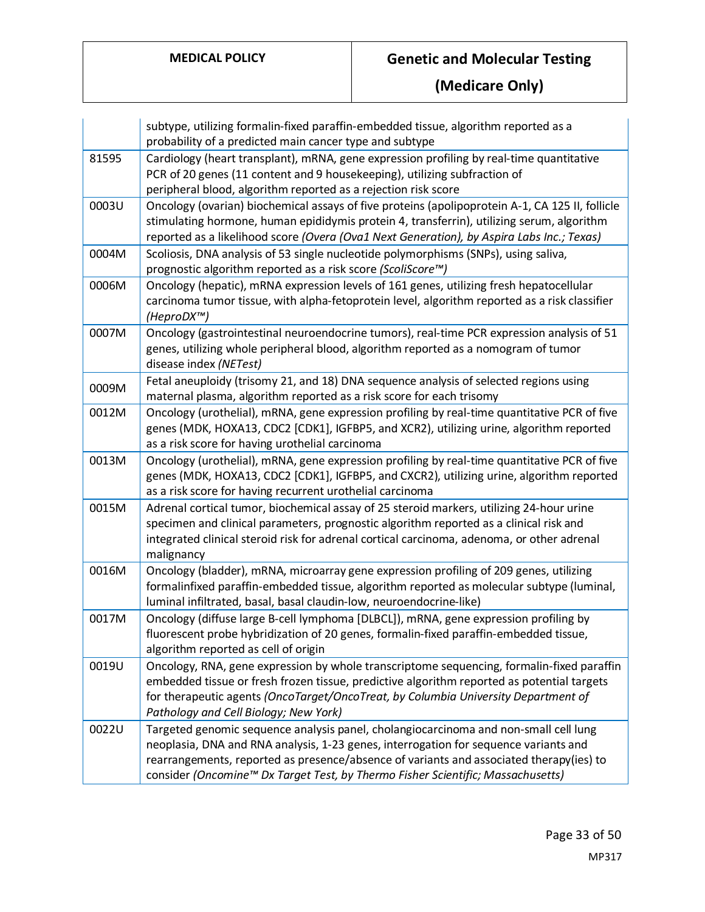|       | subtype, utilizing formalin-fixed paraffin-embedded tissue, algorithm reported as a<br>probability of a predicted main cancer type and subtype                                                                                                                                                                                                             |
|-------|------------------------------------------------------------------------------------------------------------------------------------------------------------------------------------------------------------------------------------------------------------------------------------------------------------------------------------------------------------|
| 81595 | Cardiology (heart transplant), mRNA, gene expression profiling by real-time quantitative<br>PCR of 20 genes (11 content and 9 housekeeping), utilizing subfraction of<br>peripheral blood, algorithm reported as a rejection risk score                                                                                                                    |
| 0003U | Oncology (ovarian) biochemical assays of five proteins (apolipoprotein A-1, CA 125 II, follicle<br>stimulating hormone, human epididymis protein 4, transferrin), utilizing serum, algorithm<br>reported as a likelihood score (Overa (Ova1 Next Generation), by Aspira Labs Inc.; Texas)                                                                  |
| 0004M | Scoliosis, DNA analysis of 53 single nucleotide polymorphisms (SNPs), using saliva,<br>prognostic algorithm reported as a risk score (ScoliScore™)                                                                                                                                                                                                         |
| 0006M | Oncology (hepatic), mRNA expression levels of 161 genes, utilizing fresh hepatocellular<br>carcinoma tumor tissue, with alpha-fetoprotein level, algorithm reported as a risk classifier<br>(HeproDX™)                                                                                                                                                     |
| 0007M | Oncology (gastrointestinal neuroendocrine tumors), real-time PCR expression analysis of 51<br>genes, utilizing whole peripheral blood, algorithm reported as a nomogram of tumor<br>disease index (NETest)                                                                                                                                                 |
| 0009M | Fetal aneuploidy (trisomy 21, and 18) DNA sequence analysis of selected regions using<br>maternal plasma, algorithm reported as a risk score for each trisomy                                                                                                                                                                                              |
| 0012M | Oncology (urothelial), mRNA, gene expression profiling by real-time quantitative PCR of five<br>genes (MDK, HOXA13, CDC2 [CDK1], IGFBP5, and XCR2), utilizing urine, algorithm reported<br>as a risk score for having urothelial carcinoma                                                                                                                 |
| 0013M | Oncology (urothelial), mRNA, gene expression profiling by real-time quantitative PCR of five<br>genes (MDK, HOXA13, CDC2 [CDK1], IGFBP5, and CXCR2), utilizing urine, algorithm reported<br>as a risk score for having recurrent urothelial carcinoma                                                                                                      |
| 0015M | Adrenal cortical tumor, biochemical assay of 25 steroid markers, utilizing 24-hour urine<br>specimen and clinical parameters, prognostic algorithm reported as a clinical risk and<br>integrated clinical steroid risk for adrenal cortical carcinoma, adenoma, or other adrenal<br>malignancy                                                             |
| 0016M | Oncology (bladder), mRNA, microarray gene expression profiling of 209 genes, utilizing<br>formalinfixed paraffin-embedded tissue, algorithm reported as molecular subtype (luminal,<br>luminal infiltrated, basal, basal claudin-low, neuroendocrine-like)                                                                                                 |
| 0017M | Oncology (diffuse large B-cell lymphoma [DLBCL]), mRNA, gene expression profiling by<br>fluorescent probe hybridization of 20 genes, formalin-fixed paraffin-embedded tissue,<br>algorithm reported as cell of origin                                                                                                                                      |
| 0019U | Oncology, RNA, gene expression by whole transcriptome sequencing, formalin-fixed paraffin<br>embedded tissue or fresh frozen tissue, predictive algorithm reported as potential targets<br>for therapeutic agents (OncoTarget/OncoTreat, by Columbia University Department of<br>Pathology and Cell Biology; New York)                                     |
| 0022U | Targeted genomic sequence analysis panel, cholangiocarcinoma and non-small cell lung<br>neoplasia, DNA and RNA analysis, 1-23 genes, interrogation for sequence variants and<br>rearrangements, reported as presence/absence of variants and associated therapy(ies) to<br>consider (Oncomine™ Dx Target Test, by Thermo Fisher Scientific; Massachusetts) |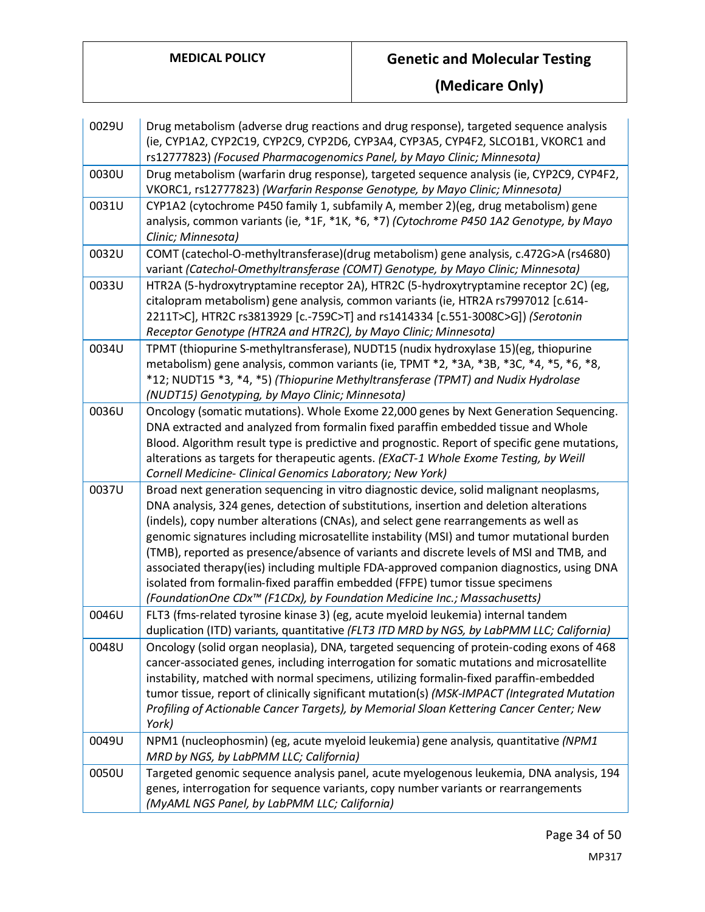| 0029U | Drug metabolism (adverse drug reactions and drug response), targeted sequence analysis<br>(ie, CYP1A2, CYP2C19, CYP2C9, CYP2D6, CYP3A4, CYP3A5, CYP4F2, SLCO1B1, VKORC1 and<br>rs12777823) (Focused Pharmacogenomics Panel, by Mayo Clinic; Minnesota)                                                                                                                                                                                                                                                                                                                                                                                                                                                                                |
|-------|---------------------------------------------------------------------------------------------------------------------------------------------------------------------------------------------------------------------------------------------------------------------------------------------------------------------------------------------------------------------------------------------------------------------------------------------------------------------------------------------------------------------------------------------------------------------------------------------------------------------------------------------------------------------------------------------------------------------------------------|
| 0030U | Drug metabolism (warfarin drug response), targeted sequence analysis (ie, CYP2C9, CYP4F2,<br>VKORC1, rs12777823) (Warfarin Response Genotype, by Mayo Clinic; Minnesota)                                                                                                                                                                                                                                                                                                                                                                                                                                                                                                                                                              |
| 0031U | CYP1A2 (cytochrome P450 family 1, subfamily A, member 2)(eg, drug metabolism) gene<br>analysis, common variants (ie, *1F, *1K, *6, *7) (Cytochrome P450 1A2 Genotype, by Mayo<br>Clinic; Minnesota)                                                                                                                                                                                                                                                                                                                                                                                                                                                                                                                                   |
| 0032U | COMT (catechol-O-methyltransferase)(drug metabolism) gene analysis, c.472G>A (rs4680)<br>variant (Catechol-Omethyltransferase (COMT) Genotype, by Mayo Clinic; Minnesota)                                                                                                                                                                                                                                                                                                                                                                                                                                                                                                                                                             |
| 0033U | HTR2A (5-hydroxytryptamine receptor 2A), HTR2C (5-hydroxytryptamine receptor 2C) (eg,<br>citalopram metabolism) gene analysis, common variants (ie, HTR2A rs7997012 [c.614-<br>2211T>C], HTR2C rs3813929 [c.-759C>T] and rs1414334 [c.551-3008C>G]) (Serotonin<br>Receptor Genotype (HTR2A and HTR2C), by Mayo Clinic; Minnesota)                                                                                                                                                                                                                                                                                                                                                                                                     |
| 0034U | TPMT (thiopurine S-methyltransferase), NUDT15 (nudix hydroxylase 15)(eg, thiopurine<br>metabolism) gene analysis, common variants (ie, TPMT *2, *3A, *3B, *3C, *4, *5, *6, *8,<br>*12; NUDT15 *3, *4, *5) (Thiopurine Methyltransferase (TPMT) and Nudix Hydrolase<br>(NUDT15) Genotyping, by Mayo Clinic; Minnesota)                                                                                                                                                                                                                                                                                                                                                                                                                 |
| 0036U | Oncology (somatic mutations). Whole Exome 22,000 genes by Next Generation Sequencing.<br>DNA extracted and analyzed from formalin fixed paraffin embedded tissue and Whole<br>Blood. Algorithm result type is predictive and prognostic. Report of specific gene mutations,<br>alterations as targets for therapeutic agents. (EXaCT-1 Whole Exome Testing, by Weill<br>Cornell Medicine- Clinical Genomics Laboratory; New York)                                                                                                                                                                                                                                                                                                     |
| 0037U | Broad next generation sequencing in vitro diagnostic device, solid malignant neoplasms,<br>DNA analysis, 324 genes, detection of substitutions, insertion and deletion alterations<br>(indels), copy number alterations (CNAs), and select gene rearrangements as well as<br>genomic signatures including microsatellite instability (MSI) and tumor mutational burden<br>(TMB), reported as presence/absence of variants and discrete levels of MSI and TMB, and<br>associated therapy(ies) including multiple FDA-approved companion diagnostics, using DNA<br>isolated from formalin-fixed paraffin embedded (FFPE) tumor tissue specimens<br>(FoundationOne CDx <sup>™</sup> (F1CDx), by Foundation Medicine Inc.; Massachusetts) |
| 0046U | FLT3 (fms-related tyrosine kinase 3) (eg, acute myeloid leukemia) internal tandem<br>duplication (ITD) variants, quantitative (FLT3 ITD MRD by NGS, by LabPMM LLC; California)                                                                                                                                                                                                                                                                                                                                                                                                                                                                                                                                                        |
| 0048U | Oncology (solid organ neoplasia), DNA, targeted sequencing of protein-coding exons of 468<br>cancer-associated genes, including interrogation for somatic mutations and microsatellite<br>instability, matched with normal specimens, utilizing formalin-fixed paraffin-embedded<br>tumor tissue, report of clinically significant mutation(s) (MSK-IMPACT (Integrated Mutation<br>Profiling of Actionable Cancer Targets), by Memorial Sloan Kettering Cancer Center; New<br>York)                                                                                                                                                                                                                                                   |
| 0049U | NPM1 (nucleophosmin) (eg, acute myeloid leukemia) gene analysis, quantitative (NPM1<br>MRD by NGS, by LabPMM LLC; California)                                                                                                                                                                                                                                                                                                                                                                                                                                                                                                                                                                                                         |
| 0050U | Targeted genomic sequence analysis panel, acute myelogenous leukemia, DNA analysis, 194<br>genes, interrogation for sequence variants, copy number variants or rearrangements<br>(MyAML NGS Panel, by LabPMM LLC; California)                                                                                                                                                                                                                                                                                                                                                                                                                                                                                                         |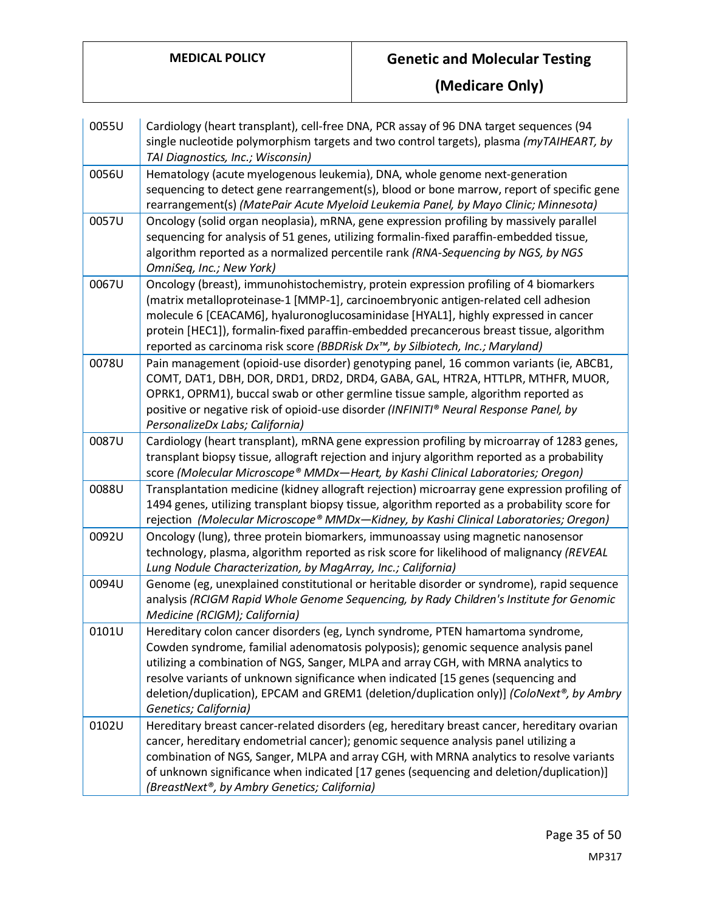| 0055U | Cardiology (heart transplant), cell-free DNA, PCR assay of 96 DNA target sequences (94<br>single nucleotide polymorphism targets and two control targets), plasma (myTAIHEART, by<br>TAI Diagnostics, Inc.; Wisconsin)                                                                                                                                                                                                                                                |
|-------|-----------------------------------------------------------------------------------------------------------------------------------------------------------------------------------------------------------------------------------------------------------------------------------------------------------------------------------------------------------------------------------------------------------------------------------------------------------------------|
| 0056U | Hematology (acute myelogenous leukemia), DNA, whole genome next-generation<br>sequencing to detect gene rearrangement(s), blood or bone marrow, report of specific gene<br>rearrangement(s) (MatePair Acute Myeloid Leukemia Panel, by Mayo Clinic; Minnesota)                                                                                                                                                                                                        |
| 0057U | Oncology (solid organ neoplasia), mRNA, gene expression profiling by massively parallel<br>sequencing for analysis of 51 genes, utilizing formalin-fixed paraffin-embedded tissue,<br>algorithm reported as a normalized percentile rank (RNA-Sequencing by NGS, by NGS<br>OmniSeq, Inc.; New York)                                                                                                                                                                   |
| 0067U | Oncology (breast), immunohistochemistry, protein expression profiling of 4 biomarkers<br>(matrix metalloproteinase-1 [MMP-1], carcinoembryonic antigen-related cell adhesion<br>molecule 6 [CEACAM6], hyaluronoglucosaminidase [HYAL1], highly expressed in cancer<br>protein [HEC1]), formalin-fixed paraffin-embedded precancerous breast tissue, algorithm<br>reported as carcinoma risk score (BBDRisk Dx™, by Silbiotech, Inc.; Maryland)                        |
| 0078U | Pain management (opioid-use disorder) genotyping panel, 16 common variants (ie, ABCB1,<br>COMT, DAT1, DBH, DOR, DRD1, DRD2, DRD4, GABA, GAL, HTR2A, HTTLPR, MTHFR, MUOR,<br>OPRK1, OPRM1), buccal swab or other germline tissue sample, algorithm reported as<br>positive or negative risk of opioid-use disorder (INFINITI® Neural Response Panel, by<br>PersonalizeDx Labs; California)                                                                             |
| 0087U | Cardiology (heart transplant), mRNA gene expression profiling by microarray of 1283 genes,<br>transplant biopsy tissue, allograft rejection and injury algorithm reported as a probability<br>score (Molecular Microscope® MMDx-Heart, by Kashi Clinical Laboratories; Oregon)                                                                                                                                                                                        |
| 0088U | Transplantation medicine (kidney allograft rejection) microarray gene expression profiling of<br>1494 genes, utilizing transplant biopsy tissue, algorithm reported as a probability score for<br>rejection (Molecular Microscope® MMDx—Kidney, by Kashi Clinical Laboratories; Oregon)                                                                                                                                                                               |
| 0092U | Oncology (lung), three protein biomarkers, immunoassay using magnetic nanosensor<br>technology, plasma, algorithm reported as risk score for likelihood of malignancy (REVEAL<br>Lung Nodule Characterization, by MagArray, Inc.; California)                                                                                                                                                                                                                         |
| 0094U | Genome (eg, unexplained constitutional or heritable disorder or syndrome), rapid sequence<br>analysis (RCIGM Rapid Whole Genome Sequencing, by Rady Children's Institute for Genomic<br>Medicine (RCIGM); California)                                                                                                                                                                                                                                                 |
| 0101U | Hereditary colon cancer disorders (eg, Lynch syndrome, PTEN hamartoma syndrome,<br>Cowden syndrome, familial adenomatosis polyposis); genomic sequence analysis panel<br>utilizing a combination of NGS, Sanger, MLPA and array CGH, with MRNA analytics to<br>resolve variants of unknown significance when indicated [15 genes (sequencing and<br>deletion/duplication), EPCAM and GREM1 (deletion/duplication only)] (ColoNext®, by Ambry<br>Genetics; California) |
| 0102U | Hereditary breast cancer-related disorders (eg, hereditary breast cancer, hereditary ovarian<br>cancer, hereditary endometrial cancer); genomic sequence analysis panel utilizing a<br>combination of NGS, Sanger, MLPA and array CGH, with MRNA analytics to resolve variants<br>of unknown significance when indicated [17 genes (sequencing and deletion/duplication)]<br>(BreastNext®, by Ambry Genetics; California)                                             |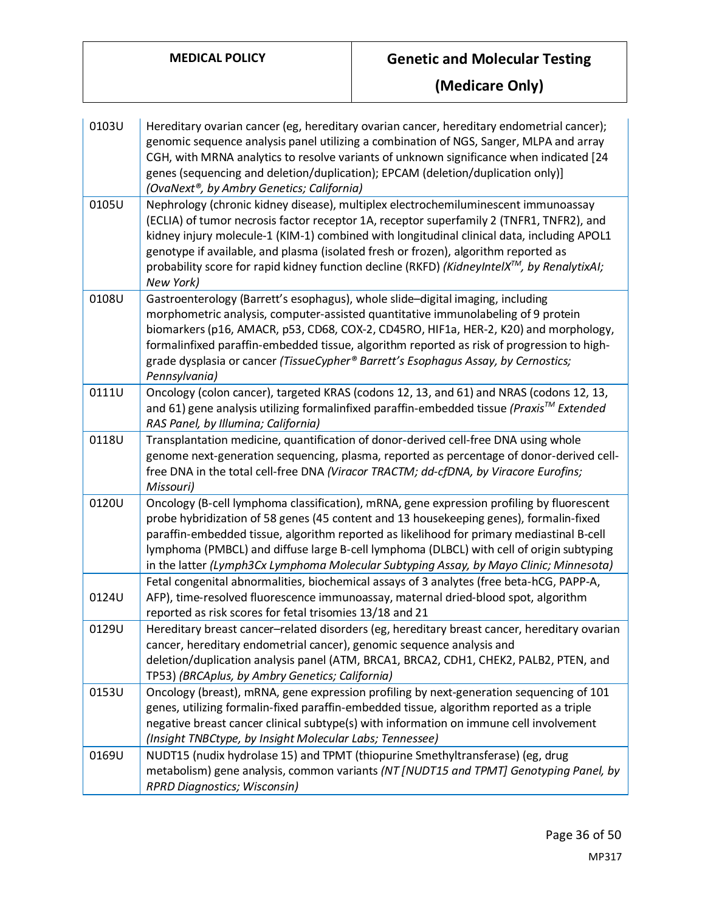| 0103U | Hereditary ovarian cancer (eg, hereditary ovarian cancer, hereditary endometrial cancer);<br>genomic sequence analysis panel utilizing a combination of NGS, Sanger, MLPA and array<br>CGH, with MRNA analytics to resolve variants of unknown significance when indicated [24<br>genes (sequencing and deletion/duplication); EPCAM (deletion/duplication only)]<br>(OvaNext®, by Ambry Genetics; California)                                                                 |
|-------|--------------------------------------------------------------------------------------------------------------------------------------------------------------------------------------------------------------------------------------------------------------------------------------------------------------------------------------------------------------------------------------------------------------------------------------------------------------------------------|
| 0105U | Nephrology (chronic kidney disease), multiplex electrochemiluminescent immunoassay<br>(ECLIA) of tumor necrosis factor receptor 1A, receptor superfamily 2 (TNFR1, TNFR2), and<br>kidney injury molecule-1 (KIM-1) combined with longitudinal clinical data, including APOL1<br>genotype if available, and plasma (isolated fresh or frozen), algorithm reported as<br>probability score for rapid kidney function decline (RKFD) (KidneyIntelX™, by RenalytixAI;<br>New York) |
| 0108U | Gastroenterology (Barrett's esophagus), whole slide-digital imaging, including<br>morphometric analysis, computer-assisted quantitative immunolabeling of 9 protein<br>biomarkers (p16, AMACR, p53, CD68, COX-2, CD45RO, HIF1a, HER-2, K20) and morphology,<br>formalinfixed paraffin-embedded tissue, algorithm reported as risk of progression to high-<br>grade dysplasia or cancer (TissueCypher® Barrett's Esophagus Assay, by Cernostics;<br>Pennsylvania)               |
| 0111U | Oncology (colon cancer), targeted KRAS (codons 12, 13, and 61) and NRAS (codons 12, 13,<br>and 61) gene analysis utilizing formalinfixed paraffin-embedded tissue (Praxis™ Extended<br>RAS Panel, by Illumina; California)                                                                                                                                                                                                                                                     |
| 0118U | Transplantation medicine, quantification of donor-derived cell-free DNA using whole<br>genome next-generation sequencing, plasma, reported as percentage of donor-derived cell-<br>free DNA in the total cell-free DNA (Viracor TRACTM; dd-cfDNA, by Viracore Eurofins;<br>Missouri)                                                                                                                                                                                           |
| 0120U | Oncology (B-cell lymphoma classification), mRNA, gene expression profiling by fluorescent<br>probe hybridization of 58 genes (45 content and 13 housekeeping genes), formalin-fixed<br>paraffin-embedded tissue, algorithm reported as likelihood for primary mediastinal B-cell<br>lymphoma (PMBCL) and diffuse large B-cell lymphoma (DLBCL) with cell of origin subtyping<br>in the latter (Lymph3Cx Lymphoma Molecular Subtyping Assay, by Mayo Clinic; Minnesota)         |
| 0124U | Fetal congenital abnormalities, biochemical assays of 3 analytes (free beta-hCG, PAPP-A,<br>AFP), time-resolved fluorescence immunoassay, maternal dried-blood spot, algorithm<br>reported as risk scores for fetal trisomies 13/18 and 21                                                                                                                                                                                                                                     |
| 0129U | Hereditary breast cancer-related disorders (eg, hereditary breast cancer, hereditary ovarian<br>cancer, hereditary endometrial cancer), genomic sequence analysis and<br>deletion/duplication analysis panel (ATM, BRCA1, BRCA2, CDH1, CHEK2, PALB2, PTEN, and<br>TP53) (BRCAplus, by Ambry Genetics; California)                                                                                                                                                              |
| 0153U | Oncology (breast), mRNA, gene expression profiling by next-generation sequencing of 101<br>genes, utilizing formalin-fixed paraffin-embedded tissue, algorithm reported as a triple<br>negative breast cancer clinical subtype(s) with information on immune cell involvement<br>(Insight TNBCtype, by Insight Molecular Labs; Tennessee)                                                                                                                                      |
| 0169U | NUDT15 (nudix hydrolase 15) and TPMT (thiopurine Smethyltransferase) (eg, drug<br>metabolism) gene analysis, common variants (NT [NUDT15 and TPMT] Genotyping Panel, by<br><b>RPRD Diagnostics; Wisconsin)</b>                                                                                                                                                                                                                                                                 |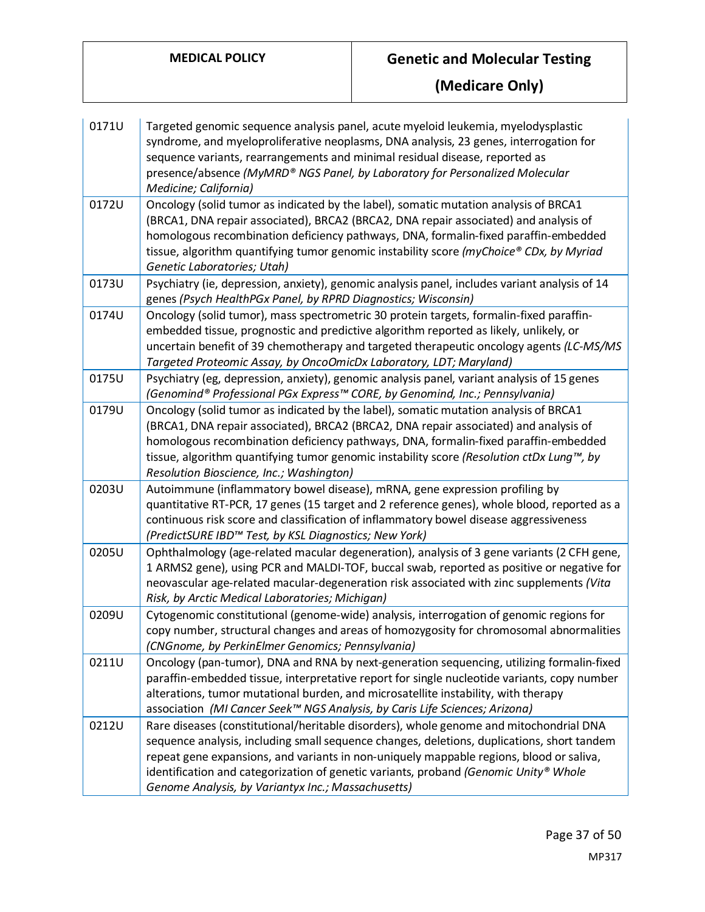| 0171U | Targeted genomic sequence analysis panel, acute myeloid leukemia, myelodysplastic<br>syndrome, and myeloproliferative neoplasms, DNA analysis, 23 genes, interrogation for<br>sequence variants, rearrangements and minimal residual disease, reported as<br>presence/absence (MyMRD® NGS Panel, by Laboratory for Personalized Molecular<br>Medicine; California)                                                            |
|-------|-------------------------------------------------------------------------------------------------------------------------------------------------------------------------------------------------------------------------------------------------------------------------------------------------------------------------------------------------------------------------------------------------------------------------------|
| 0172U | Oncology (solid tumor as indicated by the label), somatic mutation analysis of BRCA1<br>(BRCA1, DNA repair associated), BRCA2 (BRCA2, DNA repair associated) and analysis of<br>homologous recombination deficiency pathways, DNA, formalin-fixed paraffin-embedded<br>tissue, algorithm quantifying tumor genomic instability score (myChoice® CDx, by Myriad<br>Genetic Laboratories; Utah)                                 |
| 0173U | Psychiatry (ie, depression, anxiety), genomic analysis panel, includes variant analysis of 14<br>genes (Psych HealthPGx Panel, by RPRD Diagnostics; Wisconsin)                                                                                                                                                                                                                                                                |
| 0174U | Oncology (solid tumor), mass spectrometric 30 protein targets, formalin-fixed paraffin-<br>embedded tissue, prognostic and predictive algorithm reported as likely, unlikely, or<br>uncertain benefit of 39 chemotherapy and targeted therapeutic oncology agents (LC-MS/MS<br>Targeted Proteomic Assay, by OncoOmicDx Laboratory, LDT; Maryland)                                                                             |
| 0175U | Psychiatry (eg, depression, anxiety), genomic analysis panel, variant analysis of 15 genes<br>(Genomind® Professional PGx Express™ CORE, by Genomind, Inc.; Pennsylvania)                                                                                                                                                                                                                                                     |
| 0179U | Oncology (solid tumor as indicated by the label), somatic mutation analysis of BRCA1<br>(BRCA1, DNA repair associated), BRCA2 (BRCA2, DNA repair associated) and analysis of<br>homologous recombination deficiency pathways, DNA, formalin-fixed paraffin-embedded<br>tissue, algorithm quantifying tumor genomic instability score (Resolution ctDx Lung <sup>m</sup> , by<br>Resolution Bioscience, Inc.; Washington)      |
| 0203U | Autoimmune (inflammatory bowel disease), mRNA, gene expression profiling by<br>quantitative RT-PCR, 17 genes (15 target and 2 reference genes), whole blood, reported as a<br>continuous risk score and classification of inflammatory bowel disease aggressiveness<br>(PredictSURE IBD™ Test, by KSL Diagnostics; New York)                                                                                                  |
| 0205U | Ophthalmology (age-related macular degeneration), analysis of 3 gene variants (2 CFH gene,<br>1 ARMS2 gene), using PCR and MALDI-TOF, buccal swab, reported as positive or negative for<br>neovascular age-related macular-degeneration risk associated with zinc supplements (Vita<br>Risk, by Arctic Medical Laboratories; Michigan)                                                                                        |
| 0209U | Cytogenomic constitutional (genome-wide) analysis, interrogation of genomic regions for<br>copy number, structural changes and areas of homozygosity for chromosomal abnormalities<br>(CNGnome, by PerkinElmer Genomics; Pennsylvania)                                                                                                                                                                                        |
| 0211U | Oncology (pan-tumor), DNA and RNA by next-generation sequencing, utilizing formalin-fixed<br>paraffin-embedded tissue, interpretative report for single nucleotide variants, copy number<br>alterations, tumor mutational burden, and microsatellite instability, with therapy<br>association (MI Cancer Seek™ NGS Analysis, by Caris Life Sciences; Arizona)                                                                 |
| 0212U | Rare diseases (constitutional/heritable disorders), whole genome and mitochondrial DNA<br>sequence analysis, including small sequence changes, deletions, duplications, short tandem<br>repeat gene expansions, and variants in non-uniquely mappable regions, blood or saliva,<br>identification and categorization of genetic variants, proband (Genomic Unity® Whole<br>Genome Analysis, by Variantyx Inc.; Massachusetts) |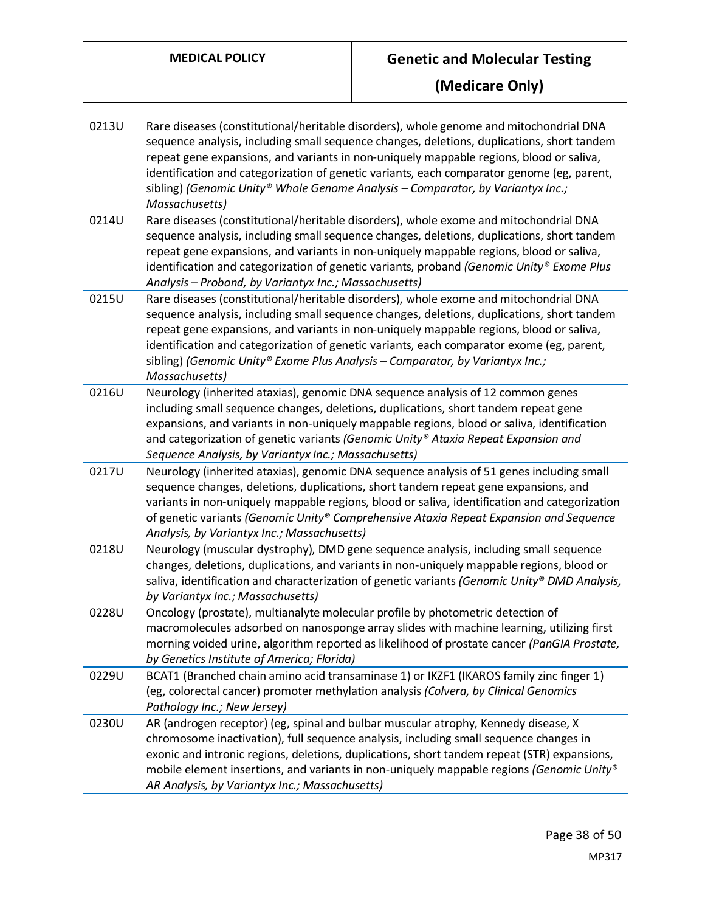| 0213U | Rare diseases (constitutional/heritable disorders), whole genome and mitochondrial DNA<br>sequence analysis, including small sequence changes, deletions, duplications, short tandem<br>repeat gene expansions, and variants in non-uniquely mappable regions, blood or saliva,<br>identification and categorization of genetic variants, each comparator genome (eg, parent,<br>sibling) (Genomic Unity® Whole Genome Analysis - Comparator, by Variantyx Inc.;<br>Massachusetts) |
|-------|------------------------------------------------------------------------------------------------------------------------------------------------------------------------------------------------------------------------------------------------------------------------------------------------------------------------------------------------------------------------------------------------------------------------------------------------------------------------------------|
| 0214U | Rare diseases (constitutional/heritable disorders), whole exome and mitochondrial DNA<br>sequence analysis, including small sequence changes, deletions, duplications, short tandem<br>repeat gene expansions, and variants in non-uniquely mappable regions, blood or saliva,<br>identification and categorization of genetic variants, proband (Genomic Unity® Exome Plus<br>Analysis - Proband, by Variantyx Inc.; Massachusetts)                                               |
| 0215U | Rare diseases (constitutional/heritable disorders), whole exome and mitochondrial DNA<br>sequence analysis, including small sequence changes, deletions, duplications, short tandem<br>repeat gene expansions, and variants in non-uniquely mappable regions, blood or saliva,<br>identification and categorization of genetic variants, each comparator exome (eg, parent,<br>sibling) (Genomic Unity® Exome Plus Analysis - Comparator, by Variantyx Inc.;<br>Massachusetts)     |
| 0216U | Neurology (inherited ataxias), genomic DNA sequence analysis of 12 common genes<br>including small sequence changes, deletions, duplications, short tandem repeat gene<br>expansions, and variants in non-uniquely mappable regions, blood or saliva, identification<br>and categorization of genetic variants (Genomic Unity® Ataxia Repeat Expansion and<br>Sequence Analysis, by Variantyx Inc.; Massachusetts)                                                                 |
| 0217U | Neurology (inherited ataxias), genomic DNA sequence analysis of 51 genes including small<br>sequence changes, deletions, duplications, short tandem repeat gene expansions, and<br>variants in non-uniquely mappable regions, blood or saliva, identification and categorization<br>of genetic variants (Genomic Unity® Comprehensive Ataxia Repeat Expansion and Sequence<br>Analysis, by Variantyx Inc.; Massachusetts)                                                          |
| 0218U | Neurology (muscular dystrophy), DMD gene sequence analysis, including small sequence<br>changes, deletions, duplications, and variants in non-uniquely mappable regions, blood or<br>saliva, identification and characterization of genetic variants (Genomic Unity® DMD Analysis,<br>by Variantyx Inc.; Massachusetts)                                                                                                                                                            |
| 0228U | Oncology (prostate), multianalyte molecular profile by photometric detection of<br>macromolecules adsorbed on nanosponge array slides with machine learning, utilizing first<br>morning voided urine, algorithm reported as likelihood of prostate cancer (PanGIA Prostate,<br>by Genetics Institute of America; Florida)                                                                                                                                                          |
| 0229U | BCAT1 (Branched chain amino acid transaminase 1) or IKZF1 (IKAROS family zinc finger 1)<br>(eg, colorectal cancer) promoter methylation analysis (Colvera, by Clinical Genomics<br>Pathology Inc.; New Jersey)                                                                                                                                                                                                                                                                     |
| 0230U | AR (androgen receptor) (eg, spinal and bulbar muscular atrophy, Kennedy disease, X<br>chromosome inactivation), full sequence analysis, including small sequence changes in<br>exonic and intronic regions, deletions, duplications, short tandem repeat (STR) expansions,<br>mobile element insertions, and variants in non-uniquely mappable regions (Genomic Unity®<br>AR Analysis, by Variantyx Inc.; Massachusetts)                                                           |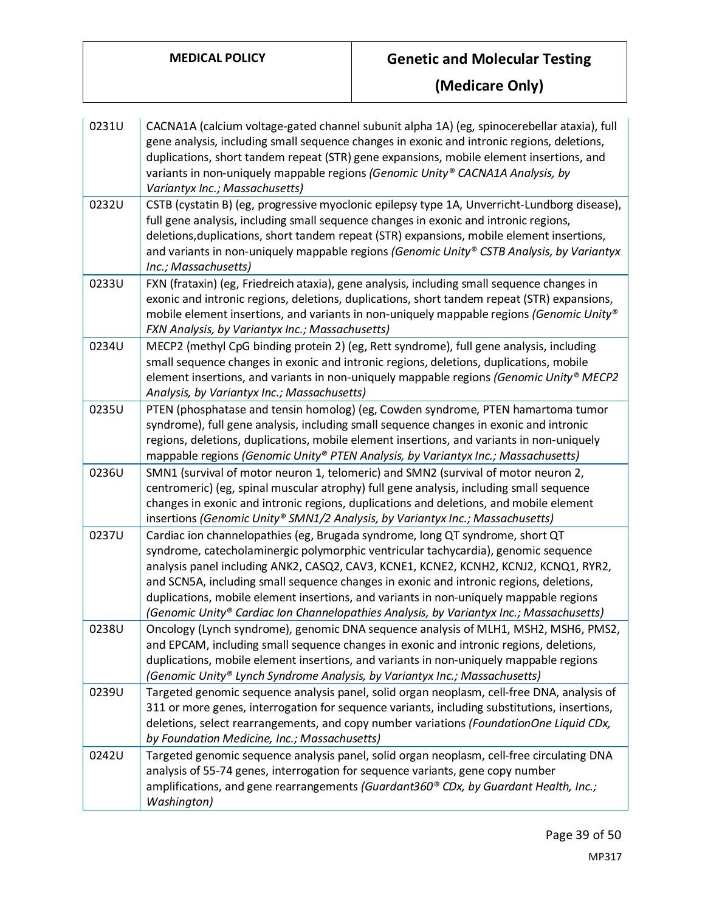| 0231U | CACNA1A (calcium voltage-gated channel subunit alpha 1A) (eg, spinocerebellar ataxia), full<br>gene analysis, including small sequence changes in exonic and intronic regions, deletions,<br>duplications, short tandem repeat (STR) gene expansions, mobile element insertions, and<br>variants in non-uniquely mappable regions (Genomic Unity® CACNA1A Analysis, by<br>Variantyx Inc.; Massachusetts)                                                                                                                                   |
|-------|--------------------------------------------------------------------------------------------------------------------------------------------------------------------------------------------------------------------------------------------------------------------------------------------------------------------------------------------------------------------------------------------------------------------------------------------------------------------------------------------------------------------------------------------|
| 0232U | CSTB (cystatin B) (eg, progressive myoclonic epilepsy type 1A, Unverricht-Lundborg disease),<br>full gene analysis, including small sequence changes in exonic and intronic regions,<br>deletions, duplications, short tandem repeat (STR) expansions, mobile element insertions,<br>and variants in non-uniquely mappable regions (Genomic Unity® CSTB Analysis, by Variantyx<br>Inc.; Massachusetts)                                                                                                                                     |
| 0233U | FXN (frataxin) (eg, Friedreich ataxia), gene analysis, including small sequence changes in<br>exonic and intronic regions, deletions, duplications, short tandem repeat (STR) expansions,<br>mobile element insertions, and variants in non-uniquely mappable regions (Genomic Unity®<br>FXN Analysis, by Variantyx Inc.; Massachusetts)                                                                                                                                                                                                   |
| 0234U | MECP2 (methyl CpG binding protein 2) (eg, Rett syndrome), full gene analysis, including<br>small sequence changes in exonic and intronic regions, deletions, duplications, mobile<br>element insertions, and variants in non-uniquely mappable regions (Genomic Unity® MECP2<br>Analysis, by Variantyx Inc.; Massachusetts)                                                                                                                                                                                                                |
| 0235U | PTEN (phosphatase and tensin homolog) (eg, Cowden syndrome, PTEN hamartoma tumor<br>syndrome), full gene analysis, including small sequence changes in exonic and intronic<br>regions, deletions, duplications, mobile element insertions, and variants in non-uniquely<br>mappable regions (Genomic Unity® PTEN Analysis, by Variantyx Inc.; Massachusetts)                                                                                                                                                                               |
| 0236U | SMN1 (survival of motor neuron 1, telomeric) and SMN2 (survival of motor neuron 2,<br>centromeric) (eg, spinal muscular atrophy) full gene analysis, including small sequence<br>changes in exonic and intronic regions, duplications and deletions, and mobile element<br>insertions (Genomic Unity® SMN1/2 Analysis, by Variantyx Inc.; Massachusetts)                                                                                                                                                                                   |
| 0237U | Cardiac ion channelopathies (eg, Brugada syndrome, long QT syndrome, short QT<br>syndrome, catecholaminergic polymorphic ventricular tachycardia), genomic sequence<br>analysis panel including ANK2, CASQ2, CAV3, KCNE1, KCNE2, KCNH2, KCNJ2, KCNQ1, RYR2,<br>and SCN5A, including small sequence changes in exonic and intronic regions, deletions,<br>duplications, mobile element insertions, and variants in non-uniquely mappable regions<br>(Genomic Unity® Cardiac Ion Channelopathies Analysis, by Variantyx Inc.; Massachusetts) |
| 0238U | Oncology (Lynch syndrome), genomic DNA sequence analysis of MLH1, MSH2, MSH6, PMS2<br>and EPCAM, including small sequence changes in exonic and intronic regions, deletions,<br>duplications, mobile element insertions, and variants in non-uniquely mappable regions<br>(Genomic Unity® Lynch Syndrome Analysis, by Variantyx Inc.; Massachusetts)                                                                                                                                                                                       |
| 0239U | Targeted genomic sequence analysis panel, solid organ neoplasm, cell-free DNA, analysis of<br>311 or more genes, interrogation for sequence variants, including substitutions, insertions,<br>deletions, select rearrangements, and copy number variations (FoundationOne Liquid CDx,<br>by Foundation Medicine, Inc.; Massachusetts)                                                                                                                                                                                                      |
| 0242U | Targeted genomic sequence analysis panel, solid organ neoplasm, cell-free circulating DNA<br>analysis of 55-74 genes, interrogation for sequence variants, gene copy number<br>amplifications, and gene rearrangements (Guardant360® CDx, by Guardant Health, Inc.;<br>Washington)                                                                                                                                                                                                                                                         |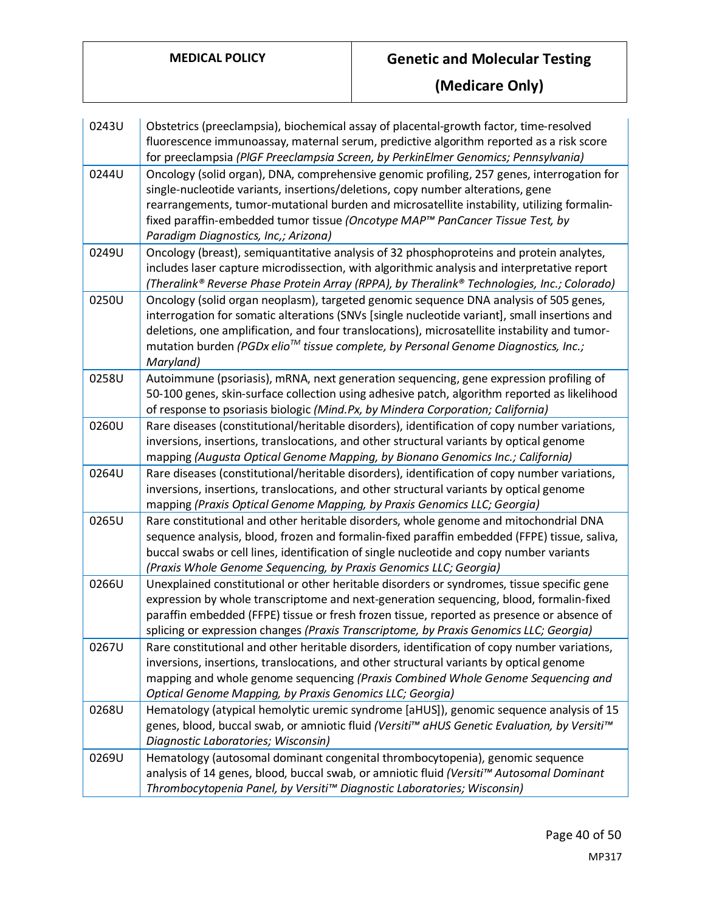| 0243U | Obstetrics (preeclampsia), biochemical assay of placental-growth factor, time-resolved<br>fluorescence immunoassay, maternal serum, predictive algorithm reported as a risk score<br>for preeclampsia (PIGF Preeclampsia Screen, by PerkinElmer Genomics; Pennsylvania)                                                                                                                                |
|-------|--------------------------------------------------------------------------------------------------------------------------------------------------------------------------------------------------------------------------------------------------------------------------------------------------------------------------------------------------------------------------------------------------------|
| 0244U | Oncology (solid organ), DNA, comprehensive genomic profiling, 257 genes, interrogation for<br>single-nucleotide variants, insertions/deletions, copy number alterations, gene<br>rearrangements, tumor-mutational burden and microsatellite instability, utilizing formalin-<br>fixed paraffin-embedded tumor tissue (Oncotype MAP™ PanCancer Tissue Test, by<br>Paradigm Diagnostics, Inc,; Arizona)  |
| 0249U | Oncology (breast), semiquantitative analysis of 32 phosphoproteins and protein analytes,<br>includes laser capture microdissection, with algorithmic analysis and interpretative report<br>(Theralink® Reverse Phase Protein Array (RPPA), by Theralink® Technologies, Inc.; Colorado)                                                                                                                 |
| 0250U | Oncology (solid organ neoplasm), targeted genomic sequence DNA analysis of 505 genes,<br>interrogation for somatic alterations (SNVs [single nucleotide variant], small insertions and<br>deletions, one amplification, and four translocations), microsatellite instability and tumor-<br>mutation burden (PGDx elio <sup>™</sup> tissue complete, by Personal Genome Diagnostics, Inc.;<br>Maryland) |
| 0258U | Autoimmune (psoriasis), mRNA, next generation sequencing, gene expression profiling of<br>50-100 genes, skin-surface collection using adhesive patch, algorithm reported as likelihood<br>of response to psoriasis biologic (Mind.Px, by Mindera Corporation; California)                                                                                                                              |
| 0260U | Rare diseases (constitutional/heritable disorders), identification of copy number variations,<br>inversions, insertions, translocations, and other structural variants by optical genome<br>mapping (Augusta Optical Genome Mapping, by Bionano Genomics Inc.; California)                                                                                                                             |
| 0264U | Rare diseases (constitutional/heritable disorders), identification of copy number variations,<br>inversions, insertions, translocations, and other structural variants by optical genome<br>mapping (Praxis Optical Genome Mapping, by Praxis Genomics LLC; Georgia)                                                                                                                                   |
| 0265U | Rare constitutional and other heritable disorders, whole genome and mitochondrial DNA<br>sequence analysis, blood, frozen and formalin-fixed paraffin embedded (FFPE) tissue, saliva,<br>buccal swabs or cell lines, identification of single nucleotide and copy number variants<br>(Praxis Whole Genome Sequencing, by Praxis Genomics LLC; Georgia)                                                 |
| 0266U | Unexplained constitutional or other heritable disorders or syndromes, tissue specific gene<br>expression by whole transcriptome and next-generation sequencing, blood, formalin-fixed<br>paraffin embedded (FFPE) tissue or fresh frozen tissue, reported as presence or absence of<br>splicing or expression changes (Praxis Transcriptome, by Praxis Genomics LLC; Georgia)                          |
| 0267U | Rare constitutional and other heritable disorders, identification of copy number variations,<br>inversions, insertions, translocations, and other structural variants by optical genome<br>mapping and whole genome sequencing (Praxis Combined Whole Genome Sequencing and<br>Optical Genome Mapping, by Praxis Genomics LLC; Georgia)                                                                |
| 0268U | Hematology (atypical hemolytic uremic syndrome [aHUS]), genomic sequence analysis of 15<br>genes, blood, buccal swab, or amniotic fluid (Versiti™ aHUS Genetic Evaluation, by Versiti™<br>Diagnostic Laboratories; Wisconsin)                                                                                                                                                                          |
| 0269U | Hematology (autosomal dominant congenital thrombocytopenia), genomic sequence<br>analysis of 14 genes, blood, buccal swab, or amniotic fluid (Versiti™ Autosomal Dominant<br>Thrombocytopenia Panel, by Versiti™ Diagnostic Laboratories; Wisconsin)                                                                                                                                                   |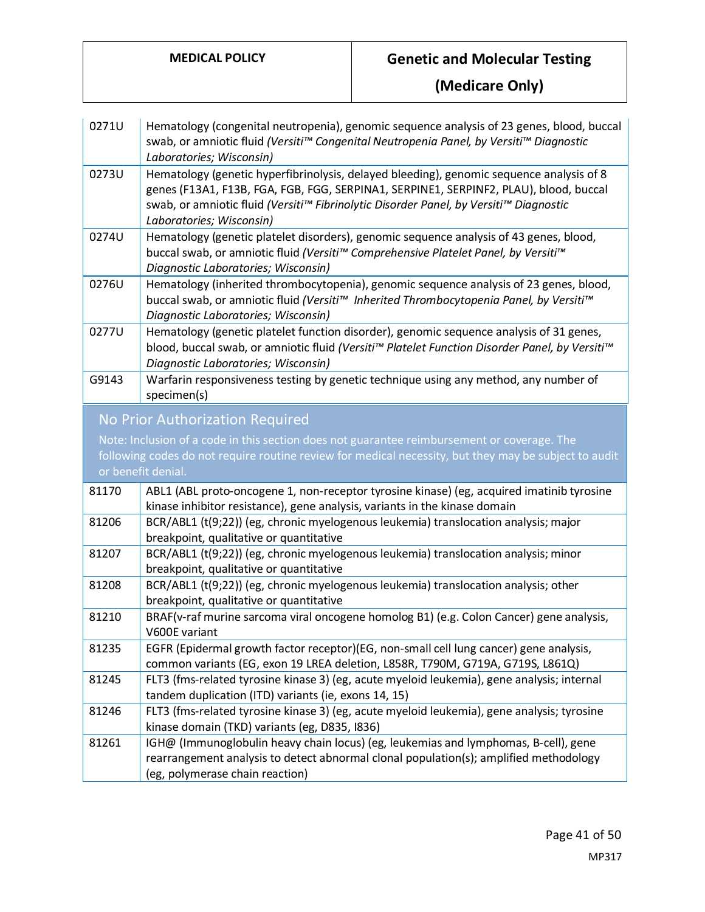| 0271U                                                                                                 | Hematology (congenital neutropenia), genomic sequence analysis of 23 genes, blood, buccal<br>swab, or amniotic fluid (Versiti™ Congenital Neutropenia Panel, by Versiti™ Diagnostic<br>Laboratories; Wisconsin)                                                                                        |
|-------------------------------------------------------------------------------------------------------|--------------------------------------------------------------------------------------------------------------------------------------------------------------------------------------------------------------------------------------------------------------------------------------------------------|
| 0273U                                                                                                 | Hematology (genetic hyperfibrinolysis, delayed bleeding), genomic sequence analysis of 8<br>genes (F13A1, F13B, FGA, FGB, FGG, SERPINA1, SERPINE1, SERPINF2, PLAU), blood, buccal<br>swab, or amniotic fluid (Versiti™ Fibrinolytic Disorder Panel, by Versiti™ Diagnostic<br>Laboratories; Wisconsin) |
| 0274U                                                                                                 | Hematology (genetic platelet disorders), genomic sequence analysis of 43 genes, blood,<br>buccal swab, or amniotic fluid (Versiti™ Comprehensive Platelet Panel, by Versiti™<br>Diagnostic Laboratories; Wisconsin)                                                                                    |
| 0276U                                                                                                 | Hematology (inherited thrombocytopenia), genomic sequence analysis of 23 genes, blood,<br>buccal swab, or amniotic fluid (Versiti™ Inherited Thrombocytopenia Panel, by Versiti™<br>Diagnostic Laboratories; Wisconsin)                                                                                |
| 0277U                                                                                                 | Hematology (genetic platelet function disorder), genomic sequence analysis of 31 genes,<br>blood, buccal swab, or amniotic fluid (Versiti™ Platelet Function Disorder Panel, by Versiti™<br>Diagnostic Laboratories; Wisconsin)                                                                        |
| G9143                                                                                                 | Warfarin responsiveness testing by genetic technique using any method, any number of<br>specimen(s)                                                                                                                                                                                                    |
|                                                                                                       | No Prior Authorization Required                                                                                                                                                                                                                                                                        |
|                                                                                                       | Note: Inclusion of a code in this section does not guarantee reimbursement or coverage. The                                                                                                                                                                                                            |
| following codes do not require routine review for medical necessity, but they may be subject to audit |                                                                                                                                                                                                                                                                                                        |
|                                                                                                       |                                                                                                                                                                                                                                                                                                        |
|                                                                                                       | or benefit denial.                                                                                                                                                                                                                                                                                     |
| 81170                                                                                                 | ABL1 (ABL proto-oncogene 1, non-receptor tyrosine kinase) (eg, acquired imatinib tyrosine<br>kinase inhibitor resistance), gene analysis, variants in the kinase domain                                                                                                                                |
| 81206                                                                                                 | BCR/ABL1 (t(9;22)) (eg, chronic myelogenous leukemia) translocation analysis; major<br>breakpoint, qualitative or quantitative                                                                                                                                                                         |
| 81207                                                                                                 | BCR/ABL1 (t(9;22)) (eg, chronic myelogenous leukemia) translocation analysis; minor                                                                                                                                                                                                                    |
| 81208                                                                                                 | breakpoint, qualitative or quantitative<br>BCR/ABL1 (t(9;22)) (eg, chronic myelogenous leukemia) translocation analysis; other                                                                                                                                                                         |
| 81210                                                                                                 | breakpoint, qualitative or quantitative<br>BRAF(v-raf murine sarcoma viral oncogene homolog B1) (e.g. Colon Cancer) gene analysis,                                                                                                                                                                     |
| 81235                                                                                                 | V600E variant<br>EGFR (Epidermal growth factor receptor)(EG, non-small cell lung cancer) gene analysis,                                                                                                                                                                                                |
| 81245                                                                                                 | common variants (EG, exon 19 LREA deletion, L858R, T790M, G719A, G719S, L861Q)<br>FLT3 (fms-related tyrosine kinase 3) (eg, acute myeloid leukemia), gene analysis; internal                                                                                                                           |
| 81246                                                                                                 | tandem duplication (ITD) variants (ie, exons 14, 15)<br>FLT3 (fms-related tyrosine kinase 3) (eg, acute myeloid leukemia), gene analysis; tyrosine<br>kinase domain (TKD) variants (eg, D835, I836)                                                                                                    |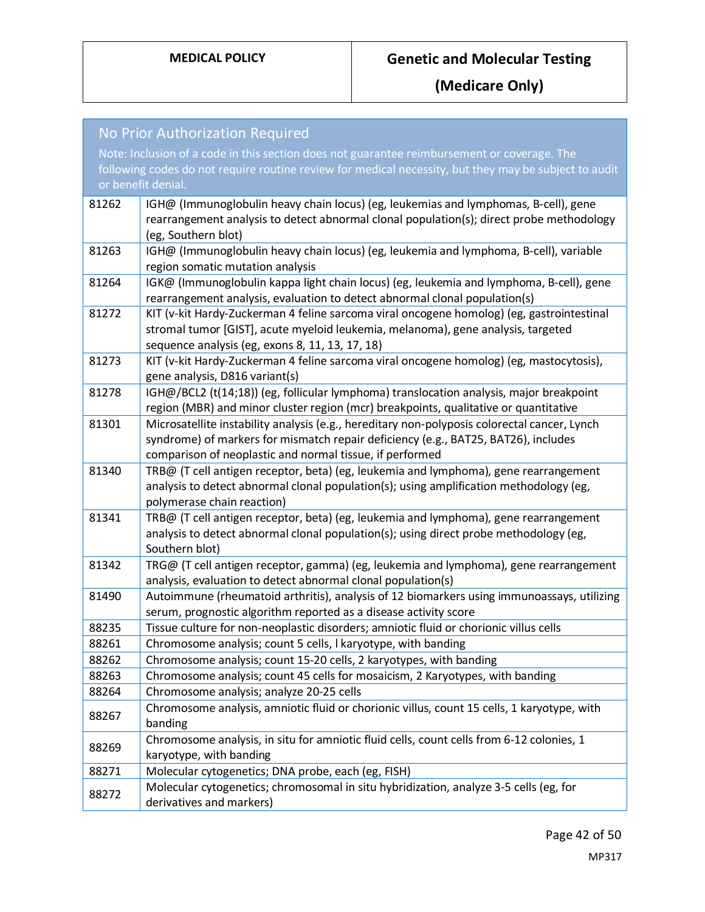| No Prior Authorization Required |                                                                                                                                                                               |  |
|---------------------------------|-------------------------------------------------------------------------------------------------------------------------------------------------------------------------------|--|
|                                 | Note: Inclusion of a code in this section does not guarantee reimbursement or coverage. The                                                                                   |  |
|                                 | following codes do not require routine review for medical necessity, but they may be subject to audit                                                                         |  |
|                                 | or benefit denial.                                                                                                                                                            |  |
| 81262                           | IGH@ (Immunoglobulin heavy chain locus) (eg, leukemias and lymphomas, B-cell), gene                                                                                           |  |
|                                 | rearrangement analysis to detect abnormal clonal population(s); direct probe methodology                                                                                      |  |
|                                 | (eg, Southern blot)                                                                                                                                                           |  |
| 81263                           | IGH@ (Immunoglobulin heavy chain locus) (eg, leukemia and lymphoma, B-cell), variable                                                                                         |  |
|                                 | region somatic mutation analysis                                                                                                                                              |  |
| 81264                           | IGK@ (Immunoglobulin kappa light chain locus) (eg, leukemia and lymphoma, B-cell), gene                                                                                       |  |
|                                 | rearrangement analysis, evaluation to detect abnormal clonal population(s)                                                                                                    |  |
| 81272                           | KIT (v-kit Hardy-Zuckerman 4 feline sarcoma viral oncogene homolog) (eg, gastrointestinal                                                                                     |  |
|                                 | stromal tumor [GIST], acute myeloid leukemia, melanoma), gene analysis, targeted                                                                                              |  |
|                                 | sequence analysis (eg, exons 8, 11, 13, 17, 18)                                                                                                                               |  |
| 81273                           | KIT (v-kit Hardy-Zuckerman 4 feline sarcoma viral oncogene homolog) (eg, mastocytosis),                                                                                       |  |
|                                 | gene analysis, D816 variant(s)                                                                                                                                                |  |
| 81278                           | IGH@/BCL2 (t(14;18)) (eg, follicular lymphoma) translocation analysis, major breakpoint                                                                                       |  |
|                                 | region (MBR) and minor cluster region (mcr) breakpoints, qualitative or quantitative                                                                                          |  |
| 81301                           | Microsatellite instability analysis (e.g., hereditary non-polyposis colorectal cancer, Lynch                                                                                  |  |
|                                 | syndrome) of markers for mismatch repair deficiency (e.g., BAT25, BAT26), includes                                                                                            |  |
|                                 | comparison of neoplastic and normal tissue, if performed                                                                                                                      |  |
| 81340                           | TRB@ (T cell antigen receptor, beta) (eg, leukemia and lymphoma), gene rearrangement                                                                                          |  |
|                                 | analysis to detect abnormal clonal population(s); using amplification methodology (eg,                                                                                        |  |
| 81341                           | polymerase chain reaction)                                                                                                                                                    |  |
|                                 | TRB@ (T cell antigen receptor, beta) (eg, leukemia and lymphoma), gene rearrangement<br>analysis to detect abnormal clonal population(s); using direct probe methodology (eg, |  |
|                                 | Southern blot)                                                                                                                                                                |  |
| 81342                           | TRG@ (T cell antigen receptor, gamma) (eg, leukemia and lymphoma), gene rearrangement                                                                                         |  |
|                                 | analysis, evaluation to detect abnormal clonal population(s)                                                                                                                  |  |
| 81490                           | Autoimmune (rheumatoid arthritis), analysis of 12 biomarkers using immunoassays, utilizing                                                                                    |  |
|                                 | serum, prognostic algorithm reported as a disease activity score                                                                                                              |  |
| 88235                           | Tissue culture for non-neoplastic disorders; amniotic fluid or chorionic villus cells                                                                                         |  |
| 88261                           | Chromosome analysis; count 5 cells, I karyotype, with banding                                                                                                                 |  |
| 88262                           | Chromosome analysis; count 15-20 cells, 2 karyotypes, with banding                                                                                                            |  |
| 88263                           | Chromosome analysis; count 45 cells for mosaicism, 2 Karyotypes, with banding                                                                                                 |  |
| 88264                           | Chromosome analysis; analyze 20-25 cells                                                                                                                                      |  |
| 88267                           | Chromosome analysis, amniotic fluid or chorionic villus, count 15 cells, 1 karyotype, with                                                                                    |  |
|                                 | banding                                                                                                                                                                       |  |
| 88269                           | Chromosome analysis, in situ for amniotic fluid cells, count cells from 6-12 colonies, 1                                                                                      |  |
|                                 | karyotype, with banding                                                                                                                                                       |  |
| 88271                           | Molecular cytogenetics; DNA probe, each (eg, FISH)                                                                                                                            |  |
| 88272                           | Molecular cytogenetics; chromosomal in situ hybridization, analyze 3-5 cells (eg, for                                                                                         |  |
|                                 | derivatives and markers)                                                                                                                                                      |  |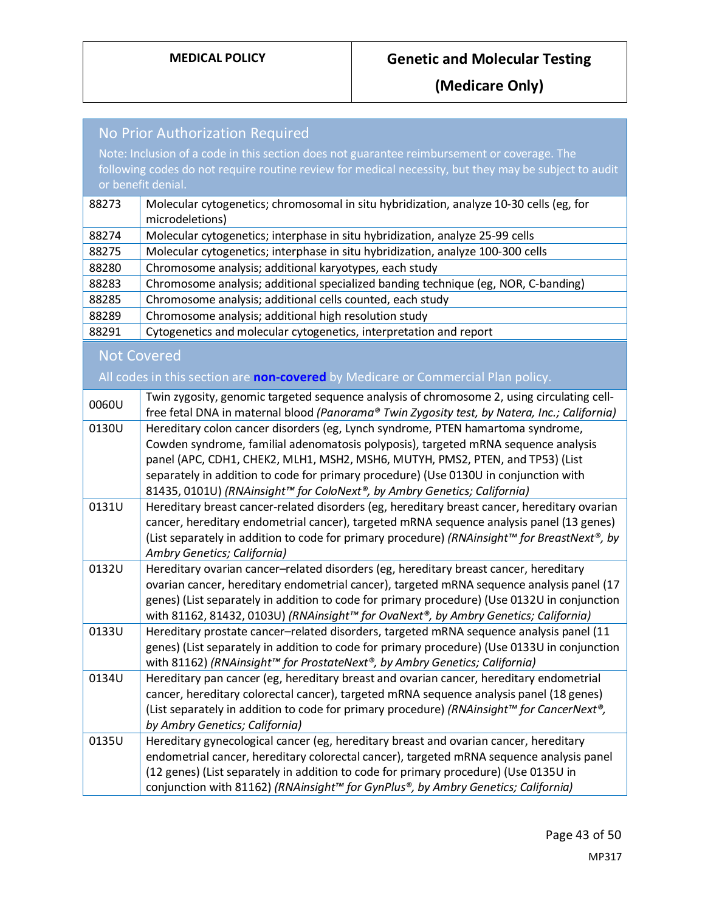| <b>No Prior Authorization Required</b>                                                      |                                                                                                                                                                                            |
|---------------------------------------------------------------------------------------------|--------------------------------------------------------------------------------------------------------------------------------------------------------------------------------------------|
| Note: Inclusion of a code in this section does not guarantee reimbursement or coverage. The |                                                                                                                                                                                            |
|                                                                                             | following codes do not require routine review for medical necessity, but they may be subject to audit                                                                                      |
|                                                                                             | or benefit denial.                                                                                                                                                                         |
| 88273                                                                                       | Molecular cytogenetics; chromosomal in situ hybridization, analyze 10-30 cells (eg, for<br>microdeletions)                                                                                 |
| 88274                                                                                       | Molecular cytogenetics; interphase in situ hybridization, analyze 25-99 cells                                                                                                              |
| 88275                                                                                       | Molecular cytogenetics; interphase in situ hybridization, analyze 100-300 cells                                                                                                            |
| 88280                                                                                       | Chromosome analysis; additional karyotypes, each study                                                                                                                                     |
| 88283                                                                                       | Chromosome analysis; additional specialized banding technique (eg, NOR, C-banding)                                                                                                         |
| 88285                                                                                       | Chromosome analysis; additional cells counted, each study                                                                                                                                  |
| 88289                                                                                       | Chromosome analysis; additional high resolution study                                                                                                                                      |
| 88291                                                                                       | Cytogenetics and molecular cytogenetics, interpretation and report                                                                                                                         |
|                                                                                             | <b>Not Covered</b>                                                                                                                                                                         |
|                                                                                             | All codes in this section are non-covered by Medicare or Commercial Plan policy.                                                                                                           |
| 0060U                                                                                       | Twin zygosity, genomic targeted sequence analysis of chromosome 2, using circulating cell-<br>free fetal DNA in maternal blood (Panorama® Twin Zygosity test, by Natera, Inc.; California) |
| 0130U                                                                                       | Hereditary colon cancer disorders (eg, Lynch syndrome, PTEN hamartoma syndrome,                                                                                                            |
|                                                                                             | Cowden syndrome, familial adenomatosis polyposis), targeted mRNA sequence analysis                                                                                                         |
|                                                                                             | panel (APC, CDH1, CHEK2, MLH1, MSH2, MSH6, MUTYH, PMS2, PTEN, and TP53) (List                                                                                                              |
|                                                                                             | separately in addition to code for primary procedure) (Use 0130U in conjunction with                                                                                                       |
|                                                                                             | 81435, 0101U) (RNAinsight™ for ColoNext®, by Ambry Genetics; California)                                                                                                                   |
| 0131U                                                                                       | Hereditary breast cancer-related disorders (eg, hereditary breast cancer, hereditary ovarian                                                                                               |
|                                                                                             | cancer, hereditary endometrial cancer), targeted mRNA sequence analysis panel (13 genes)                                                                                                   |
|                                                                                             | (List separately in addition to code for primary procedure) (RNAinsight™ for BreastNext®, by                                                                                               |
|                                                                                             | Ambry Genetics; California)                                                                                                                                                                |
| 0132U                                                                                       | Hereditary ovarian cancer-related disorders (eg, hereditary breast cancer, hereditary<br>ovarian cancer, hereditary endometrial cancer), targeted mRNA sequence analysis panel (17         |
|                                                                                             | genes) (List separately in addition to code for primary procedure) (Use 0132U in conjunction                                                                                               |
|                                                                                             | with 81162, 81432, 0103U) (RNAinsight™ for OvaNext®, by Ambry Genetics; California)                                                                                                        |
| 0133U                                                                                       | Hereditary prostate cancer-related disorders, targeted mRNA sequence analysis panel (11                                                                                                    |
|                                                                                             | genes) (List separately in addition to code for primary procedure) (Use 0133U in conjunction                                                                                               |
|                                                                                             | with 81162) (RNAinsight™ for ProstateNext®, by Ambry Genetics; California)                                                                                                                 |
| 0134U                                                                                       | Hereditary pan cancer (eg, hereditary breast and ovarian cancer, hereditary endometrial                                                                                                    |
|                                                                                             | cancer, hereditary colorectal cancer), targeted mRNA sequence analysis panel (18 genes)                                                                                                    |
|                                                                                             | (List separately in addition to code for primary procedure) (RNAinsight™ for CancerNext®,                                                                                                  |
|                                                                                             | by Ambry Genetics; California)                                                                                                                                                             |
| 0135U                                                                                       | Hereditary gynecological cancer (eg, hereditary breast and ovarian cancer, hereditary                                                                                                      |
|                                                                                             | endometrial cancer, hereditary colorectal cancer), targeted mRNA sequence analysis panel                                                                                                   |
|                                                                                             | (12 genes) (List separately in addition to code for primary procedure) (Use 0135U in                                                                                                       |
|                                                                                             | conjunction with 81162) (RNAinsight™ for GynPlus®, by Ambry Genetics; California)                                                                                                          |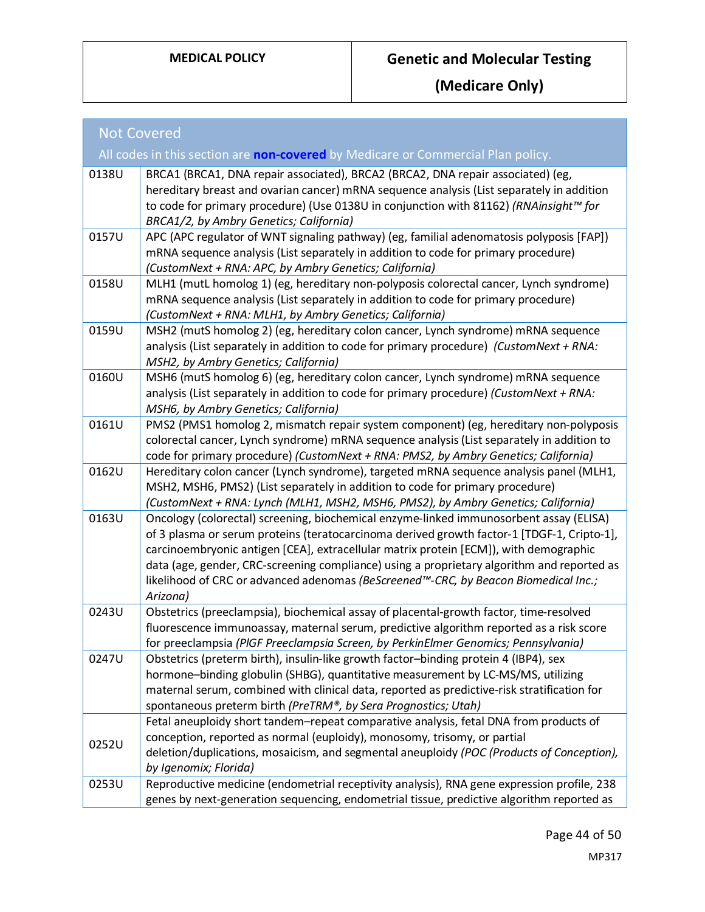| <b>Not Covered</b> |                                                                                                                                                                                                                                                                                                                                                                                                                                                                                |  |
|--------------------|--------------------------------------------------------------------------------------------------------------------------------------------------------------------------------------------------------------------------------------------------------------------------------------------------------------------------------------------------------------------------------------------------------------------------------------------------------------------------------|--|
|                    | All codes in this section are non-covered by Medicare or Commercial Plan policy.                                                                                                                                                                                                                                                                                                                                                                                               |  |
| 0138U              | BRCA1 (BRCA1, DNA repair associated), BRCA2 (BRCA2, DNA repair associated) (eg,<br>hereditary breast and ovarian cancer) mRNA sequence analysis (List separately in addition<br>to code for primary procedure) (Use 0138U in conjunction with 81162) (RNAinsight™ for<br>BRCA1/2, by Ambry Genetics; California)                                                                                                                                                               |  |
| 0157U              | APC (APC regulator of WNT signaling pathway) (eg, familial adenomatosis polyposis [FAP])<br>mRNA sequence analysis (List separately in addition to code for primary procedure)<br>(CustomNext + RNA: APC, by Ambry Genetics; California)                                                                                                                                                                                                                                       |  |
| 0158U              | MLH1 (mutL homolog 1) (eg, hereditary non-polyposis colorectal cancer, Lynch syndrome)<br>mRNA sequence analysis (List separately in addition to code for primary procedure)<br>(CustomNext + RNA: MLH1, by Ambry Genetics; California)                                                                                                                                                                                                                                        |  |
| 0159U              | MSH2 (mutS homolog 2) (eg, hereditary colon cancer, Lynch syndrome) mRNA sequence<br>analysis (List separately in addition to code for primary procedure) (CustomNext + RNA:<br>MSH2, by Ambry Genetics; California)                                                                                                                                                                                                                                                           |  |
| 0160U              | MSH6 (mutS homolog 6) (eg, hereditary colon cancer, Lynch syndrome) mRNA sequence<br>analysis (List separately in addition to code for primary procedure) (CustomNext + RNA:<br>MSH6, by Ambry Genetics; California)                                                                                                                                                                                                                                                           |  |
| 0161U              | PMS2 (PMS1 homolog 2, mismatch repair system component) (eg, hereditary non-polyposis<br>colorectal cancer, Lynch syndrome) mRNA sequence analysis (List separately in addition to<br>code for primary procedure) (CustomNext + RNA: PMS2, by Ambry Genetics; California)                                                                                                                                                                                                      |  |
| 0162U              | Hereditary colon cancer (Lynch syndrome), targeted mRNA sequence analysis panel (MLH1,<br>MSH2, MSH6, PMS2) (List separately in addition to code for primary procedure)<br>(CustomNext + RNA: Lynch (MLH1, MSH2, MSH6, PMS2), by Ambry Genetics; California)                                                                                                                                                                                                                   |  |
| 0163U              | Oncology (colorectal) screening, biochemical enzyme-linked immunosorbent assay (ELISA)<br>of 3 plasma or serum proteins (teratocarcinoma derived growth factor-1 [TDGF-1, Cripto-1],<br>carcinoembryonic antigen [CEA], extracellular matrix protein [ECM]), with demographic<br>data (age, gender, CRC-screening compliance) using a proprietary algorithm and reported as<br>likelihood of CRC or advanced adenomas (BeScreened™-CRC, by Beacon Biomedical Inc.;<br>Arizona) |  |
| 0243U              | Obstetrics (preeclampsia), biochemical assay of placental-growth factor, time-resolved<br>fluorescence immunoassay, maternal serum, predictive algorithm reported as a risk score<br>for preeclampsia (PIGF Preeclampsia Screen, by PerkinElmer Genomics; Pennsylvania)                                                                                                                                                                                                        |  |
| 0247U              | Obstetrics (preterm birth), insulin-like growth factor-binding protein 4 (IBP4), sex<br>hormone-binding globulin (SHBG), quantitative measurement by LC-MS/MS, utilizing<br>maternal serum, combined with clinical data, reported as predictive-risk stratification for<br>spontaneous preterm birth (PreTRM®, by Sera Prognostics; Utah)                                                                                                                                      |  |
| 0252U              | Fetal aneuploidy short tandem-repeat comparative analysis, fetal DNA from products of<br>conception, reported as normal (euploidy), monosomy, trisomy, or partial<br>deletion/duplications, mosaicism, and segmental aneuploidy (POC (Products of Conception),<br>by Igenomix; Florida)                                                                                                                                                                                        |  |
| 0253U              | Reproductive medicine (endometrial receptivity analysis), RNA gene expression profile, 238<br>genes by next-generation sequencing, endometrial tissue, predictive algorithm reported as                                                                                                                                                                                                                                                                                        |  |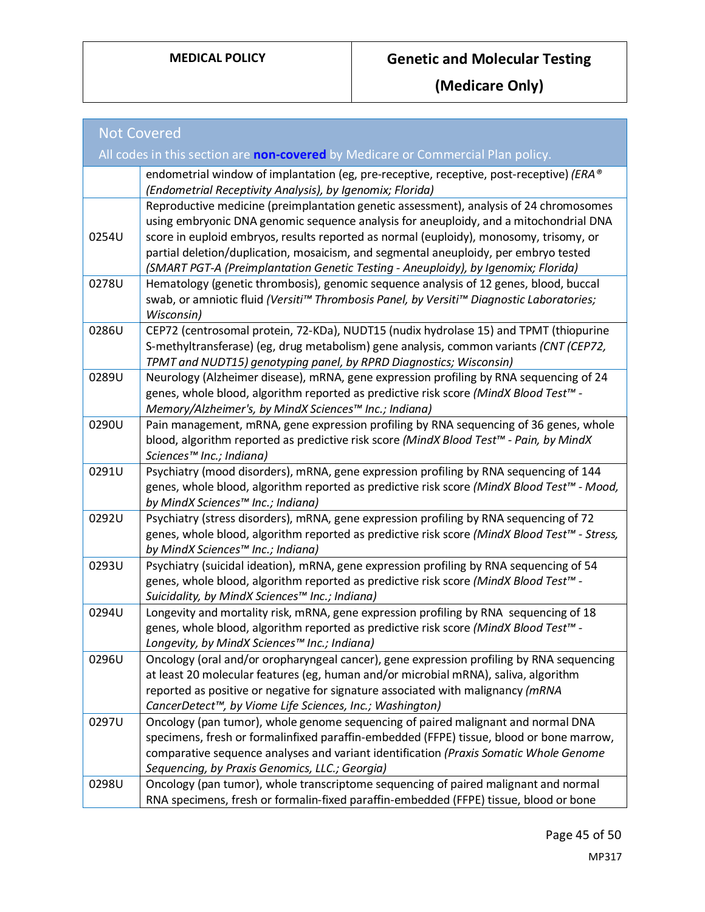| <b>Not Covered</b>                                                                      |                                                                                                                                                                                                                                                                                                                                                                                                                                                         |  |
|-----------------------------------------------------------------------------------------|---------------------------------------------------------------------------------------------------------------------------------------------------------------------------------------------------------------------------------------------------------------------------------------------------------------------------------------------------------------------------------------------------------------------------------------------------------|--|
| All codes in this section are <b>non-covered</b> by Medicare or Commercial Plan policy. |                                                                                                                                                                                                                                                                                                                                                                                                                                                         |  |
|                                                                                         | endometrial window of implantation (eg, pre-receptive, receptive, post-receptive) (ERA®<br>(Endometrial Receptivity Analysis), by Igenomix; Florida)                                                                                                                                                                                                                                                                                                    |  |
| 0254U                                                                                   | Reproductive medicine (preimplantation genetic assessment), analysis of 24 chromosomes<br>using embryonic DNA genomic sequence analysis for aneuploidy, and a mitochondrial DNA<br>score in euploid embryos, results reported as normal (euploidy), monosomy, trisomy, or<br>partial deletion/duplication, mosaicism, and segmental aneuploidy, per embryo tested<br>(SMART PGT-A (Preimplantation Genetic Testing - Aneuploidy), by Igenomix; Florida) |  |
| 0278U                                                                                   | Hematology (genetic thrombosis), genomic sequence analysis of 12 genes, blood, buccal<br>swab, or amniotic fluid (Versiti™ Thrombosis Panel, by Versiti™ Diagnostic Laboratories;<br>Wisconsin)                                                                                                                                                                                                                                                         |  |
| 0286U                                                                                   | CEP72 (centrosomal protein, 72-KDa), NUDT15 (nudix hydrolase 15) and TPMT (thiopurine<br>S-methyltransferase) (eg, drug metabolism) gene analysis, common variants (CNT (CEP72,<br>TPMT and NUDT15) genotyping panel, by RPRD Diagnostics; Wisconsin)                                                                                                                                                                                                   |  |
| 0289U                                                                                   | Neurology (Alzheimer disease), mRNA, gene expression profiling by RNA sequencing of 24<br>genes, whole blood, algorithm reported as predictive risk score (MindX Blood Test <sup>rM</sup> -<br>Memory/Alzheimer's, by MindX Sciences™ Inc.; Indiana)                                                                                                                                                                                                    |  |
| 0290U                                                                                   | Pain management, mRNA, gene expression profiling by RNA sequencing of 36 genes, whole<br>blood, algorithm reported as predictive risk score (MindX Blood Test™ - Pain, by MindX<br>Sciences™ Inc.; Indiana)                                                                                                                                                                                                                                             |  |
| 0291U                                                                                   | Psychiatry (mood disorders), mRNA, gene expression profiling by RNA sequencing of 144<br>genes, whole blood, algorithm reported as predictive risk score (MindX Blood Test™ - Mood,<br>by MindX Sciences™ Inc.; Indiana)                                                                                                                                                                                                                                |  |
| 0292U                                                                                   | Psychiatry (stress disorders), mRNA, gene expression profiling by RNA sequencing of 72<br>genes, whole blood, algorithm reported as predictive risk score (MindX Blood Test™ - Stress,<br>by MindX Sciences™ Inc.; Indiana)                                                                                                                                                                                                                             |  |
| 0293U                                                                                   | Psychiatry (suicidal ideation), mRNA, gene expression profiling by RNA sequencing of 54<br>genes, whole blood, algorithm reported as predictive risk score (MindX Blood Test <sup>rM</sup> -<br>Suicidality, by MindX Sciences™ Inc.; Indiana)                                                                                                                                                                                                          |  |
| 0294U                                                                                   | Longevity and mortality risk, mRNA, gene expression profiling by RNA sequencing of 18<br>genes, whole blood, algorithm reported as predictive risk score (MindX Blood Test <sup>rM</sup> -<br>Longevity, by MindX Sciences™ Inc.; Indiana)                                                                                                                                                                                                              |  |
| 0296U                                                                                   | Oncology (oral and/or oropharyngeal cancer), gene expression profiling by RNA sequencing<br>at least 20 molecular features (eg, human and/or microbial mRNA), saliva, algorithm<br>reported as positive or negative for signature associated with malignancy (mRNA<br>CancerDetect™, by Viome Life Sciences, Inc.; Washington)                                                                                                                          |  |
| 0297U                                                                                   | Oncology (pan tumor), whole genome sequencing of paired malignant and normal DNA<br>specimens, fresh or formalinfixed paraffin-embedded (FFPE) tissue, blood or bone marrow,<br>comparative sequence analyses and variant identification (Praxis Somatic Whole Genome<br>Sequencing, by Praxis Genomics, LLC.; Georgia)                                                                                                                                 |  |
| 0298U                                                                                   | Oncology (pan tumor), whole transcriptome sequencing of paired malignant and normal<br>RNA specimens, fresh or formalin-fixed paraffin-embedded (FFPE) tissue, blood or bone                                                                                                                                                                                                                                                                            |  |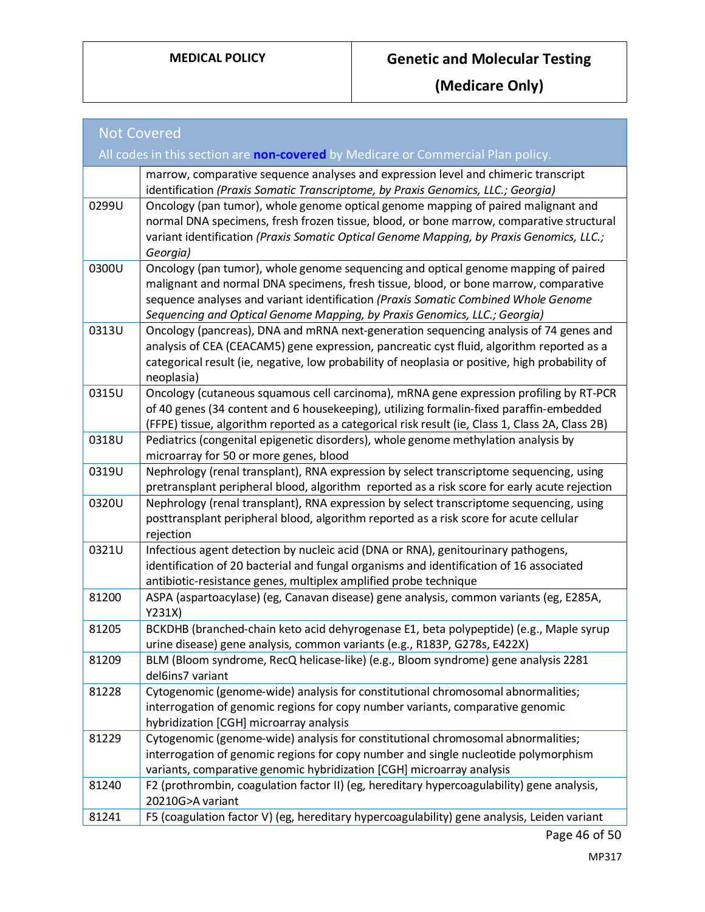| <b>Not Covered</b>                                                                      |                                                                                                                                                                                                                                                                                                                                               |  |
|-----------------------------------------------------------------------------------------|-----------------------------------------------------------------------------------------------------------------------------------------------------------------------------------------------------------------------------------------------------------------------------------------------------------------------------------------------|--|
| All codes in this section are <b>non-covered</b> by Medicare or Commercial Plan policy. |                                                                                                                                                                                                                                                                                                                                               |  |
|                                                                                         | marrow, comparative sequence analyses and expression level and chimeric transcript<br>identification (Praxis Somatic Transcriptome, by Praxis Genomics, LLC.; Georgia)                                                                                                                                                                        |  |
| 0299U                                                                                   | Oncology (pan tumor), whole genome optical genome mapping of paired malignant and<br>normal DNA specimens, fresh frozen tissue, blood, or bone marrow, comparative structural<br>variant identification (Praxis Somatic Optical Genome Mapping, by Praxis Genomics, LLC.;<br>Georgia)                                                         |  |
| 0300U                                                                                   | Oncology (pan tumor), whole genome sequencing and optical genome mapping of paired<br>malignant and normal DNA specimens, fresh tissue, blood, or bone marrow, comparative<br>sequence analyses and variant identification (Praxis Somatic Combined Whole Genome<br>Sequencing and Optical Genome Mapping, by Praxis Genomics, LLC.; Georgia) |  |
| 0313U                                                                                   | Oncology (pancreas), DNA and mRNA next-generation sequencing analysis of 74 genes and<br>analysis of CEA (CEACAM5) gene expression, pancreatic cyst fluid, algorithm reported as a<br>categorical result (ie, negative, low probability of neoplasia or positive, high probability of<br>neoplasia)                                           |  |
| 0315U                                                                                   | Oncology (cutaneous squamous cell carcinoma), mRNA gene expression profiling by RT-PCR<br>of 40 genes (34 content and 6 housekeeping), utilizing formalin-fixed paraffin-embedded<br>(FFPE) tissue, algorithm reported as a categorical risk result (ie, Class 1, Class 2A, Class 2B)                                                         |  |
| 0318U                                                                                   | Pediatrics (congenital epigenetic disorders), whole genome methylation analysis by<br>microarray for 50 or more genes, blood                                                                                                                                                                                                                  |  |
| 0319U                                                                                   | Nephrology (renal transplant), RNA expression by select transcriptome sequencing, using<br>pretransplant peripheral blood, algorithm reported as a risk score for early acute rejection                                                                                                                                                       |  |
| 0320U                                                                                   | Nephrology (renal transplant), RNA expression by select transcriptome sequencing, using<br>posttransplant peripheral blood, algorithm reported as a risk score for acute cellular<br>rejection                                                                                                                                                |  |
| 0321U                                                                                   | Infectious agent detection by nucleic acid (DNA or RNA), genitourinary pathogens,<br>identification of 20 bacterial and fungal organisms and identification of 16 associated<br>antibiotic-resistance genes, multiplex amplified probe technique                                                                                              |  |
| 81200                                                                                   | ASPA (aspartoacylase) (eg, Canavan disease) gene analysis, common variants (eg, E285A,<br>Y231X)                                                                                                                                                                                                                                              |  |
| 81205                                                                                   | BCKDHB (branched-chain keto acid dehyrogenase E1, beta polypeptide) (e.g., Maple syrup<br>urine disease) gene analysis, common variants (e.g., R183P, G278s, E422X)                                                                                                                                                                           |  |
| 81209                                                                                   | BLM (Bloom syndrome, RecQ helicase-like) (e.g., Bloom syndrome) gene analysis 2281<br>del6ins7 variant                                                                                                                                                                                                                                        |  |
| 81228                                                                                   | Cytogenomic (genome-wide) analysis for constitutional chromosomal abnormalities;<br>interrogation of genomic regions for copy number variants, comparative genomic<br>hybridization [CGH] microarray analysis                                                                                                                                 |  |
| 81229                                                                                   | Cytogenomic (genome-wide) analysis for constitutional chromosomal abnormalities;<br>interrogation of genomic regions for copy number and single nucleotide polymorphism<br>variants, comparative genomic hybridization [CGH] microarray analysis                                                                                              |  |
| 81240                                                                                   | F2 (prothrombin, coagulation factor II) (eg, hereditary hypercoagulability) gene analysis,<br>20210G>A variant                                                                                                                                                                                                                                |  |
| 81241                                                                                   | F5 (coagulation factor V) (eg, hereditary hypercoagulability) gene analysis, Leiden variant                                                                                                                                                                                                                                                   |  |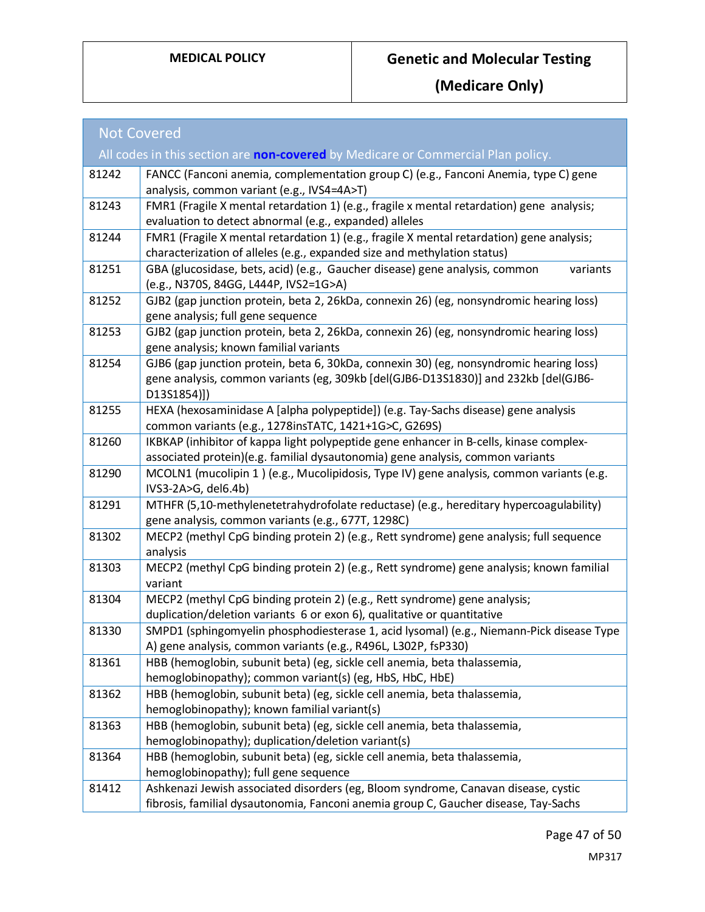| <b>Not Covered</b>                                                                      |                                                                                                                                                                                               |  |
|-----------------------------------------------------------------------------------------|-----------------------------------------------------------------------------------------------------------------------------------------------------------------------------------------------|--|
| All codes in this section are <b>non-covered</b> by Medicare or Commercial Plan policy. |                                                                                                                                                                                               |  |
| 81242                                                                                   | FANCC (Fanconi anemia, complementation group C) (e.g., Fanconi Anemia, type C) gene<br>analysis, common variant (e.g., IVS4=4A>T)                                                             |  |
| 81243                                                                                   | FMR1 (Fragile X mental retardation 1) (e.g., fragile x mental retardation) gene analysis;<br>evaluation to detect abnormal (e.g., expanded) alleles                                           |  |
| 81244                                                                                   | FMR1 (Fragile X mental retardation 1) (e.g., fragile X mental retardation) gene analysis;<br>characterization of alleles (e.g., expanded size and methylation status)                         |  |
| 81251                                                                                   | GBA (glucosidase, bets, acid) (e.g., Gaucher disease) gene analysis, common<br>variants<br>(e.g., N370S, 84GG, L444P, IVS2=1G>A)                                                              |  |
| 81252                                                                                   | GJB2 (gap junction protein, beta 2, 26kDa, connexin 26) (eg, nonsyndromic hearing loss)<br>gene analysis; full gene sequence                                                                  |  |
| 81253                                                                                   | GJB2 (gap junction protein, beta 2, 26kDa, connexin 26) (eg, nonsyndromic hearing loss)<br>gene analysis; known familial variants                                                             |  |
| 81254                                                                                   | GJB6 (gap junction protein, beta 6, 30kDa, connexin 30) (eg, nonsyndromic hearing loss)<br>gene analysis, common variants (eg, 309kb [del(GJB6-D13S1830)] and 232kb [del(GJB6-<br>D13S1854)]) |  |
| 81255                                                                                   | HEXA (hexosaminidase A [alpha polypeptide]) (e.g. Tay-Sachs disease) gene analysis<br>common variants (e.g., 1278insTATC, 1421+1G>C, G269S)                                                   |  |
| 81260                                                                                   | IKBKAP (inhibitor of kappa light polypeptide gene enhancer in B-cells, kinase complex-<br>associated protein)(e.g. familial dysautonomia) gene analysis, common variants                      |  |
| 81290                                                                                   | MCOLN1 (mucolipin 1) (e.g., Mucolipidosis, Type IV) gene analysis, common variants (e.g.<br>IVS3-2A>G, del6.4b)                                                                               |  |
| 81291                                                                                   | MTHFR (5,10-methylenetetrahydrofolate reductase) (e.g., hereditary hypercoagulability)<br>gene analysis, common variants (e.g., 677T, 1298C)                                                  |  |
| 81302                                                                                   | MECP2 (methyl CpG binding protein 2) (e.g., Rett syndrome) gene analysis; full sequence<br>analysis                                                                                           |  |
| 81303                                                                                   | MECP2 (methyl CpG binding protein 2) (e.g., Rett syndrome) gene analysis; known familial<br>variant                                                                                           |  |
| 81304                                                                                   | MECP2 (methyl CpG binding protein 2) (e.g., Rett syndrome) gene analysis;<br>duplication/deletion variants 6 or exon 6), qualitative or quantitative                                          |  |
| 81330                                                                                   | SMPD1 (sphingomyelin phosphodiesterase 1, acid lysomal) (e.g., Niemann-Pick disease Type<br>A) gene analysis, common variants (e.g., R496L, L302P, fsP330)                                    |  |
| 81361                                                                                   | HBB (hemoglobin, subunit beta) (eg, sickle cell anemia, beta thalassemia,<br>hemoglobinopathy); common variant(s) (eg, HbS, HbC, HbE)                                                         |  |
| 81362                                                                                   | HBB (hemoglobin, subunit beta) (eg, sickle cell anemia, beta thalassemia,<br>hemoglobinopathy); known familial variant(s)                                                                     |  |
| 81363                                                                                   | HBB (hemoglobin, subunit beta) (eg, sickle cell anemia, beta thalassemia,<br>hemoglobinopathy); duplication/deletion variant(s)                                                               |  |
| 81364                                                                                   | HBB (hemoglobin, subunit beta) (eg, sickle cell anemia, beta thalassemia,<br>hemoglobinopathy); full gene sequence                                                                            |  |
| 81412                                                                                   | Ashkenazi Jewish associated disorders (eg, Bloom syndrome, Canavan disease, cystic<br>fibrosis, familial dysautonomia, Fanconi anemia group C, Gaucher disease, Tay-Sachs                     |  |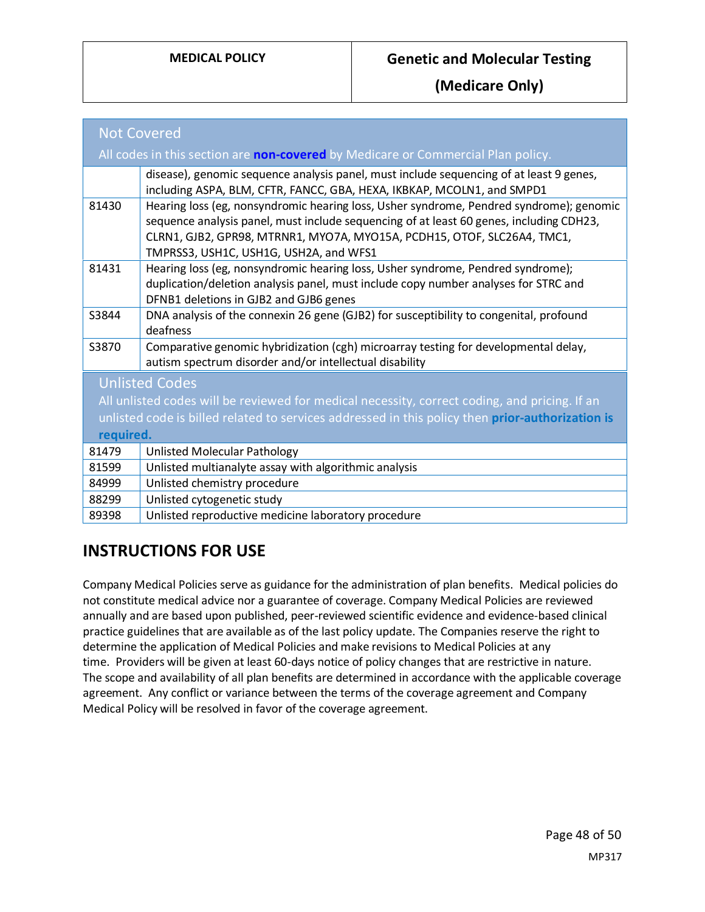| <b>Not Covered</b>                                                                               |                                                                                                                                                                                                                                                                                                         |  |
|--------------------------------------------------------------------------------------------------|---------------------------------------------------------------------------------------------------------------------------------------------------------------------------------------------------------------------------------------------------------------------------------------------------------|--|
| All codes in this section are non-covered by Medicare or Commercial Plan policy.                 |                                                                                                                                                                                                                                                                                                         |  |
|                                                                                                  | disease), genomic sequence analysis panel, must include sequencing of at least 9 genes,<br>including ASPA, BLM, CFTR, FANCC, GBA, HEXA, IKBKAP, MCOLN1, and SMPD1                                                                                                                                       |  |
| 81430                                                                                            | Hearing loss (eg, nonsyndromic hearing loss, Usher syndrome, Pendred syndrome); genomic<br>sequence analysis panel, must include sequencing of at least 60 genes, including CDH23,<br>CLRN1, GJB2, GPR98, MTRNR1, MYO7A, MYO15A, PCDH15, OTOF, SLC26A4, TMC1,<br>TMPRSS3, USH1C, USH1G, USH2A, and WFS1 |  |
| 81431                                                                                            | Hearing loss (eg, nonsyndromic hearing loss, Usher syndrome, Pendred syndrome);<br>duplication/deletion analysis panel, must include copy number analyses for STRC and<br>DFNB1 deletions in GJB2 and GJB6 genes                                                                                        |  |
| S3844                                                                                            | DNA analysis of the connexin 26 gene (GJB2) for susceptibility to congenital, profound<br>deafness                                                                                                                                                                                                      |  |
| S3870                                                                                            | Comparative genomic hybridization (cgh) microarray testing for developmental delay,<br>autism spectrum disorder and/or intellectual disability                                                                                                                                                          |  |
| <b>Unlisted Codes</b>                                                                            |                                                                                                                                                                                                                                                                                                         |  |
| All unlisted codes will be reviewed for medical necessity, correct coding, and pricing. If an    |                                                                                                                                                                                                                                                                                                         |  |
| unlisted code is billed related to services addressed in this policy then prior-authorization is |                                                                                                                                                                                                                                                                                                         |  |
| required.                                                                                        |                                                                                                                                                                                                                                                                                                         |  |
| 81479                                                                                            | <b>Unlisted Molecular Pathology</b>                                                                                                                                                                                                                                                                     |  |
| 81599                                                                                            | Unlisted multianalyte assay with algorithmic analysis                                                                                                                                                                                                                                                   |  |
| 84999                                                                                            | Unlisted chemistry procedure                                                                                                                                                                                                                                                                            |  |
| 88299                                                                                            | Unlisted cytogenetic study                                                                                                                                                                                                                                                                              |  |
| 89398                                                                                            | Unlisted reproductive medicine laboratory procedure                                                                                                                                                                                                                                                     |  |

## **INSTRUCTIONS FOR USE**

Company Medical Policies serve as guidance for the administration of plan benefits. Medical policies do not constitute medical advice nor a guarantee of coverage. Company Medical Policies are reviewed annually and are based upon published, peer-reviewed scientific evidence and evidence-based clinical practice guidelines that are available as of the last policy update. The Companies reserve the right to determine the application of Medical Policies and make revisions to Medical Policies at any time. Providers will be given at least 60-days notice of policy changes that are restrictive in nature. The scope and availability of all plan benefits are determined in accordance with the applicable coverage agreement. Any conflict or variance between the terms of the coverage agreement and Company Medical Policy will be resolved in favor of the coverage agreement.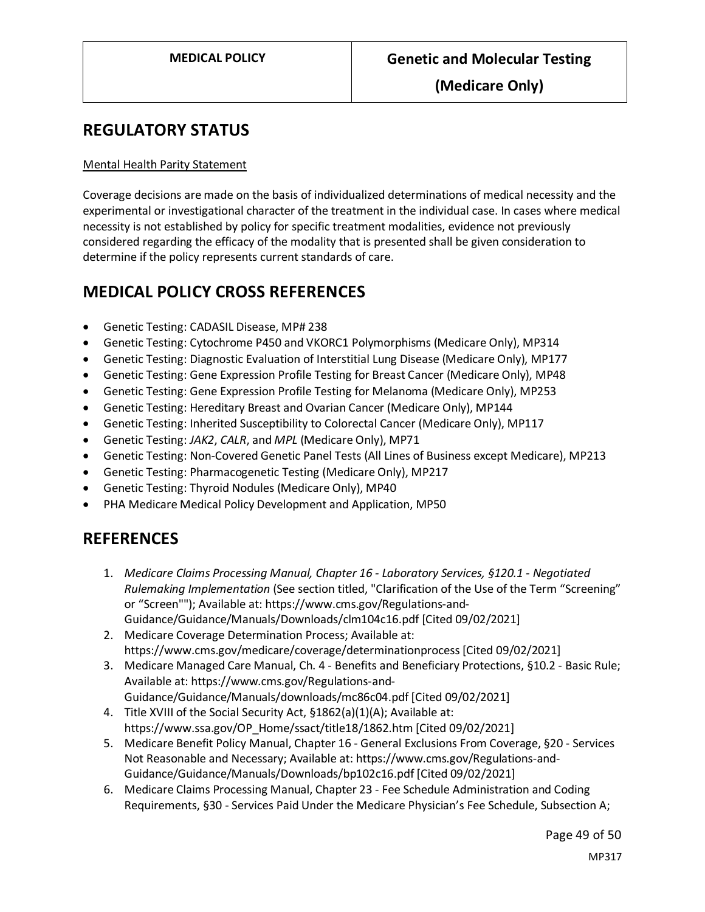### <span id="page-48-0"></span>**REGULATORY STATUS**

#### Mental Health Parity Statement

Coverage decisions are made on the basis of individualized determinations of medical necessity and the experimental or investigational character of the treatment in the individual case. In cases where medical necessity is not established by policy for specific treatment modalities, evidence not previously considered regarding the efficacy of the modality that is presented shall be given consideration to determine if the policy represents current standards of care.

### **MEDICAL POLICY CROSS REFERENCES**

- Genetic Testing: CADASIL Disease, MP# 238
- Genetic Testing: Cytochrome P450 and VKORC1 Polymorphisms (Medicare Only), MP314
- Genetic Testing: Diagnostic Evaluation of Interstitial Lung Disease (Medicare Only), MP177
- Genetic Testing: Gene Expression Profile Testing for Breast Cancer (Medicare Only), MP48
- Genetic Testing: Gene Expression Profile Testing for Melanoma (Medicare Only), MP253
- Genetic Testing: Hereditary Breast and Ovarian Cancer (Medicare Only), MP144
- Genetic Testing: Inherited Susceptibility to Colorectal Cancer (Medicare Only), MP117
- Genetic Testing: *JAK2*, *CALR*, and *MPL* (Medicare Only), MP71
- Genetic Testing: Non-Covered Genetic Panel Tests (All Lines of Business except Medicare), MP213
- Genetic Testing: Pharmacogenetic Testing (Medicare Only), MP217
- Genetic Testing: Thyroid Nodules (Medicare Only), MP40
- PHA Medicare Medical Policy Development and Application, MP50

### **REFERENCES**

- 1. *Medicare Claims Processing Manual, Chapter 16 - Laboratory Services, §120.1 - Negotiated Rulemaking Implementation* (See section titled, "Clarification of the Use of the Term "Screening" or "Screen""); Available at: https://www.cms.gov/Regulations-and-Guidance/Guidance/Manuals/Downloads/clm104c16.pdf [Cited 09/02/2021]
- 2. Medicare Coverage Determination Process; Available at: https://www.cms.gov/medicare/coverage/determinationprocess [Cited 09/02/2021]
- 3. Medicare Managed Care Manual, Ch. 4 Benefits and Beneficiary Protections, §10.2 Basic Rule; Available at: https://www.cms.gov/Regulations-and-
	- Guidance/Guidance/Manuals/downloads/mc86c04.pdf [Cited 09/02/2021]
- 4. Title XVIII of the Social Security Act, §1862(a)(1)(A); Available at: https://www.ssa.gov/OP\_Home/ssact/title18/1862.htm [Cited 09/02/2021]
- 5. Medicare Benefit Policy Manual, Chapter 16 General Exclusions From Coverage, §20 Services Not Reasonable and Necessary; Available at: https://www.cms.gov/Regulations-and-Guidance/Guidance/Manuals/Downloads/bp102c16.pdf [Cited 09/02/2021]
- 6. Medicare Claims Processing Manual, Chapter 23 Fee Schedule Administration and Coding Requirements, §30 - Services Paid Under the Medicare Physician's Fee Schedule, Subsection A;